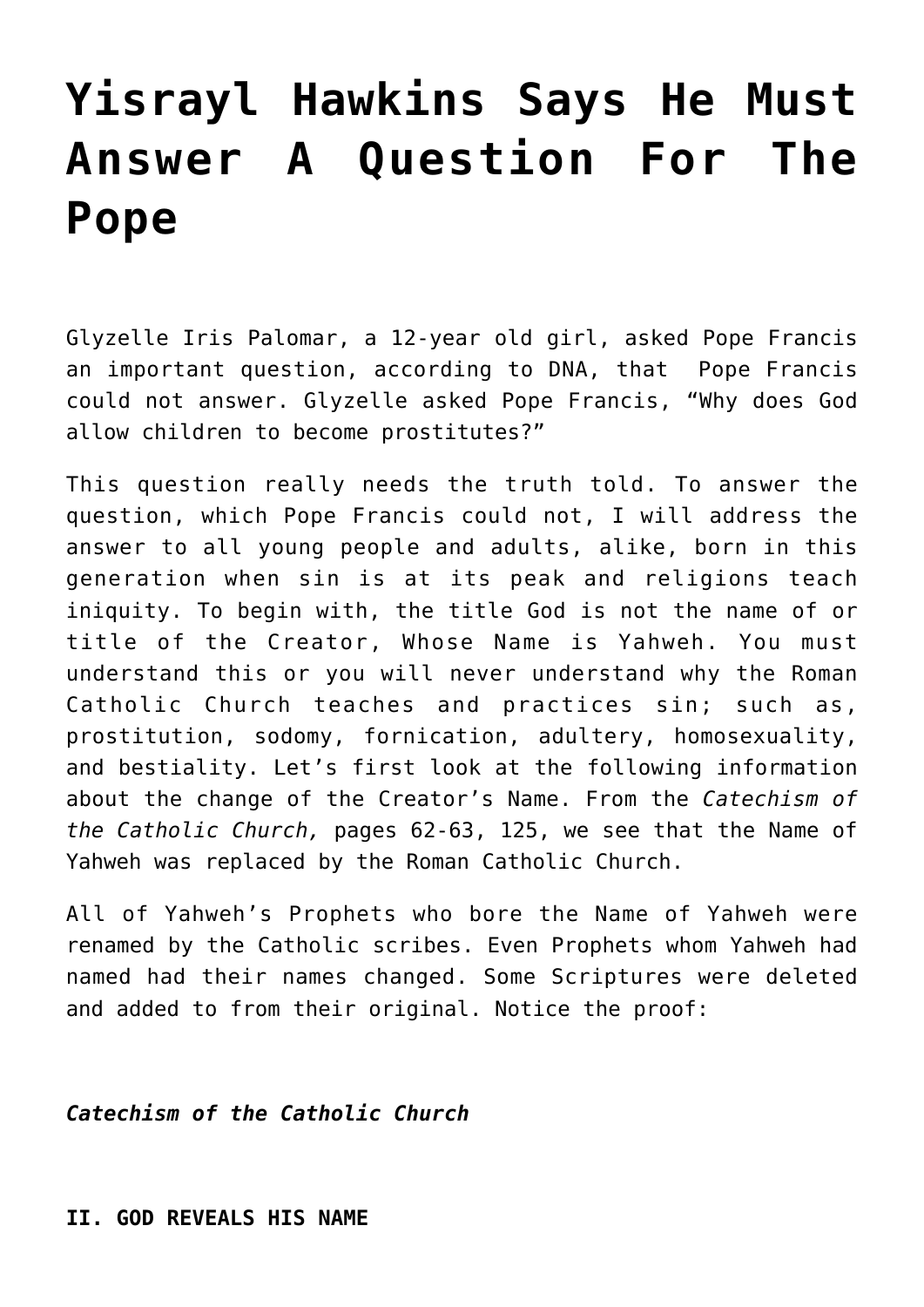# **[Yisrayl Hawkins Says He Must](https://yahwehsbranch.com/yisrayl-hawkins-says-he-must-answer-a-question-for-the-pope/) [Answer A Question For The](https://yahwehsbranch.com/yisrayl-hawkins-says-he-must-answer-a-question-for-the-pope/) [Pope](https://yahwehsbranch.com/yisrayl-hawkins-says-he-must-answer-a-question-for-the-pope/)**

Glyzelle Iris Palomar, a 12-year old girl, asked Pope Francis an important question, according to DNA, that Pope Francis could not answer. Glyzelle asked Pope Francis, "Why does God allow children to become prostitutes?"

This question really needs the truth told. To answer the question, which Pope Francis could not, I will address the answer to all young people and adults, alike, born in this generation when sin is at its peak and religions teach iniquity. To begin with, the title God is not the name of or title of the Creator, Whose Name is Yahweh. You must understand this or you will never understand why the Roman Catholic Church teaches and practices sin; such as, prostitution, sodomy, fornication, adultery, homosexuality, and bestiality. Let's first look at the following information about the change of the Creator's Name. From the *Catechism of the Catholic Church,* pages 62-63, 125, we see that the Name of Yahweh was replaced by the Roman Catholic Church.

All of Yahweh's Prophets who bore the Name of Yahweh were renamed by the Catholic scribes. Even Prophets whom Yahweh had named had their names changed. Some Scriptures were deleted and added to from their original. Notice the proof:

*Catechism of the Catholic Church*

**II. GOD REVEALS HIS NAME**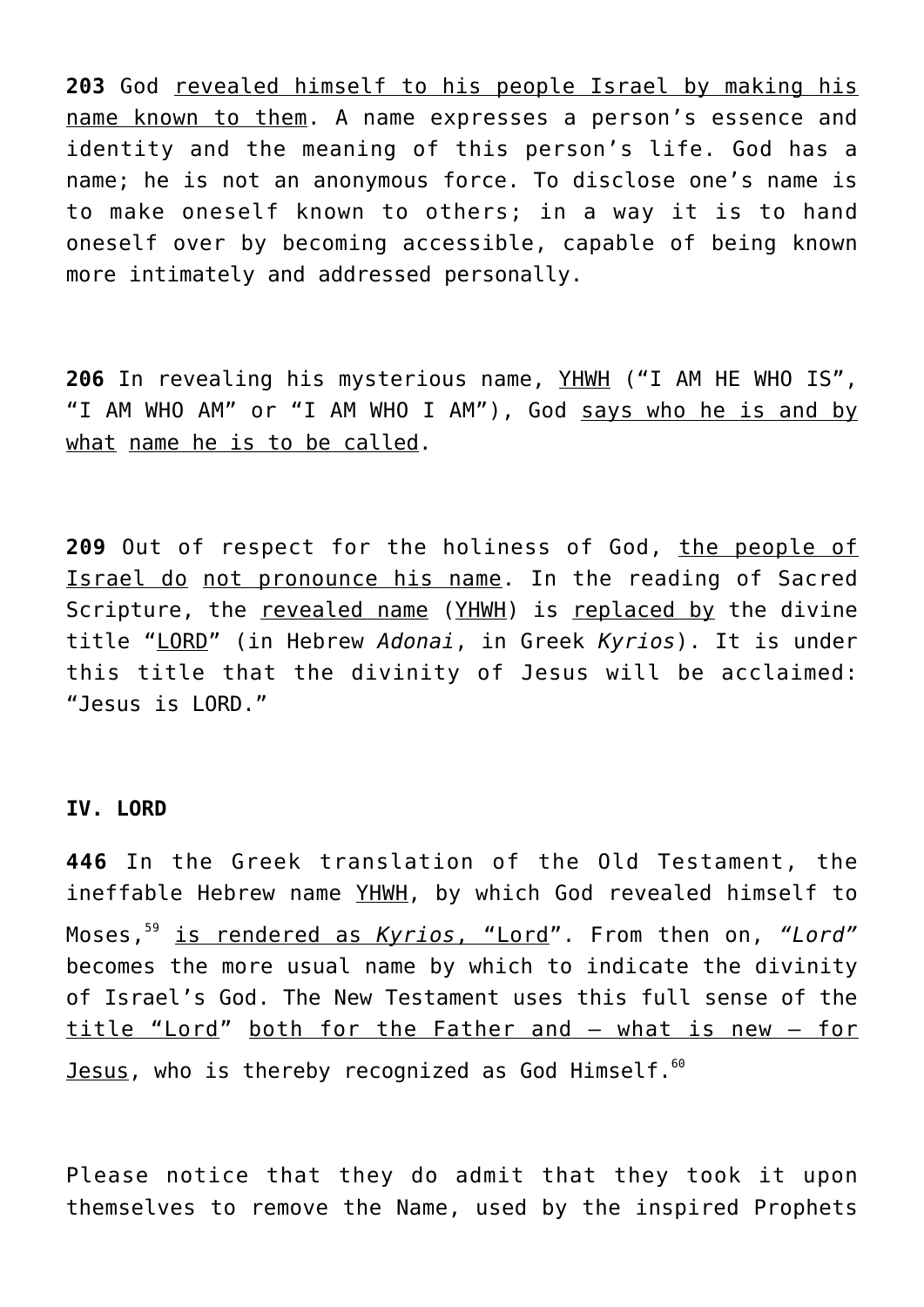**203** God revealed himself to his people Israel by making his name known to them. A name expresses a person's essence and identity and the meaning of this person's life. God has a name; he is not an anonymous force. To disclose one's name is to make oneself known to others; in a way it is to hand oneself over by becoming accessible, capable of being known more intimately and addressed personally.

**206** In revealing his mysterious name, YHWH ("I AM HE WHO IS", "I AM WHO AM" or "I AM WHO I AM"), God says who he is and by what name he is to be called.

**209** Out of respect for the holiness of God, the people of Israel do not pronounce his name. In the reading of Sacred Scripture, the revealed name (YHWH) is replaced by the divine title "LORD" (in Hebrew *Adonai*, in Greek *Kyrios*). It is under this title that the divinity of Jesus will be acclaimed: "Jesus is LORD."

#### **IV. LORD**

**446** In the Greek translation of the Old Testament, the ineffable Hebrew name YHWH, by which God revealed himself to Moses,<sup>59</sup> is rendered as *Kyrios*, "Lord". From then on, *"Lord"* becomes the more usual name by which to indicate the divinity of Israel's God. The New Testament uses this full sense of the title "Lord" both for the Father and – what is new – for Jesus, who is thereby recognized as God Himself.<sup>60</sup>

Please notice that they do admit that they took it upon themselves to remove the Name, used by the inspired Prophets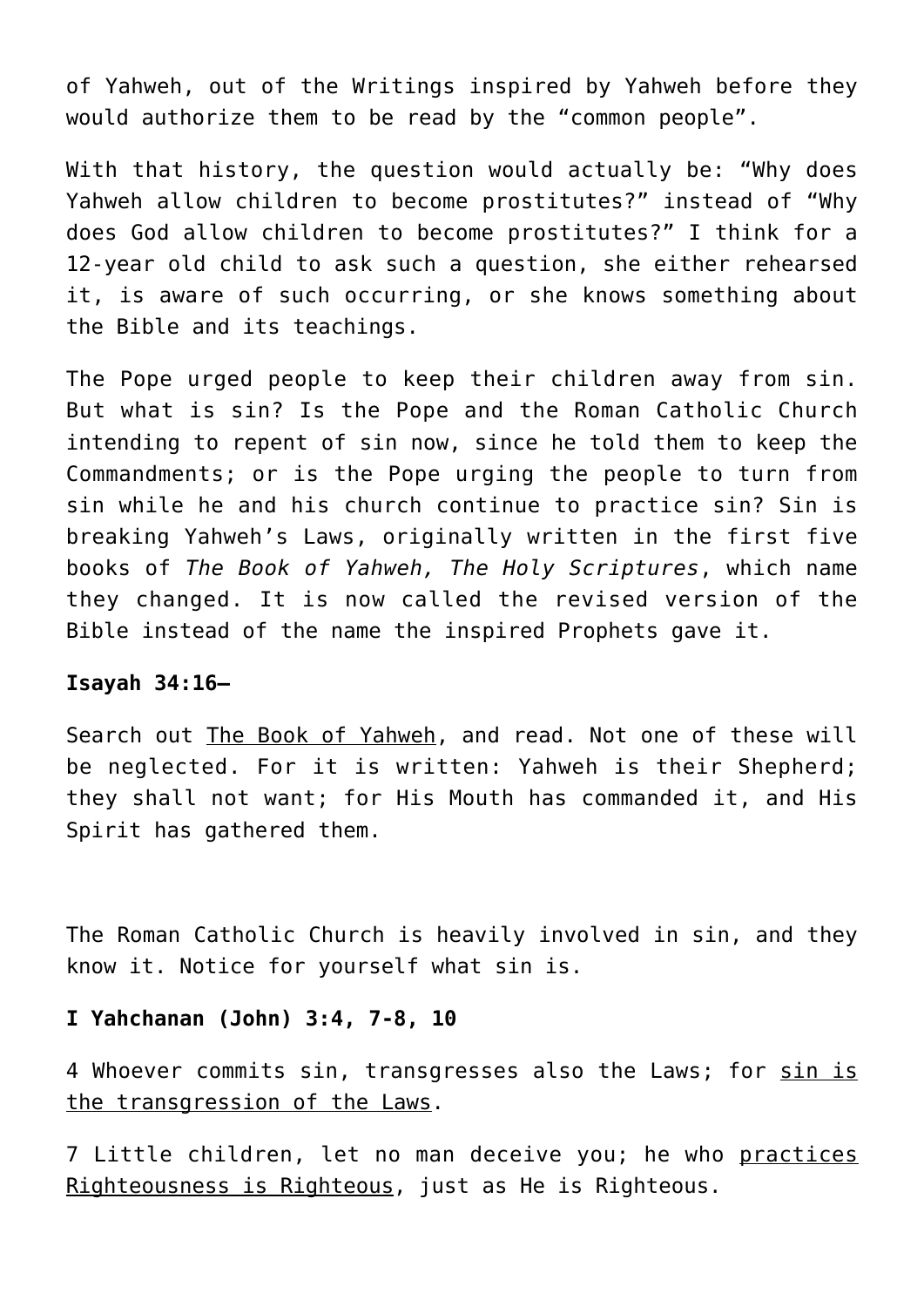of Yahweh, out of the Writings inspired by Yahweh before they would authorize them to be read by the "common people".

With that history, the question would actually be: "Why does Yahweh allow children to become prostitutes?" instead of "Why does God allow children to become prostitutes?" I think for a 12-year old child to ask such a question, she either rehearsed it, is aware of such occurring, or she knows something about the Bible and its teachings.

The Pope urged people to keep their children away from sin. But what is sin? Is the Pope and the Roman Catholic Church intending to repent of sin now, since he told them to keep the Commandments; or is the Pope urging the people to turn from sin while he and his church continue to practice sin? Sin is breaking Yahweh's Laws, originally written in the first five books of *The Book of Yahweh, The Holy Scriptures*, which name they changed. It is now called the revised version of the Bible instead of the name the inspired Prophets gave it.

## **Isayah 34:16—**

Search out The Book of Yahweh, and read. Not one of these will be neglected. For it is written: Yahweh is their Shepherd; they shall not want; for His Mouth has commanded it, and His Spirit has gathered them.

The Roman Catholic Church is heavily involved in sin, and they know it. Notice for yourself what sin is.

# **I Yahchanan (John) 3:4, 7-8, 10**

4 Whoever commits sin, transgresses also the Laws; for sin is the transgression of the Laws.

7 Little children, let no man deceive you; he who practices Righteousness is Righteous, just as He is Righteous.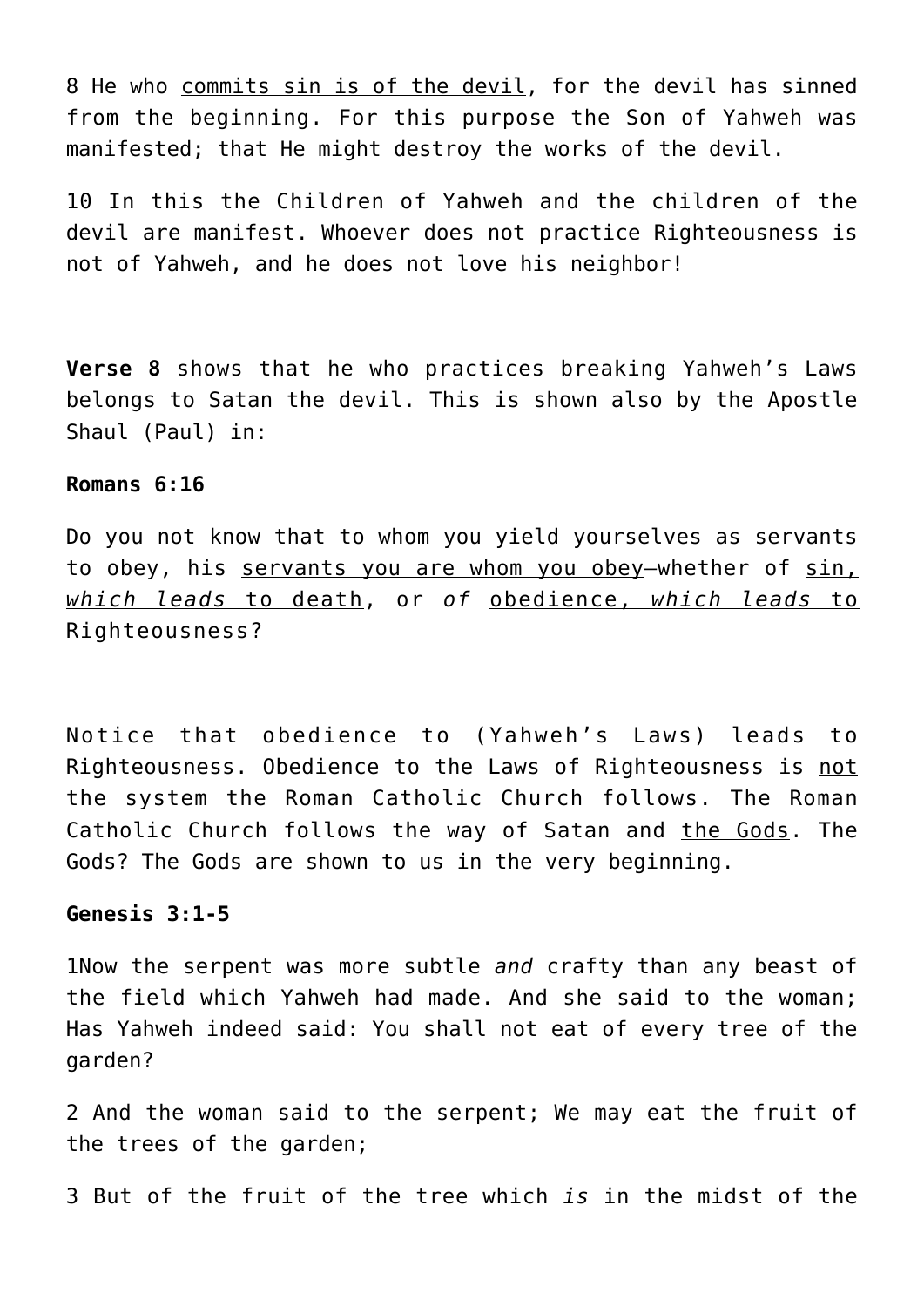8 He who commits sin is of the devil, for the devil has sinned from the beginning. For this purpose the Son of Yahweh was manifested; that He might destroy the works of the devil.

10 In this the Children of Yahweh and the children of the devil are manifest. Whoever does not practice Righteousness is not of Yahweh, and he does not love his neighbor!

**Verse 8** shows that he who practices breaking Yahweh's Laws belongs to Satan the devil. This is shown also by the Apostle Shaul (Paul) in:

#### **Romans 6:16**

Do you not know that to whom you yield yourselves as servants to obey, his servants you are whom you obey—whether of sin, *which leads* to death, or *of* obedience, *which leads* to Righteousness?

Notice that obedience to (Yahweh's Laws) leads to Righteousness. Obedience to the Laws of Righteousness is not the system the Roman Catholic Church follows. The Roman Catholic Church follows the way of Satan and the Gods. The Gods? The Gods are shown to us in the very beginning.

# **Genesis 3:1-5**

1Now the serpent was more subtle *and* crafty than any beast of the field which Yahweh had made. And she said to the woman; Has Yahweh indeed said: You shall not eat of every tree of the garden?

2 And the woman said to the serpent; We may eat the fruit of the trees of the garden;

3 But of the fruit of the tree which *is* in the midst of the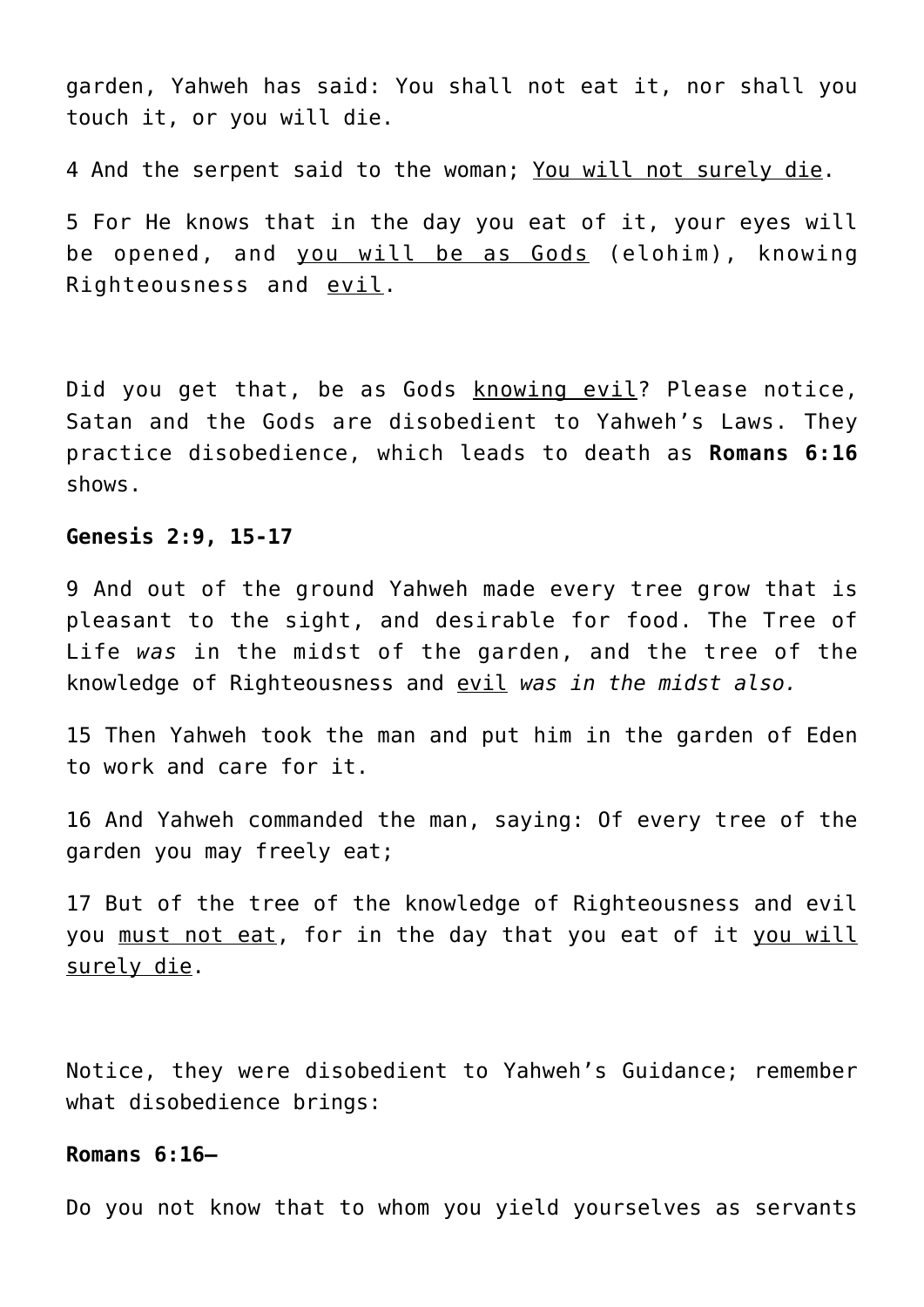garden, Yahweh has said: You shall not eat it, nor shall you touch it, or you will die.

4 And the serpent said to the woman; You will not surely die.

5 For He knows that in the day you eat of it, your eyes will be opened, and you will be as Gods (elohim), knowing Righteousness and evil.

Did you get that, be as Gods knowing evil? Please notice, Satan and the Gods are disobedient to Yahweh's Laws. They practice disobedience, which leads to death as **Romans 6:16** shows.

# **Genesis 2:9, 15-17**

9 And out of the ground Yahweh made every tree grow that is pleasant to the sight, and desirable for food. The Tree of Life *was* in the midst of the garden, and the tree of the knowledge of Righteousness and evil *was in the midst also.*

15 Then Yahweh took the man and put him in the garden of Eden to work and care for it.

16 And Yahweh commanded the man, saying: Of every tree of the garden you may freely eat;

17 But of the tree of the knowledge of Righteousness and evil you must not eat, for in the day that you eat of it you will surely die.

Notice, they were disobedient to Yahweh's Guidance; remember what disobedience brings:

## **Romans 6:16—**

Do you not know that to whom you yield yourselves as servants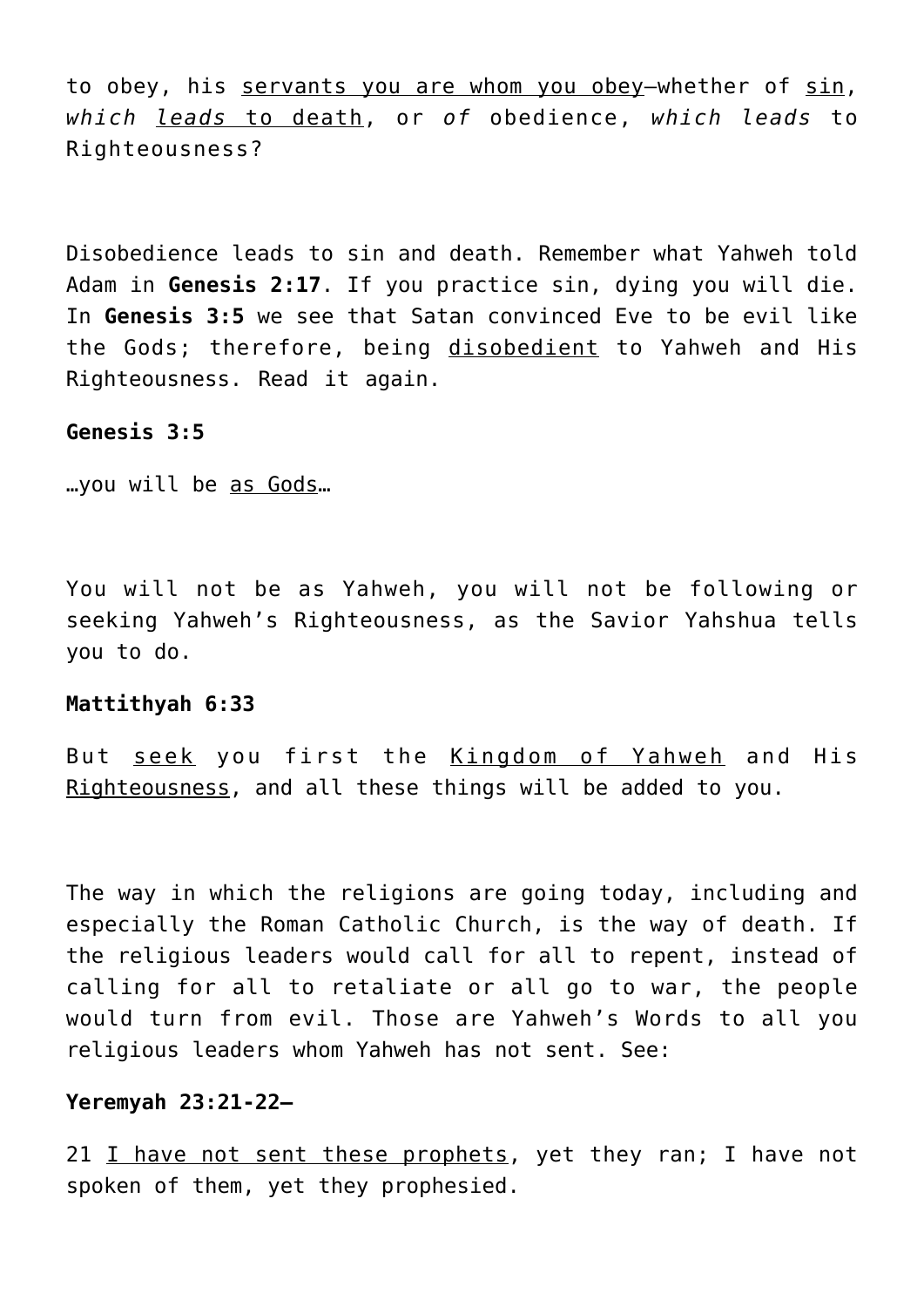to obey, his servants you are whom you obey—whether of sin, *which leads* to death, or *of* obedience, *which leads* to Righteousness?

Disobedience leads to sin and death. Remember what Yahweh told Adam in **Genesis 2:17**. If you practice sin, dying you will die. In **Genesis 3:5** we see that Satan convinced Eve to be evil like the Gods; therefore, being disobedient to Yahweh and His Righteousness. Read it again.

# **Genesis 3:5**

…you will be as Gods…

You will not be as Yahweh, you will not be following or seeking Yahweh's Righteousness, as the Savior Yahshua tells you to do.

#### **Mattithyah 6:33**

But seek you first the Kingdom of Yahweh and His Righteousness, and all these things will be added to you.

The way in which the religions are going today, including and especially the Roman Catholic Church, is the way of death. If the religious leaders would call for all to repent, instead of calling for all to retaliate or all go to war, the people would turn from evil. Those are Yahweh's Words to all you religious leaders whom Yahweh has not sent. See:

#### **Yeremyah 23:21-22—**

21 I have not sent these prophets, yet they ran; I have not spoken of them, yet they prophesied.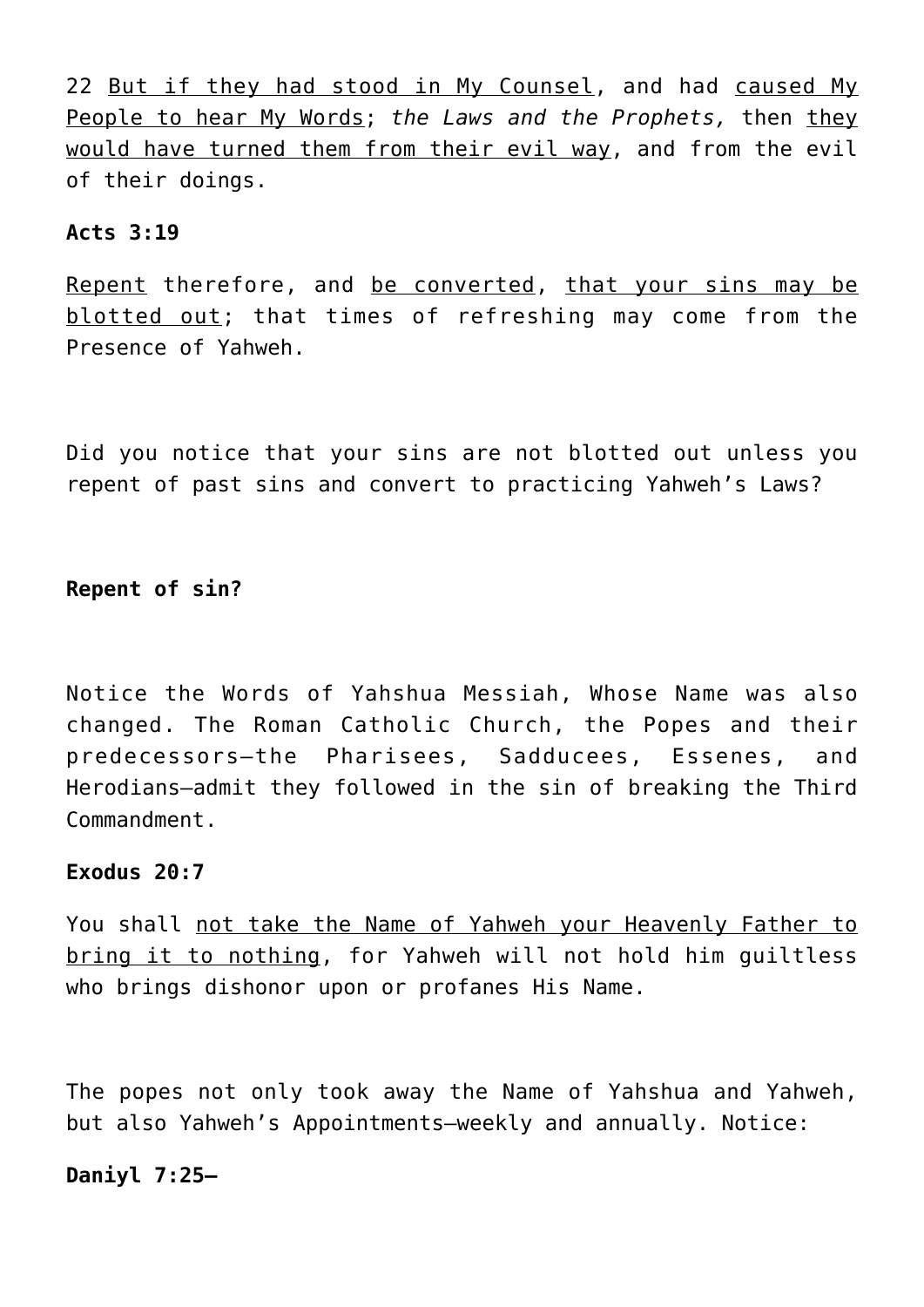22 But if they had stood in My Counsel, and had caused My People to hear My Words; *the Laws and the Prophets,* then they would have turned them from their evil way, and from the evil of their doings.

# **Acts 3:19**

Repent therefore, and be converted, that your sins may be blotted out; that times of refreshing may come from the Presence of Yahweh.

Did you notice that your sins are not blotted out unless you repent of past sins and convert to practicing Yahweh's Laws?

**Repent of sin?**

Notice the Words of Yahshua Messiah, Whose Name was also changed. The Roman Catholic Church, the Popes and their predecessors–the Pharisees, Sadducees, Essenes, and Herodians–admit they followed in the sin of breaking the Third Commandment.

# **Exodus 20:7**

You shall not take the Name of Yahweh your Heavenly Father to bring it to nothing, for Yahweh will not hold him guiltless who brings dishonor upon or profanes His Name.

The popes not only took away the Name of Yahshua and Yahweh, but also Yahweh's Appointments—weekly and annually. Notice:

# **Daniyl 7:25—**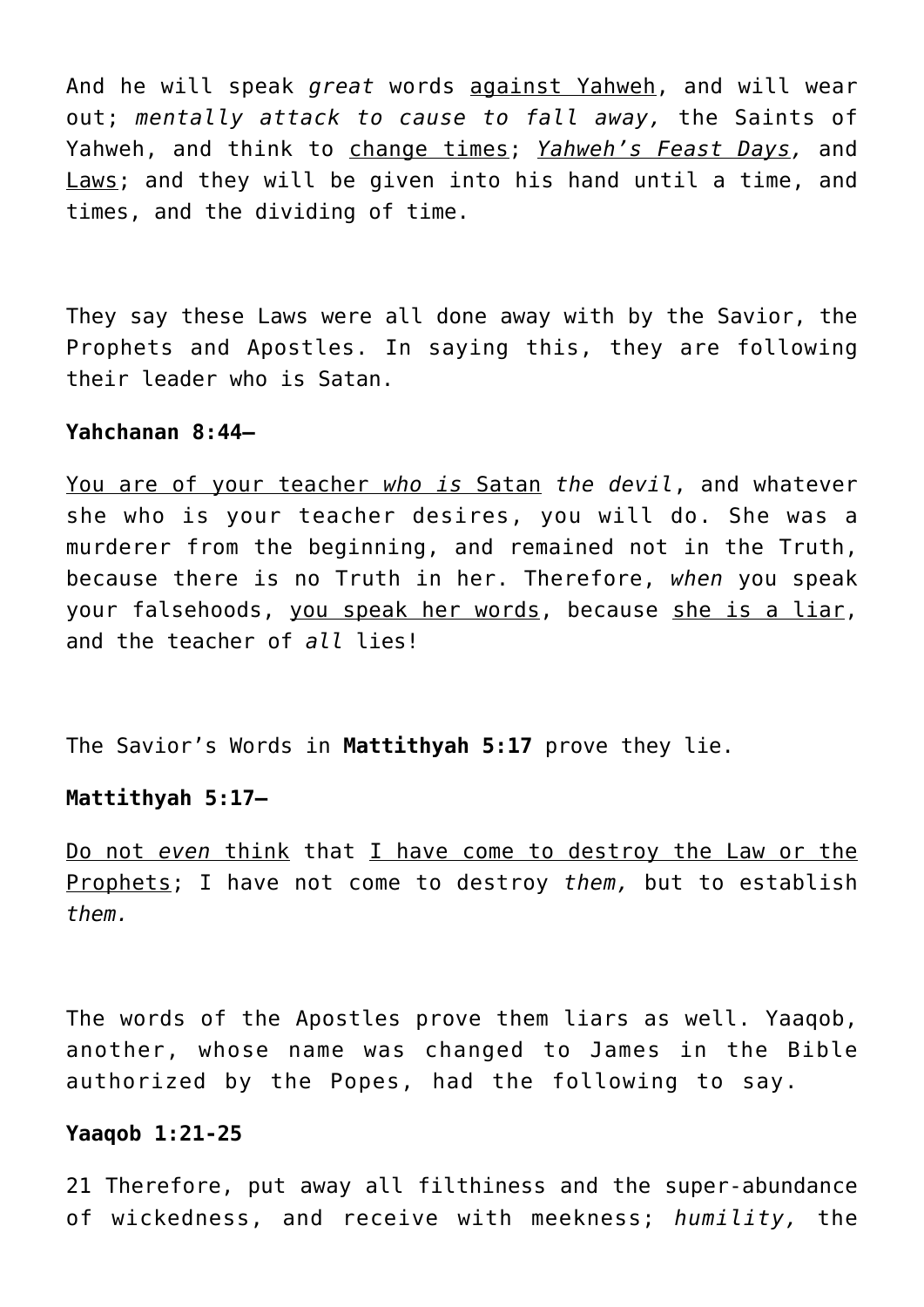And he will speak *great* words against Yahweh, and will wear out; *mentally attack to cause to fall away,* the Saints of Yahweh, and think to change times; *Yahweh's Feast Days,* and Laws; and they will be given into his hand until a time, and times, and the dividing of time.

They say these Laws were all done away with by the Savior, the Prophets and Apostles. In saying this, they are following their leader who is Satan.

## **Yahchanan 8:44—**

You are of your teacher *who is* Satan *the devil*, and whatever she who is your teacher desires, you will do. She was a murderer from the beginning, and remained not in the Truth, because there is no Truth in her. Therefore, *when* you speak your falsehoods, you speak her words, because she is a liar, and the teacher of *all* lies!

The Savior's Words in **Mattithyah 5:17** prove they lie.

#### **Mattithyah 5:17—**

Do not *even* think that I have come to destroy the Law or the Prophets; I have not come to destroy *them,* but to establish *them.*

The words of the Apostles prove them liars as well. Yaaqob, another, whose name was changed to James in the Bible authorized by the Popes, had the following to say.

#### **Yaaqob 1:21-25**

21 Therefore, put away all filthiness and the super-abundance of wickedness, and receive with meekness; *humility,* the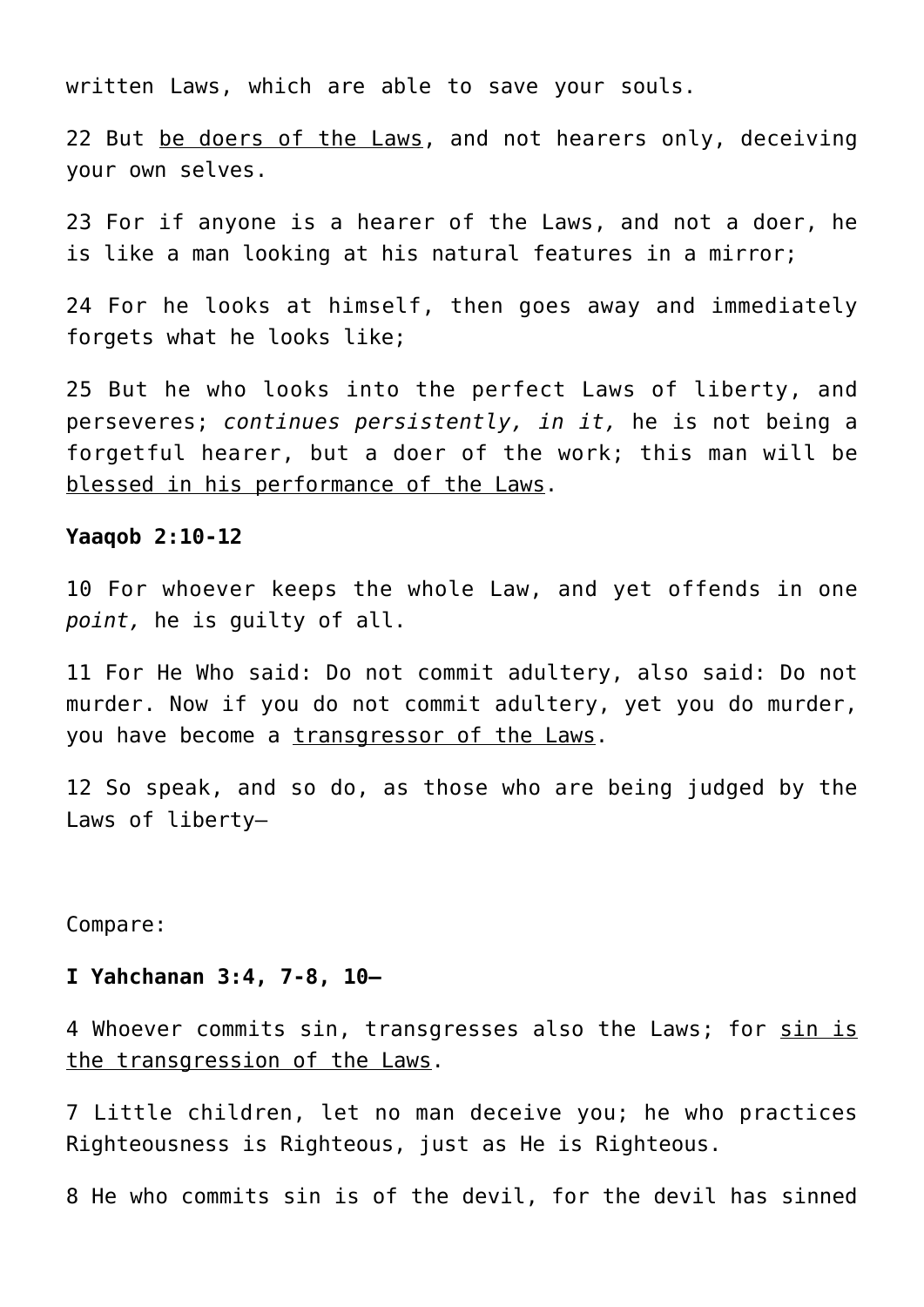written Laws, which are able to save your souls.

22 But be doers of the Laws, and not hearers only, deceiving your own selves.

23 For if anyone is a hearer of the Laws, and not a doer, he is like a man looking at his natural features in a mirror;

24 For he looks at himself, then goes away and immediately forgets what he looks like;

25 But he who looks into the perfect Laws of liberty, and perseveres; *continues persistently, in it,* he is not being a forgetful hearer, but a doer of the work; this man will be blessed in his performance of the Laws.

#### **Yaaqob 2:10-12**

10 For whoever keeps the whole Law, and yet offends in one *point,* he is guilty of all.

11 For He Who said: Do not commit adultery, also said: Do not murder. Now if you do not commit adultery, yet you do murder, you have become a transgressor of the Laws.

12 So speak, and so do, as those who are being judged by the Laws of liberty—

Compare:

## **I Yahchanan 3:4, 7-8, 10—**

4 Whoever commits sin, transgresses also the Laws; for sin is the transgression of the Laws.

7 Little children, let no man deceive you; he who practices Righteousness is Righteous, just as He is Righteous.

8 He who commits sin is of the devil, for the devil has sinned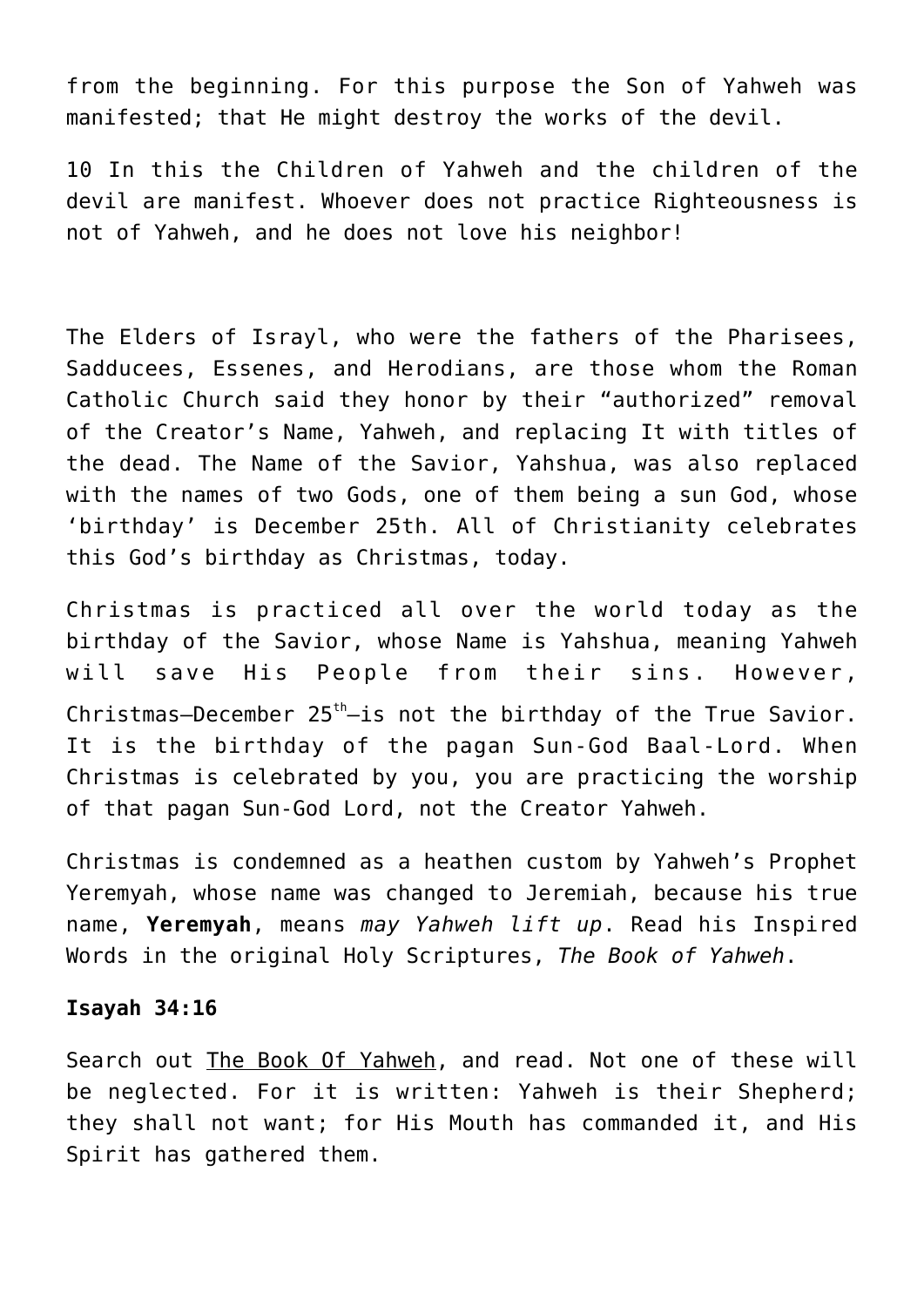from the beginning. For this purpose the Son of Yahweh was manifested; that He might destroy the works of the devil.

10 In this the Children of Yahweh and the children of the devil are manifest. Whoever does not practice Righteousness is not of Yahweh, and he does not love his neighbor!

The Elders of Israyl, who were the fathers of the Pharisees, Sadducees, Essenes, and Herodians, are those whom the Roman Catholic Church said they honor by their "authorized" removal of the Creator's Name, Yahweh, and replacing It with titles of the dead. The Name of the Savior, Yahshua, was also replaced with the names of two Gods, one of them being a sun God, whose 'birthday' is December 25th. All of Christianity celebrates this God's birthday as Christmas, today.

Christmas is practiced all over the world today as the birthday of the Savior, whose Name is Yahshua, meaning Yahweh will save His People from their sins. However, Christmas–December  $25<sup>th</sup>$ –is not the birthday of the True Savior. It is the birthday of the pagan Sun-God Baal-Lord. When Christmas is celebrated by you, you are practicing the worship of that pagan Sun-God Lord, not the Creator Yahweh.

Christmas is condemned as a heathen custom by Yahweh's Prophet Yeremyah, whose name was changed to Jeremiah, because his true name, **Yeremyah**, means *may Yahweh lift up*. Read his Inspired Words in the original Holy Scriptures, *The Book of Yahweh*.

#### **Isayah 34:16**

Search out The Book Of Yahweh, and read. Not one of these will be neglected. For it is written: Yahweh is their Shepherd; they shall not want; for His Mouth has commanded it, and His Spirit has gathered them.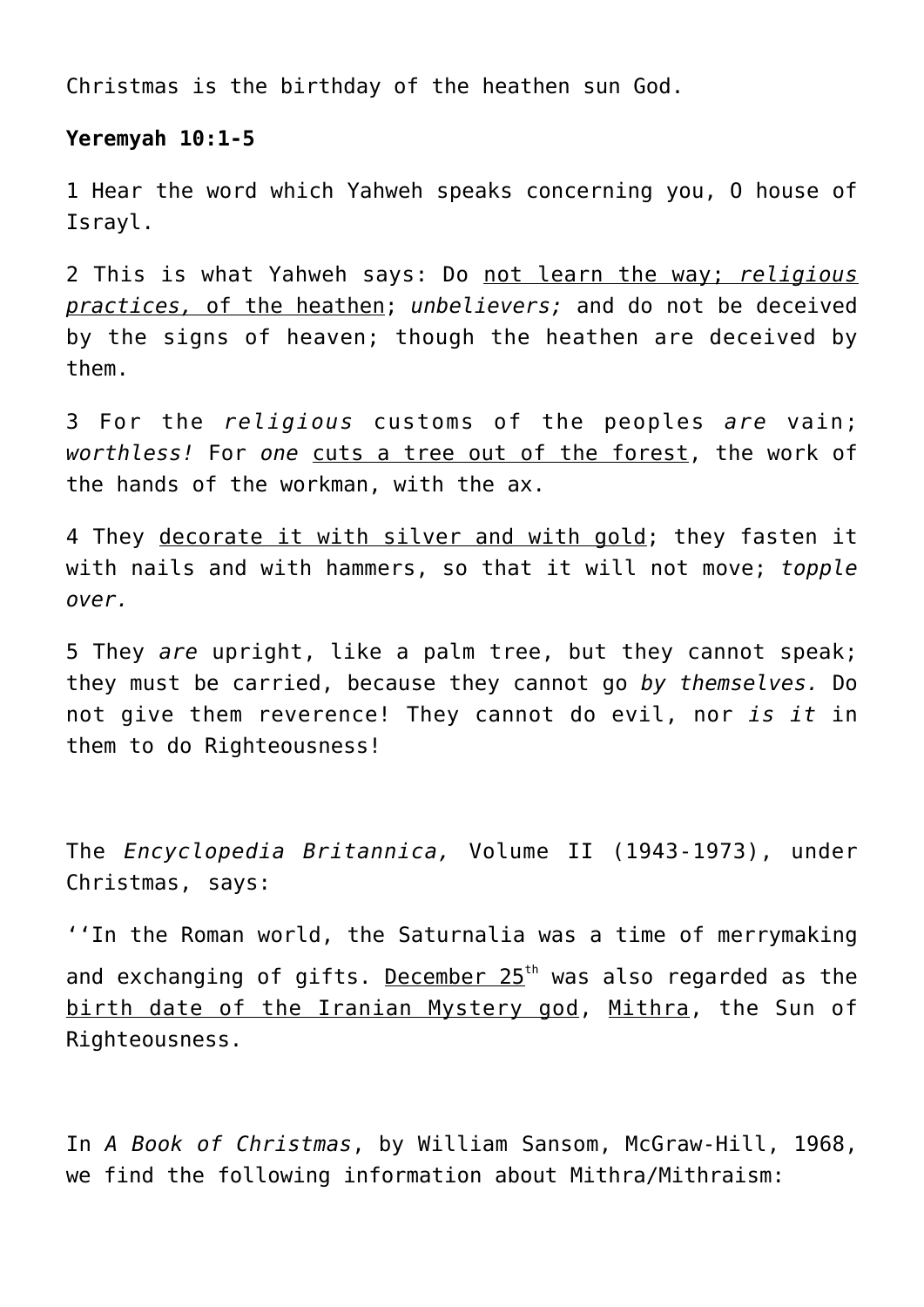Christmas is the birthday of the heathen sun God.

# **Yeremyah 10:1-5**

1 Hear the word which Yahweh speaks concerning you, O house of Israyl.

2 This is what Yahweh says: Do not learn the way; *religious practices,* of the heathen; *unbelievers;* and do not be deceived by the signs of heaven; though the heathen are deceived by them.

3 For the *religious* customs of the peoples *are* vain; *worthless!* For *one* cuts a tree out of the forest, the work of the hands of the workman, with the ax.

4 They decorate it with silver and with gold; they fasten it with nails and with hammers, so that it will not move; *topple over.*

5 They *are* upright, like a palm tree, but they cannot speak; they must be carried, because they cannot go *by themselves.* Do not give them reverence! They cannot do evil, nor *is it* in them to do Righteousness!

The *Encyclopedia Britannica,* Volume II (1943-1973), under Christmas, says:

''In the Roman world, the Saturnalia was a time of merrymaking and exchanging of gifts. December  $25<sup>th</sup>$  was also regarded as the birth date of the Iranian Mystery god, Mithra, the Sun of Righteousness.

In *A Book of Christmas*, by William Sansom, McGraw-Hill, 1968, we find the following information about Mithra/Mithraism: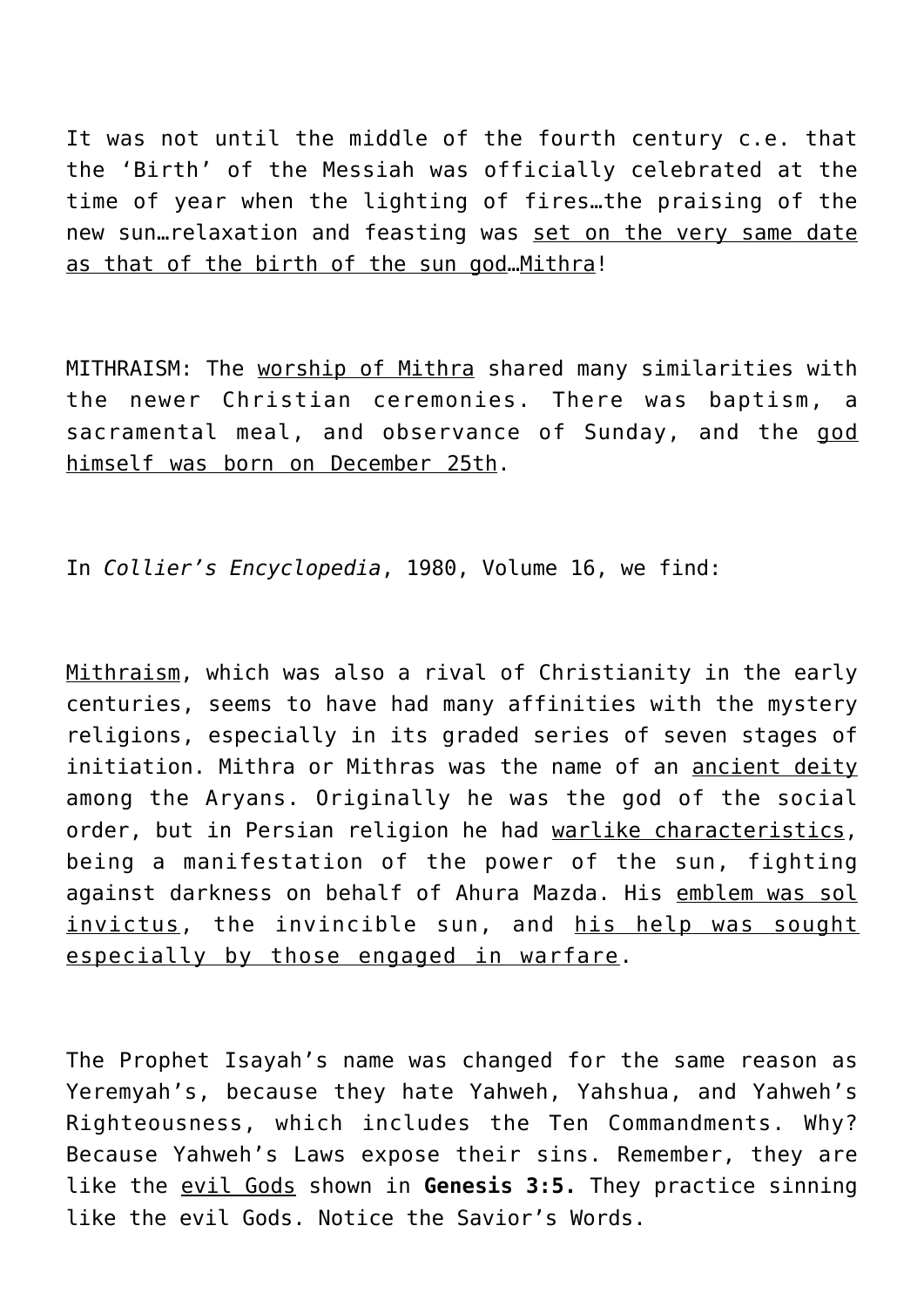It was not until the middle of the fourth century c.e. that the 'Birth' of the Messiah was officially celebrated at the time of year when the lighting of fires…the praising of the new sun…relaxation and feasting was set on the very same date as that of the birth of the sun god…Mithra!

MITHRAISM: The worship of Mithra shared many similarities with the newer Christian ceremonies. There was baptism, a sacramental meal, and observance of Sunday, and the god himself was born on December 25th.

In *Collier's Encyclopedia*, 1980, Volume 16, we find:

Mithraism, which was also a rival of Christianity in the early centuries, seems to have had many affinities with the mystery religions, especially in its graded series of seven stages of initiation. Mithra or Mithras was the name of an ancient deity among the Aryans. Originally he was the god of the social order, but in Persian religion he had warlike characteristics, being a manifestation of the power of the sun, fighting against darkness on behalf of Ahura Mazda. His emblem was sol invictus, the invincible sun, and his help was sought especially by those engaged in warfare.

The Prophet Isayah's name was changed for the same reason as Yeremyah's, because they hate Yahweh, Yahshua, and Yahweh's Righteousness, which includes the Ten Commandments. Why? Because Yahweh's Laws expose their sins. Remember, they are like the evil Gods shown in **Genesis 3:5.** They practice sinning like the evil Gods. Notice the Savior's Words.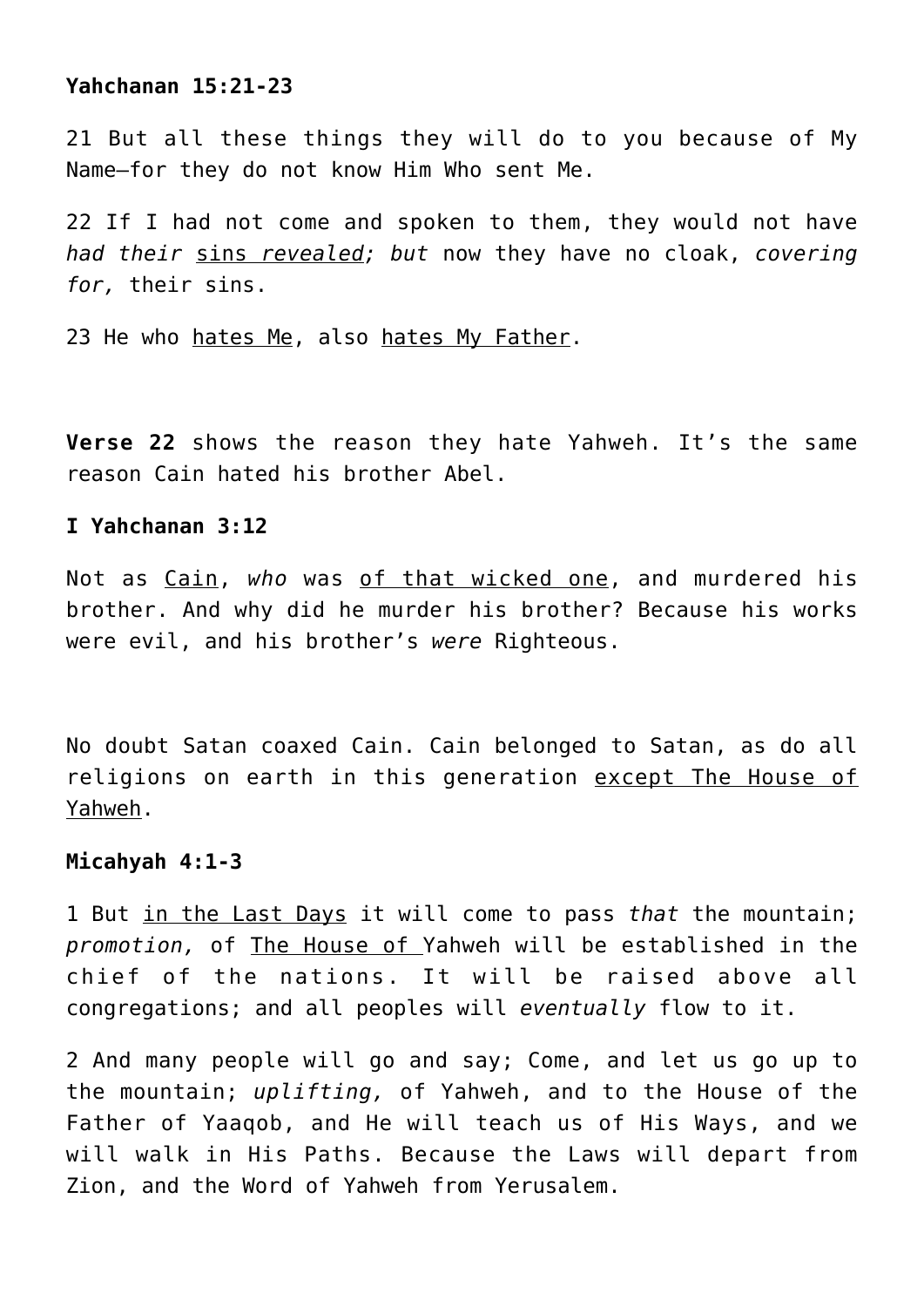## **Yahchanan 15:21-23**

21 But all these things they will do to you because of My Name—for they do not know Him Who sent Me.

22 If I had not come and spoken to them, they would not have *had their* sins *revealed; but* now they have no cloak, *covering for,* their sins.

23 He who hates Me, also hates My Father.

**Verse 22** shows the reason they hate Yahweh. It's the same reason Cain hated his brother Abel.

## **I Yahchanan 3:12**

Not as Cain, *who* was of that wicked one, and murdered his brother. And why did he murder his brother? Because his works were evil, and his brother's *were* Righteous.

No doubt Satan coaxed Cain. Cain belonged to Satan, as do all religions on earth in this generation except The House of Yahweh.

# **Micahyah 4:1-3**

1 But in the Last Days it will come to pass *that* the mountain; *promotion,* of The House of Yahweh will be established in the chief of the nations. It will be raised above all congregations; and all peoples will *eventually* flow to it.

2 And many people will go and say; Come, and let us go up to the mountain; *uplifting,* of Yahweh, and to the House of the Father of Yaaqob, and He will teach us of His Ways, and we will walk in His Paths. Because the Laws will depart from Zion, and the Word of Yahweh from Yerusalem.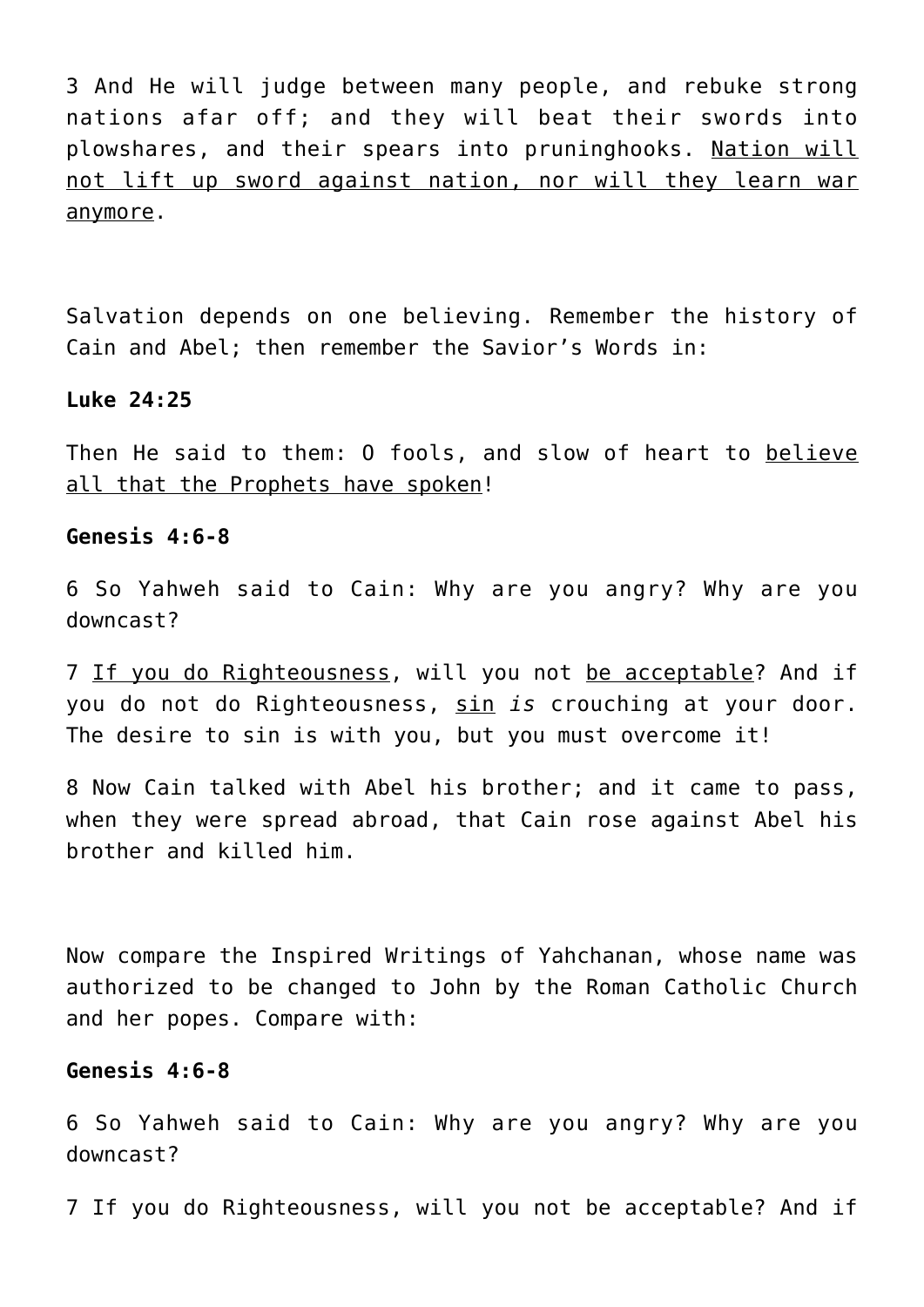3 And He will judge between many people, and rebuke strong nations afar off; and they will beat their swords into plowshares, and their spears into pruninghooks. Nation will not lift up sword against nation, nor will they learn war anymore.

Salvation depends on one believing. Remember the history of Cain and Abel; then remember the Savior's Words in:

#### **Luke 24:25**

Then He said to them: O fools, and slow of heart to believe all that the Prophets have spoken!

#### **Genesis 4:6-8**

6 So Yahweh said to Cain: Why are you angry? Why are you downcast?

7 If you do Righteousness, will you not be acceptable? And if you do not do Righteousness, sin *is* crouching at your door. The desire to sin is with you, but you must overcome it!

8 Now Cain talked with Abel his brother; and it came to pass, when they were spread abroad, that Cain rose against Abel his brother and killed him.

Now compare the Inspired Writings of Yahchanan, whose name was authorized to be changed to John by the Roman Catholic Church and her popes. Compare with:

## **Genesis 4:6-8**

6 So Yahweh said to Cain: Why are you angry? Why are you downcast?

7 If you do Righteousness, will you not be acceptable? And if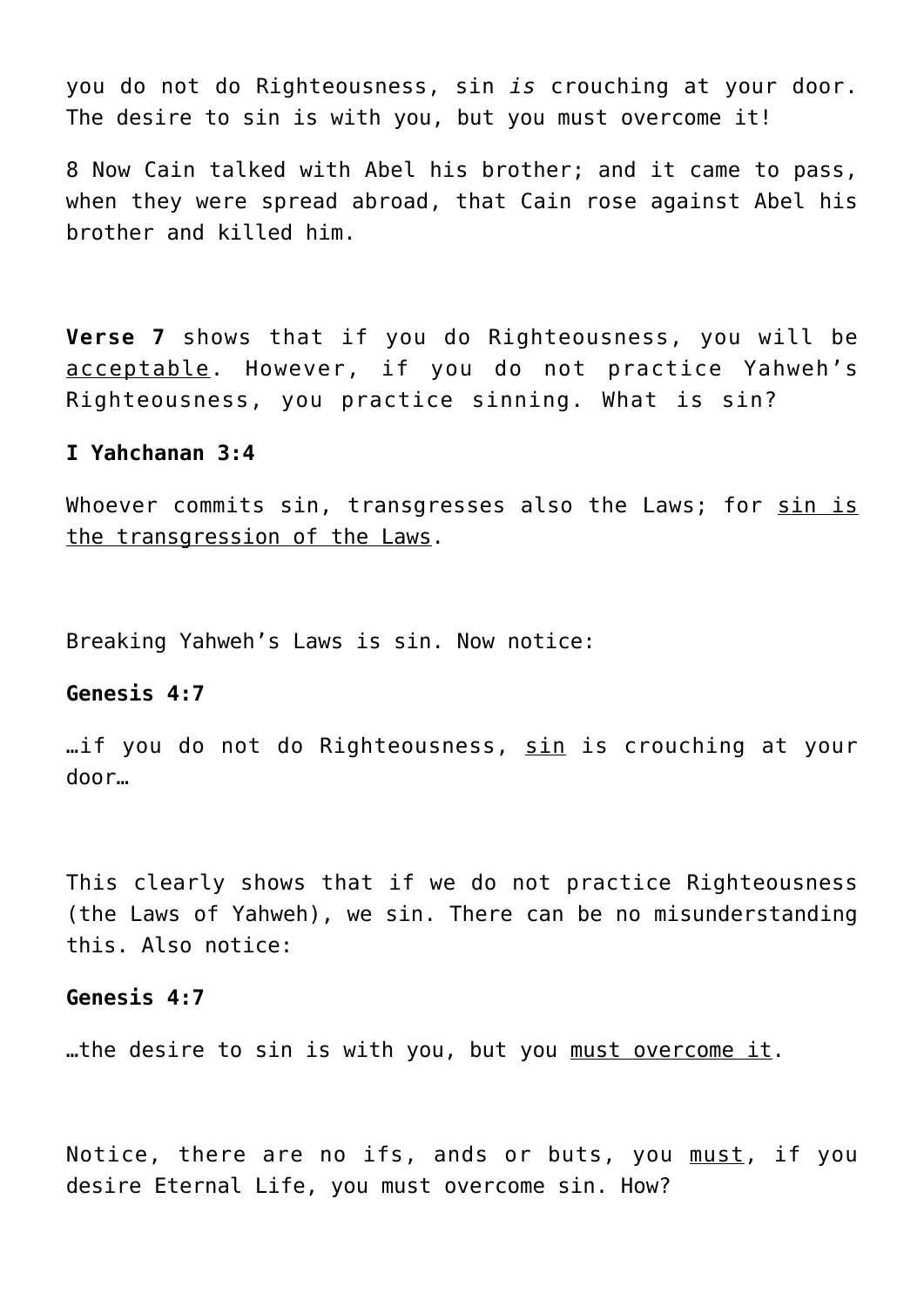you do not do Righteousness, sin *is* crouching at your door. The desire to sin is with you, but you must overcome it!

8 Now Cain talked with Abel his brother; and it came to pass, when they were spread abroad, that Cain rose against Abel his brother and killed him.

**Verse 7** shows that if you do Righteousness, you will be acceptable. However, if you do not practice Yahweh's Righteousness, you practice sinning. What is sin?

#### **I Yahchanan 3:4**

Whoever commits sin, transgresses also the Laws; for sin is the transgression of the Laws.

Breaking Yahweh's Laws is sin. Now notice:

#### **Genesis 4:7**

…if you do not do Righteousness, sin is crouching at your door…

This clearly shows that if we do not practice Righteousness (the Laws of Yahweh), we sin. There can be no misunderstanding this. Also notice:

#### **Genesis 4:7**

...the desire to sin is with you, but you must overcome it.

Notice, there are no ifs, ands or buts, you must, if you desire Eternal Life, you must overcome sin. How?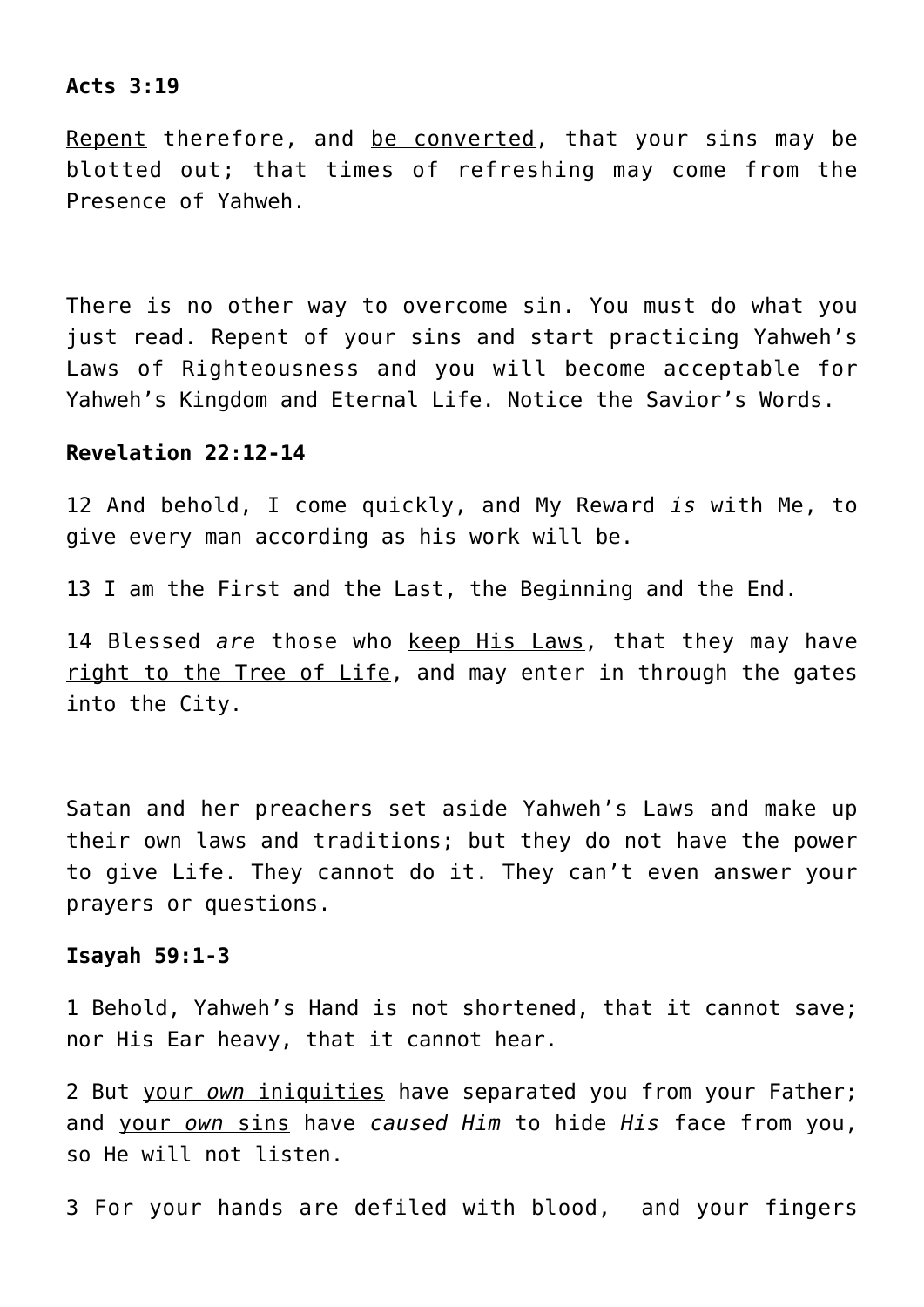#### **Acts 3:19**

Repent therefore, and be converted, that your sins may be blotted out; that times of refreshing may come from the Presence of Yahweh.

There is no other way to overcome sin. You must do what you just read. Repent of your sins and start practicing Yahweh's Laws of Righteousness and you will become acceptable for Yahweh's Kingdom and Eternal Life. Notice the Savior's Words.

#### **Revelation 22:12-14**

12 And behold, I come quickly, and My Reward *is* with Me, to give every man according as his work will be.

13 I am the First and the Last, the Beginning and the End.

14 Blessed *are* those who keep His Laws, that they may have right to the Tree of Life, and may enter in through the gates into the City.

Satan and her preachers set aside Yahweh's Laws and make up their own laws and traditions; but they do not have the power to give Life. They cannot do it. They can't even answer your prayers or questions.

#### **Isayah 59:1-3**

1 Behold, Yahweh's Hand is not shortened, that it cannot save; nor His Ear heavy, that it cannot hear.

2 But your *own* iniquities have separated you from your Father; and your *own* sins have *caused Him* to hide *His* face from you, so He will not listen.

3 For your hands are defiled with blood, and your fingers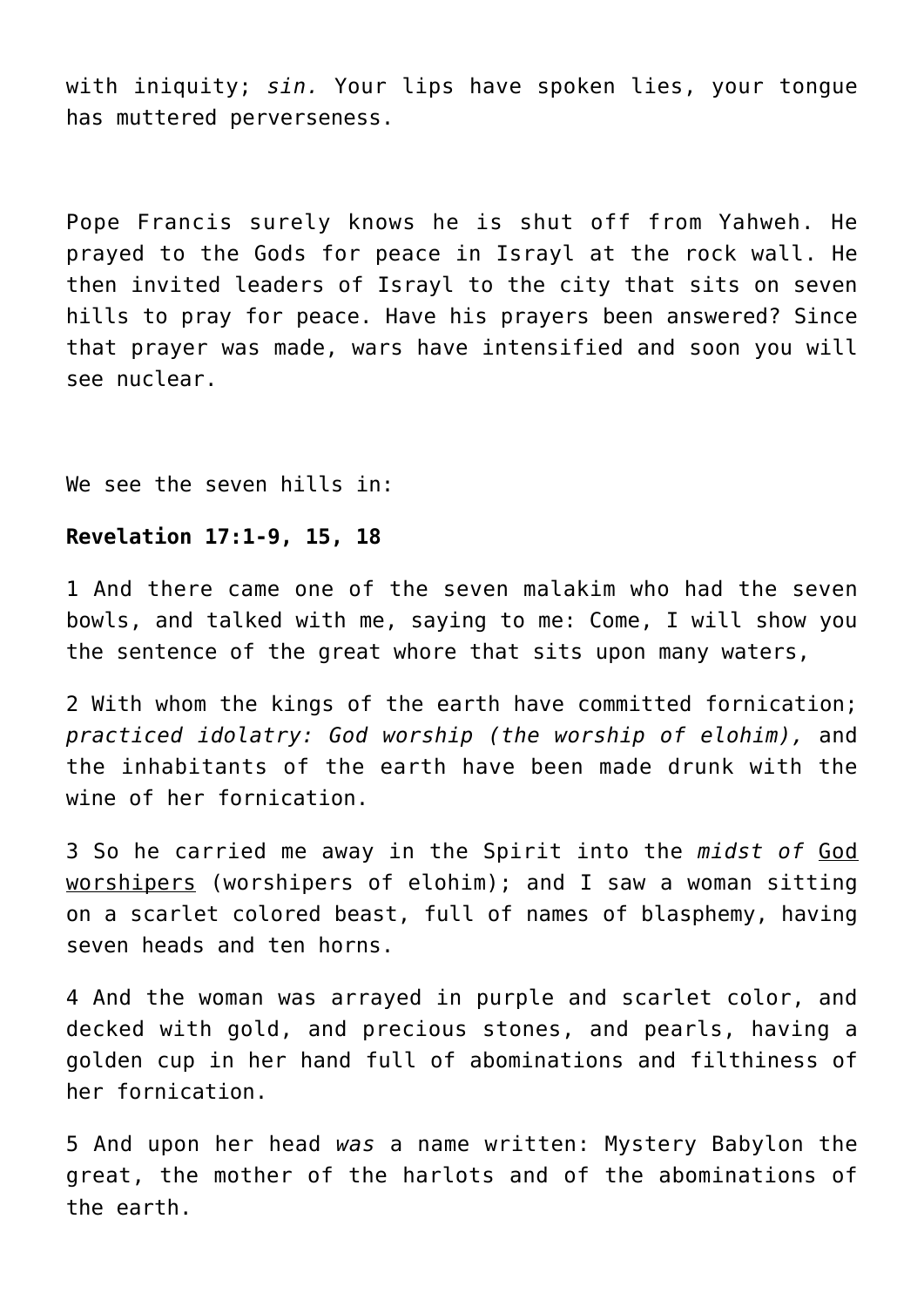with iniquity; *sin.* Your lips have spoken lies, your tongue has muttered perverseness.

Pope Francis surely knows he is shut off from Yahweh. He prayed to the Gods for peace in Israyl at the rock wall. He then invited leaders of Israyl to the city that sits on seven hills to pray for peace. Have his prayers been answered? Since that prayer was made, wars have intensified and soon you will see nuclear.

We see the seven hills in:

#### **Revelation 17:1-9, 15, 18**

1 And there came one of the seven malakim who had the seven bowls, and talked with me, saying to me: Come, I will show you the sentence of the great whore that sits upon many waters,

2 With whom the kings of the earth have committed fornication; *practiced idolatry: God worship (the worship of elohim),* and the inhabitants of the earth have been made drunk with the wine of her fornication.

3 So he carried me away in the Spirit into the *midst of* God worshipers (worshipers of elohim); and I saw a woman sitting on a scarlet colored beast, full of names of blasphemy, having seven heads and ten horns.

4 And the woman was arrayed in purple and scarlet color, and decked with gold, and precious stones, and pearls, having a golden cup in her hand full of abominations and filthiness of her fornication.

5 And upon her head *was* a name written: Mystery Babylon the great, the mother of the harlots and of the abominations of the earth.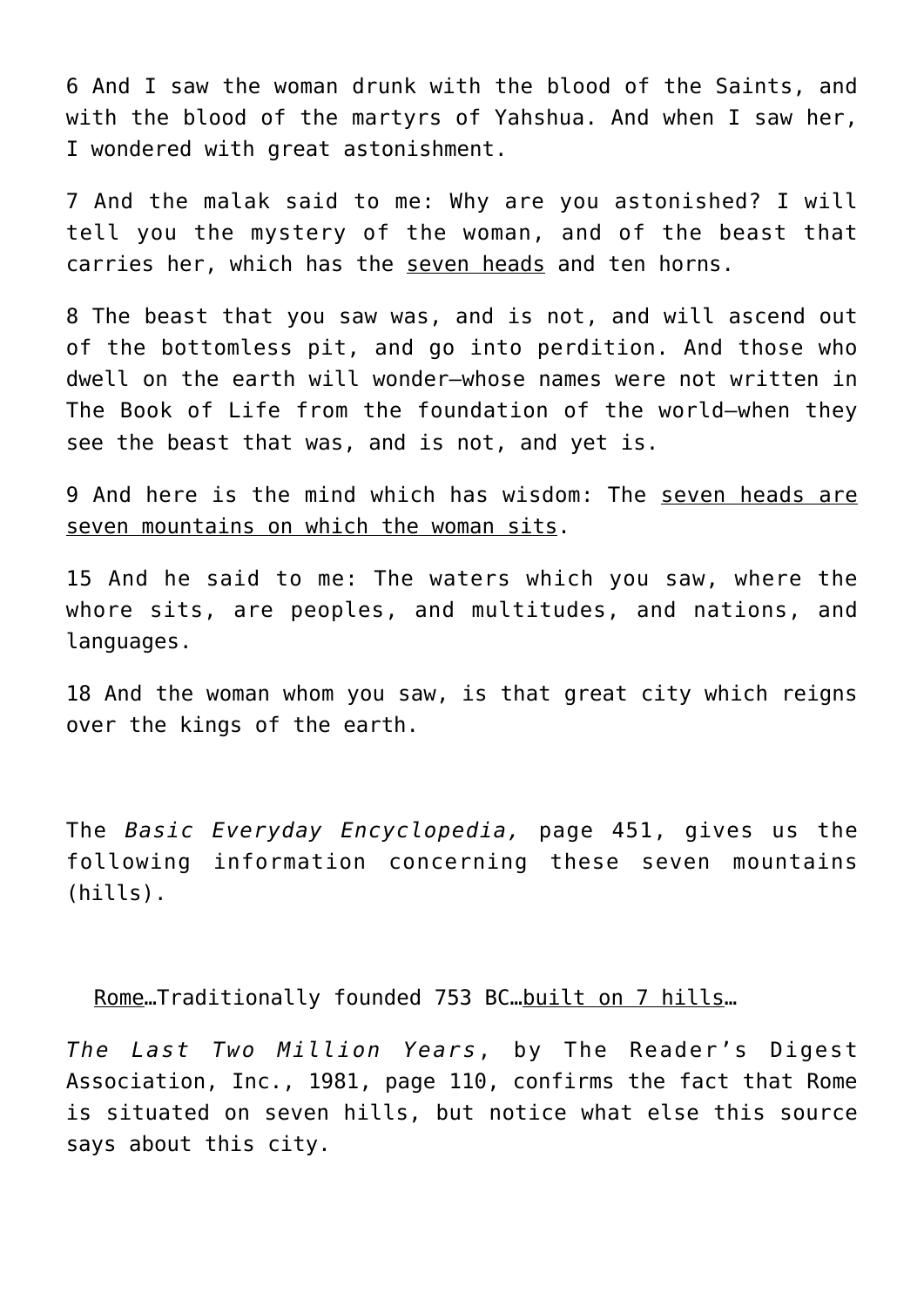6 And I saw the woman drunk with the blood of the Saints, and with the blood of the martyrs of Yahshua. And when I saw her, I wondered with great astonishment.

7 And the malak said to me: Why are you astonished? I will tell you the mystery of the woman, and of the beast that carries her, which has the seven heads and ten horns.

8 The beast that you saw was, and is not, and will ascend out of the bottomless pit, and go into perdition. And those who dwell on the earth will wonder—whose names were not written in The Book of Life from the foundation of the world—when they see the beast that was, and is not, and yet is.

9 And here is the mind which has wisdom: The seven heads are seven mountains on which the woman sits.

15 And he said to me: The waters which you saw, where the whore sits, are peoples, and multitudes, and nations, and languages.

18 And the woman whom you saw, is that great city which reigns over the kings of the earth.

The *Basic Everyday Encyclopedia,* page 451, gives us the following information concerning these seven mountains (hills).

Rome…Traditionally founded 753 BC…built on 7 hills…

*The Last Two Million Years*, by The Reader's Digest Association, Inc., 1981, page 110, confirms the fact that Rome is situated on seven hills, but notice what else this source says about this city.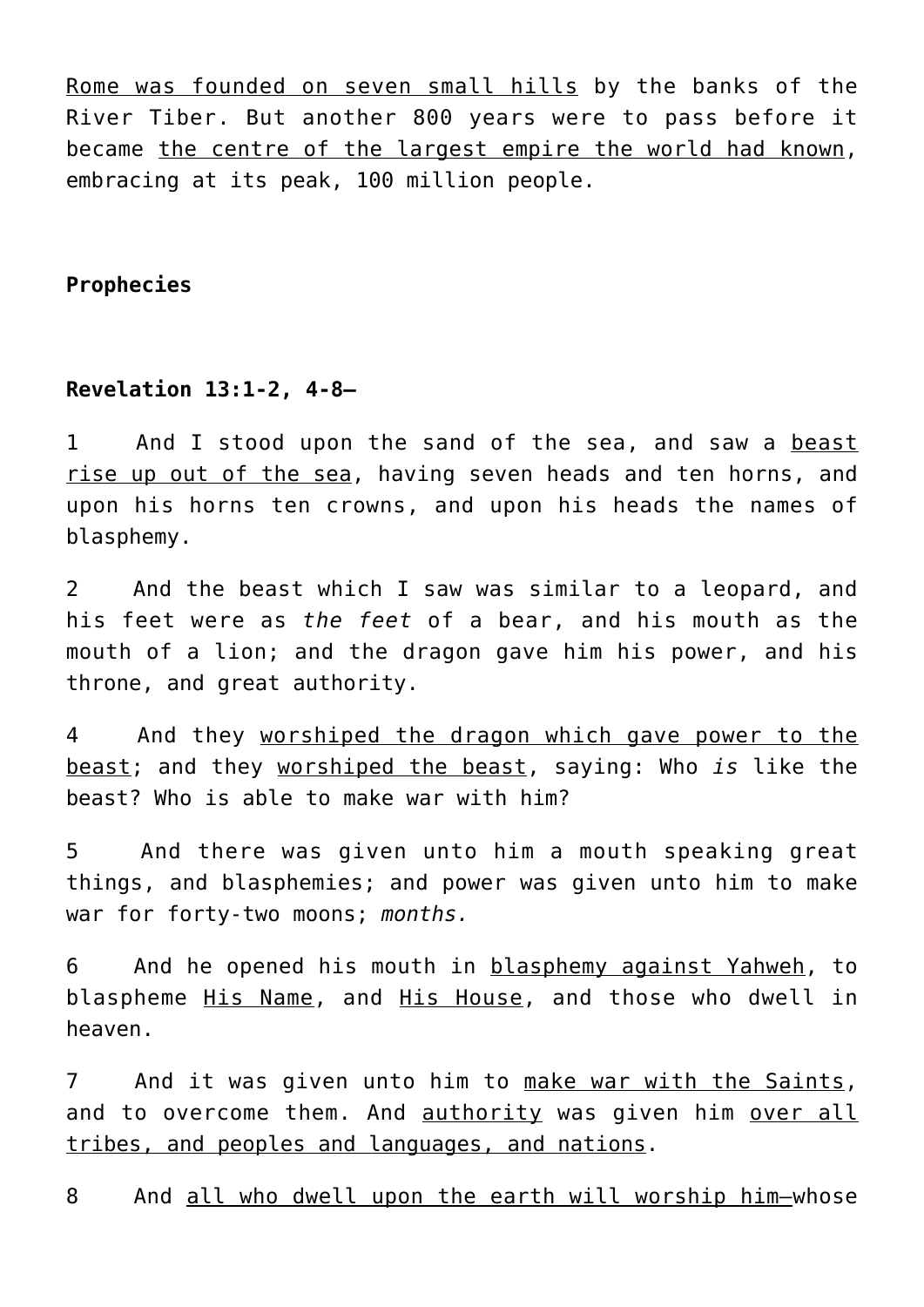Rome was founded on seven small hills by the banks of the River Tiber. But another 800 years were to pass before it became the centre of the largest empire the world had known, embracing at its peak, 100 million people.

# **Prophecies**

# **Revelation 13:1-2, 4-8—**

1 And I stood upon the sand of the sea, and saw a beast rise up out of the sea, having seven heads and ten horns, and upon his horns ten crowns, and upon his heads the names of blasphemy.

2 And the beast which I saw was similar to a leopard, and his feet were as *the feet* of a bear, and his mouth as the mouth of a lion; and the dragon gave him his power, and his throne, and great authority.

4 And they worshiped the dragon which gave power to the beast; and they worshiped the beast, saying: Who *is* like the beast? Who is able to make war with him?

5 And there was given unto him a mouth speaking great things, and blasphemies; and power was given unto him to make war for forty-two moons; *months.*

6 And he opened his mouth in blasphemy against Yahweh, to blaspheme His Name, and His House, and those who dwell in heaven.

7 And it was given unto him to make war with the Saints, and to overcome them. And authority was given him over all tribes, and peoples and languages, and nations.

8 And all who dwell upon the earth will worship him—whose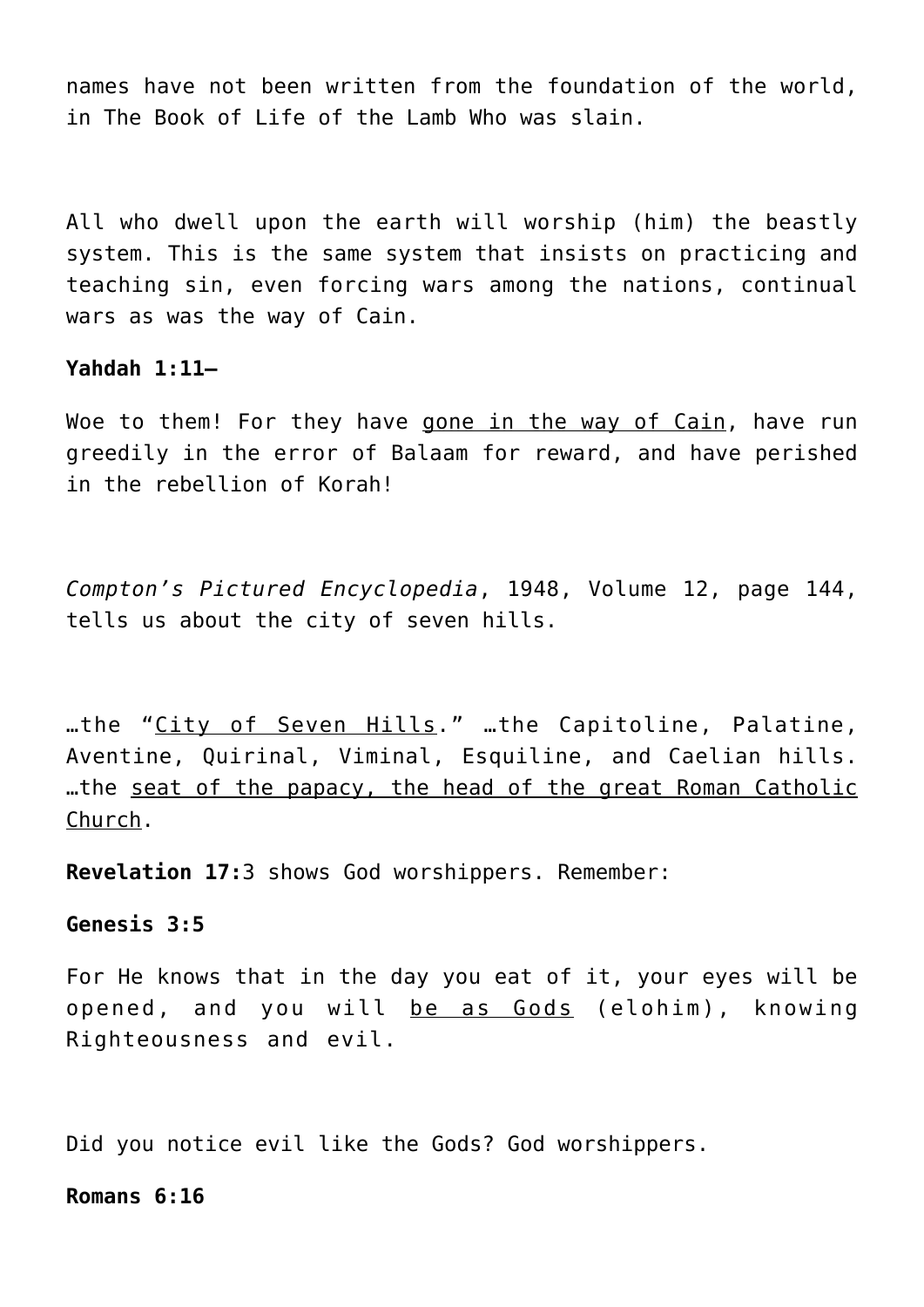names have not been written from the foundation of the world, in The Book of Life of the Lamb Who was slain.

All who dwell upon the earth will worship (him) the beastly system. This is the same system that insists on practicing and teaching sin, even forcing wars among the nations, continual wars as was the way of Cain.

## **Yahdah 1:11—**

Woe to them! For they have gone in the way of Cain, have run greedily in the error of Balaam for reward, and have perished in the rebellion of Korah!

*Compton's Pictured Encyclopedia*, 1948, Volume 12, page 144, tells us about the city of seven hills.

…the "City of Seven Hills." …the Capitoline, Palatine, Aventine, Quirinal, Viminal, Esquiline, and Caelian hills. …the seat of the papacy, the head of the great Roman Catholic Church.

**Revelation 17:**3 shows God worshippers. Remember:

# **Genesis 3:5**

For He knows that in the day you eat of it, your eyes will be opened, and you will be as Gods (elohim), knowing Righteousness and evil.

Did you notice evil like the Gods? God worshippers.

#### **Romans 6:16**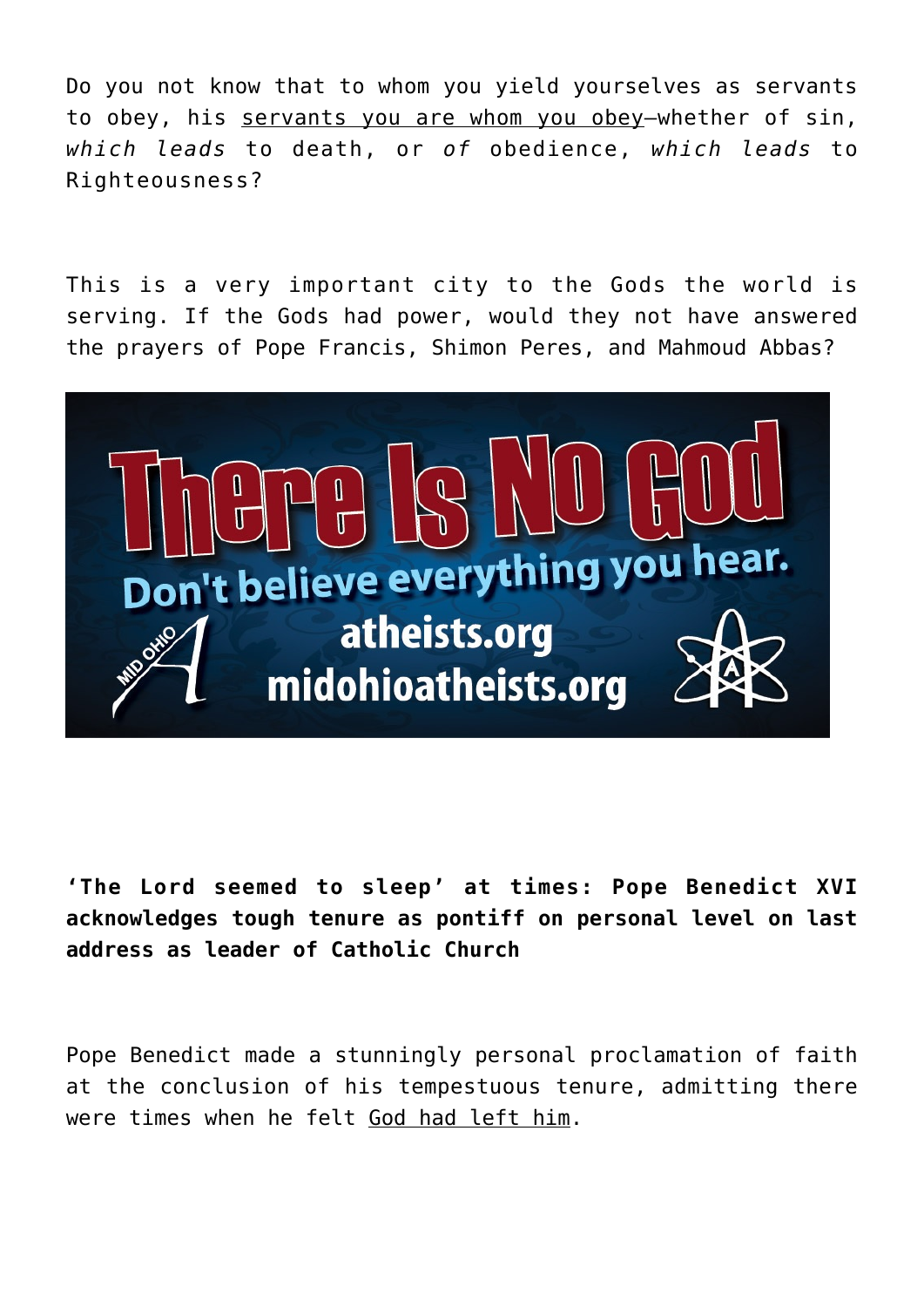Do you not know that to whom you yield yourselves as servants to obey, his servants you are whom you obey—whether of sin, *which leads* to death, or *of* obedience, *which leads* to Righteousness?

This is a very important city to the Gods the world is serving. If the Gods had power, would they not have answered the prayers of Pope Francis, Shimon Peres, and Mahmoud Abbas?



**'The Lord seemed to sleep' at times: Pope Benedict XVI acknowledges tough tenure as pontiff on personal level on last address as leader of Catholic Church**

Pope Benedict made a stunningly personal proclamation of faith at the conclusion of his tempestuous tenure, admitting there were times when he felt God had left him.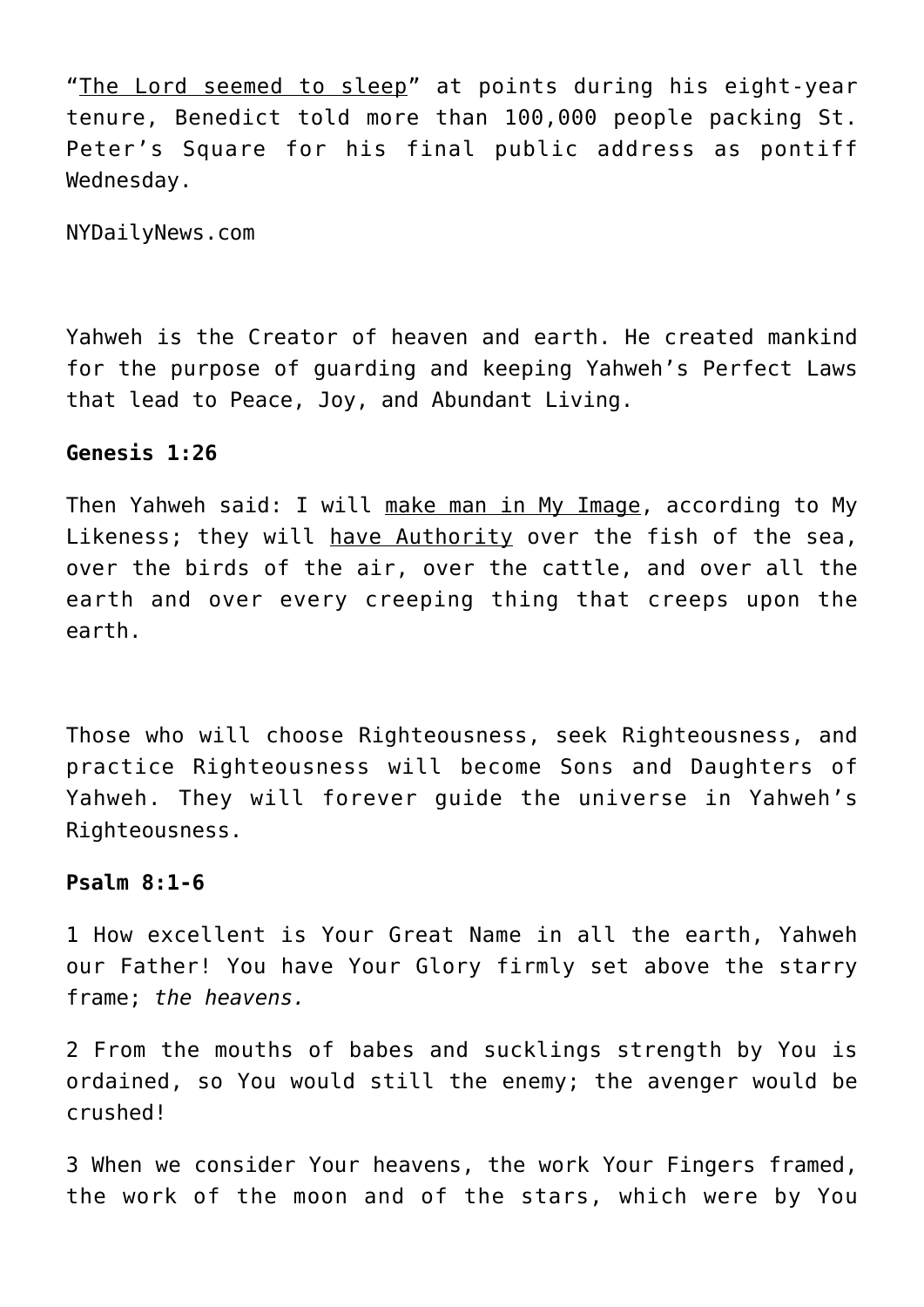"The Lord seemed to sleep" at points during his eight-year tenure, Benedict told more than 100,000 people packing St. Peter's Square for his final public address as pontiff Wednesday.

NYDailyNews.com

Yahweh is the Creator of heaven and earth. He created mankind for the purpose of guarding and keeping Yahweh's Perfect Laws that lead to Peace, Joy, and Abundant Living.

# **Genesis 1:26**

Then Yahweh said: I will make man in My Image, according to My Likeness; they will have Authority over the fish of the sea, over the birds of the air, over the cattle, and over all the earth and over every creeping thing that creeps upon the earth.

Those who will choose Righteousness, seek Righteousness, and practice Righteousness will become Sons and Daughters of Yahweh. They will forever guide the universe in Yahweh's Righteousness.

## **Psalm 8:1-6**

1 How excellent is Your Great Name in all the earth, Yahweh our Father! You have Your Glory firmly set above the starry frame; *the heavens.*

2 From the mouths of babes and sucklings strength by You is ordained, so You would still the enemy; the avenger would be crushed!

3 When we consider Your heavens, the work Your Fingers framed, the work of the moon and of the stars, which were by You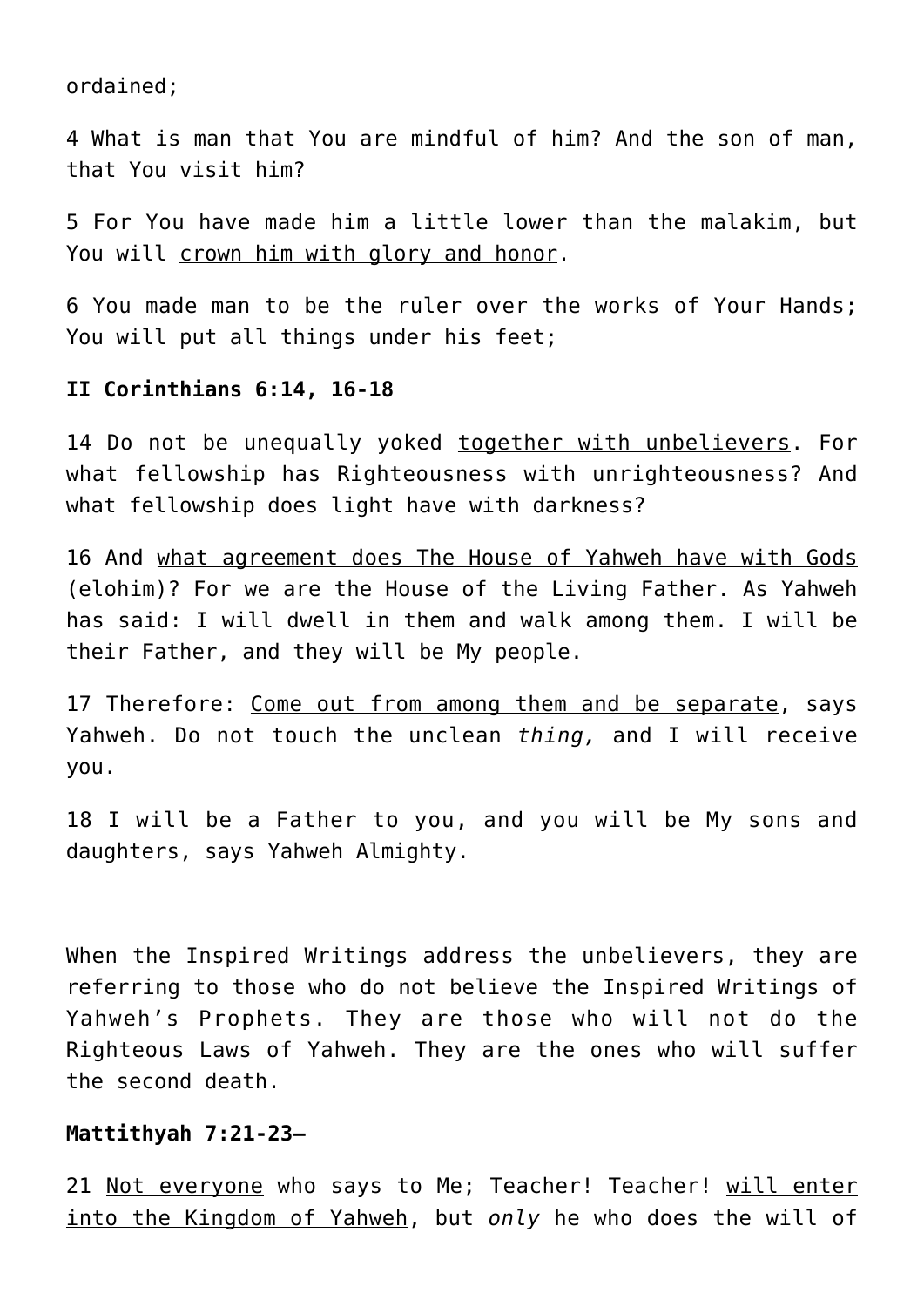ordained;

4 What is man that You are mindful of him? And the son of man, that You visit him?

5 For You have made him a little lower than the malakim, but You will crown him with glory and honor.

6 You made man to be the ruler over the works of Your Hands; You will put all things under his feet:

# **II Corinthians 6:14, 16-18**

14 Do not be unequally yoked together with unbelievers. For what fellowship has Righteousness with unrighteousness? And what fellowship does light have with darkness?

16 And what agreement does The House of Yahweh have with Gods (elohim)? For we are the House of the Living Father. As Yahweh has said: I will dwell in them and walk among them. I will be their Father, and they will be My people.

17 Therefore: Come out from among them and be separate, says Yahweh. Do not touch the unclean *thing,* and I will receive you.

18 I will be a Father to you, and you will be My sons and daughters, says Yahweh Almighty.

When the Inspired Writings address the unbelievers, they are referring to those who do not believe the Inspired Writings of Yahweh's Prophets. They are those who will not do the Righteous Laws of Yahweh. They are the ones who will suffer the second death.

## **Mattithyah 7:21-23—**

21 Not everyone who says to Me; Teacher! Teacher! will enter into the Kingdom of Yahweh, but *only* he who does the will of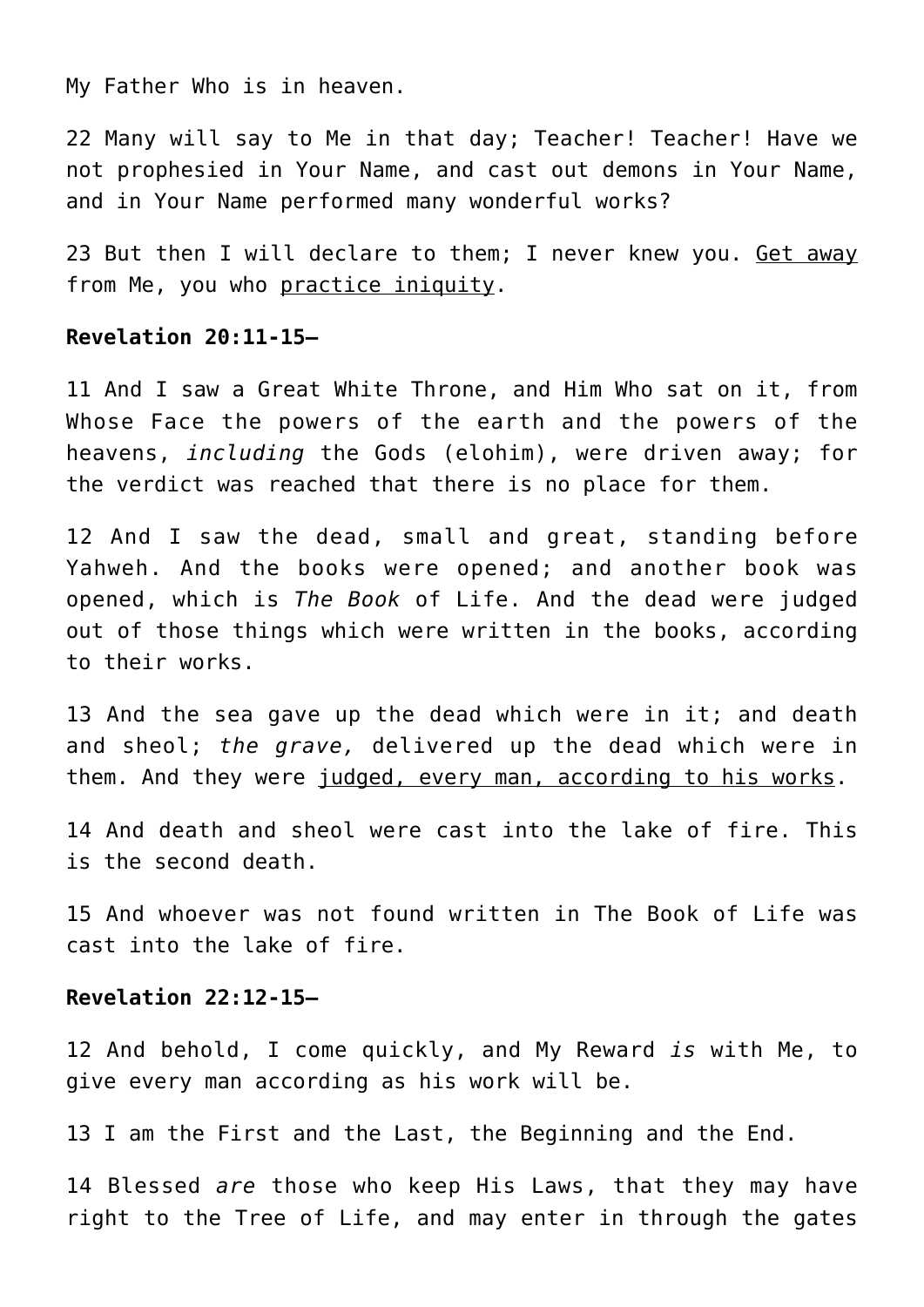My Father Who is in heaven.

22 Many will say to Me in that day; Teacher! Teacher! Have we not prophesied in Your Name, and cast out demons in Your Name, and in Your Name performed many wonderful works?

23 But then I will declare to them; I never knew you. Get away from Me, you who practice iniquity.

# **Revelation 20:11-15—**

11 And I saw a Great White Throne, and Him Who sat on it, from Whose Face the powers of the earth and the powers of the heavens, *including* the Gods (elohim), were driven away; for the verdict was reached that there is no place for them.

12 And I saw the dead, small and great, standing before Yahweh. And the books were opened; and another book was opened, which is *The Book* of Life. And the dead were judged out of those things which were written in the books, according to their works.

13 And the sea gave up the dead which were in it; and death and sheol; *the grave,* delivered up the dead which were in them. And they were judged, every man, according to his works.

14 And death and sheol were cast into the lake of fire. This is the second death.

15 And whoever was not found written in The Book of Life was cast into the lake of fire.

## **Revelation 22:12-15—**

12 And behold, I come quickly, and My Reward *is* with Me, to give every man according as his work will be.

13 I am the First and the Last, the Beginning and the End.

14 Blessed *are* those who keep His Laws, that they may have right to the Tree of Life, and may enter in through the gates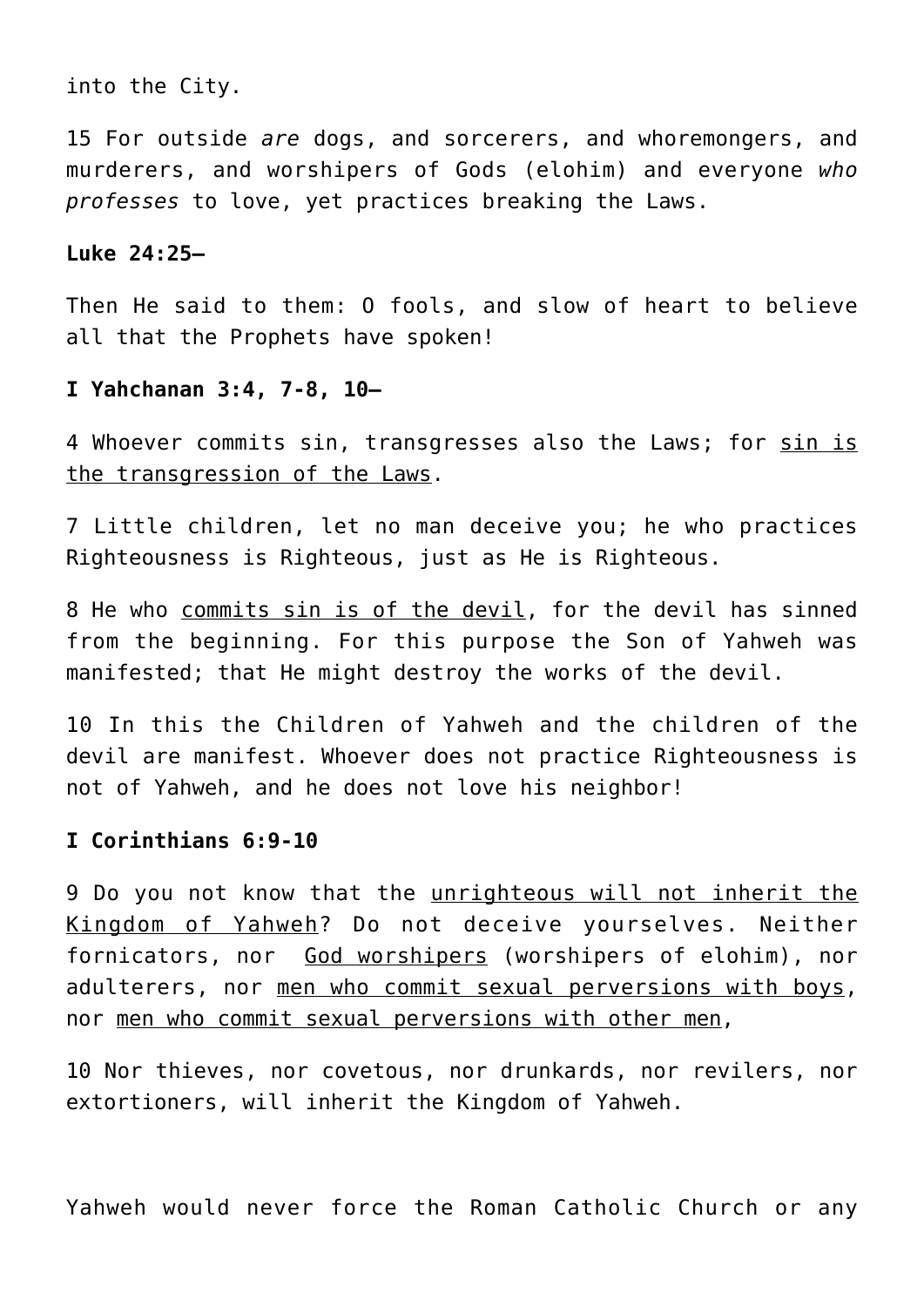into the City.

15 For outside *are* dogs, and sorcerers, and whoremongers, and murderers, and worshipers of Gods (elohim) and everyone *who professes* to love, yet practices breaking the Laws.

## **Luke 24:25—**

Then He said to them: O fools, and slow of heart to believe all that the Prophets have spoken!

## **I Yahchanan 3:4, 7-8, 10—**

4 Whoever commits sin, transgresses also the Laws; for sin is the transgression of the Laws.

7 Little children, let no man deceive you; he who practices Righteousness is Righteous, just as He is Righteous.

8 He who commits sin is of the devil, for the devil has sinned from the beginning. For this purpose the Son of Yahweh was manifested; that He might destroy the works of the devil.

10 In this the Children of Yahweh and the children of the devil are manifest. Whoever does not practice Righteousness is not of Yahweh, and he does not love his neighbor!

# **I Corinthians 6:9-10**

9 Do you not know that the unrighteous will not inherit the Kingdom of Yahweh? Do not deceive yourselves. Neither fornicators, nor God worshipers (worshipers of elohim), nor adulterers, nor men who commit sexual perversions with boys, nor men who commit sexual perversions with other men,

10 Nor thieves, nor covetous, nor drunkards, nor revilers, nor extortioners, will inherit the Kingdom of Yahweh.

Yahweh would never force the Roman Catholic Church or any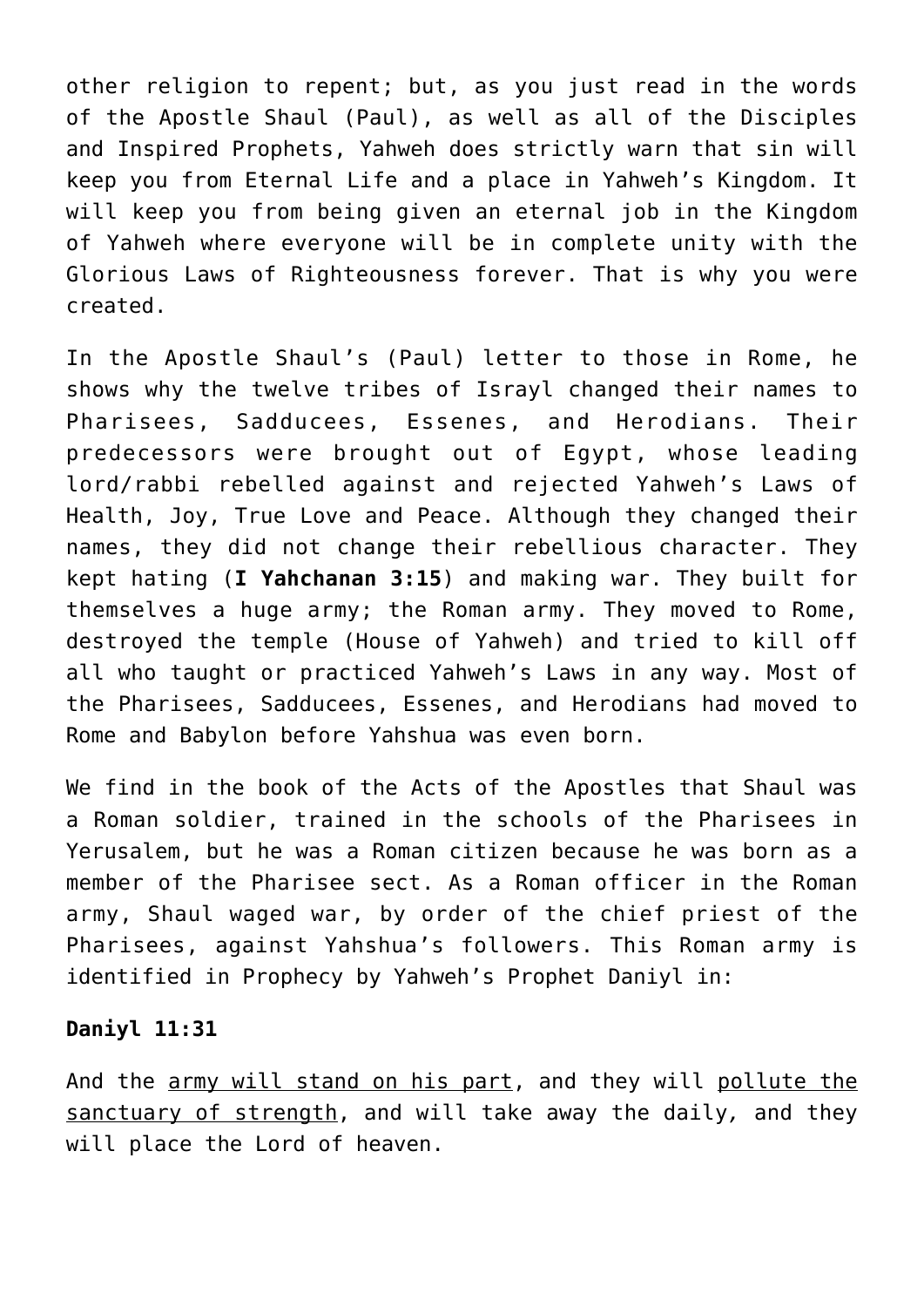other religion to repent; but, as you just read in the words of the Apostle Shaul (Paul), as well as all of the Disciples and Inspired Prophets, Yahweh does strictly warn that sin will keep you from Eternal Life and a place in Yahweh's Kingdom. It will keep you from being given an eternal job in the Kingdom of Yahweh where everyone will be in complete unity with the Glorious Laws of Righteousness forever. That is why you were created.

In the Apostle Shaul's (Paul) letter to those in Rome, he shows why the twelve tribes of Israyl changed their names to Pharisees, Sadducees, Essenes, and Herodians. Their predecessors were brought out of Egypt, whose leading lord/rabbi rebelled against and rejected Yahweh's Laws of Health, Joy, True Love and Peace. Although they changed their names, they did not change their rebellious character. They kept hating (**I Yahchanan 3:15**) and making war. They built for themselves a huge army; the Roman army. They moved to Rome, destroyed the temple (House of Yahweh) and tried to kill off all who taught or practiced Yahweh's Laws in any way. Most of the Pharisees, Sadducees, Essenes, and Herodians had moved to Rome and Babylon before Yahshua was even born.

We find in the book of the Acts of the Apostles that Shaul was a Roman soldier, trained in the schools of the Pharisees in Yerusalem, but he was a Roman citizen because he was born as a member of the Pharisee sect. As a Roman officer in the Roman army, Shaul waged war, by order of the chief priest of the Pharisees, against Yahshua's followers. This Roman army is identified in Prophecy by Yahweh's Prophet Daniyl in:

# **Daniyl 11:31**

And the army will stand on his part, and they will pollute the sanctuary of strength, and will take away the daily*,* and they will place the Lord of heaven.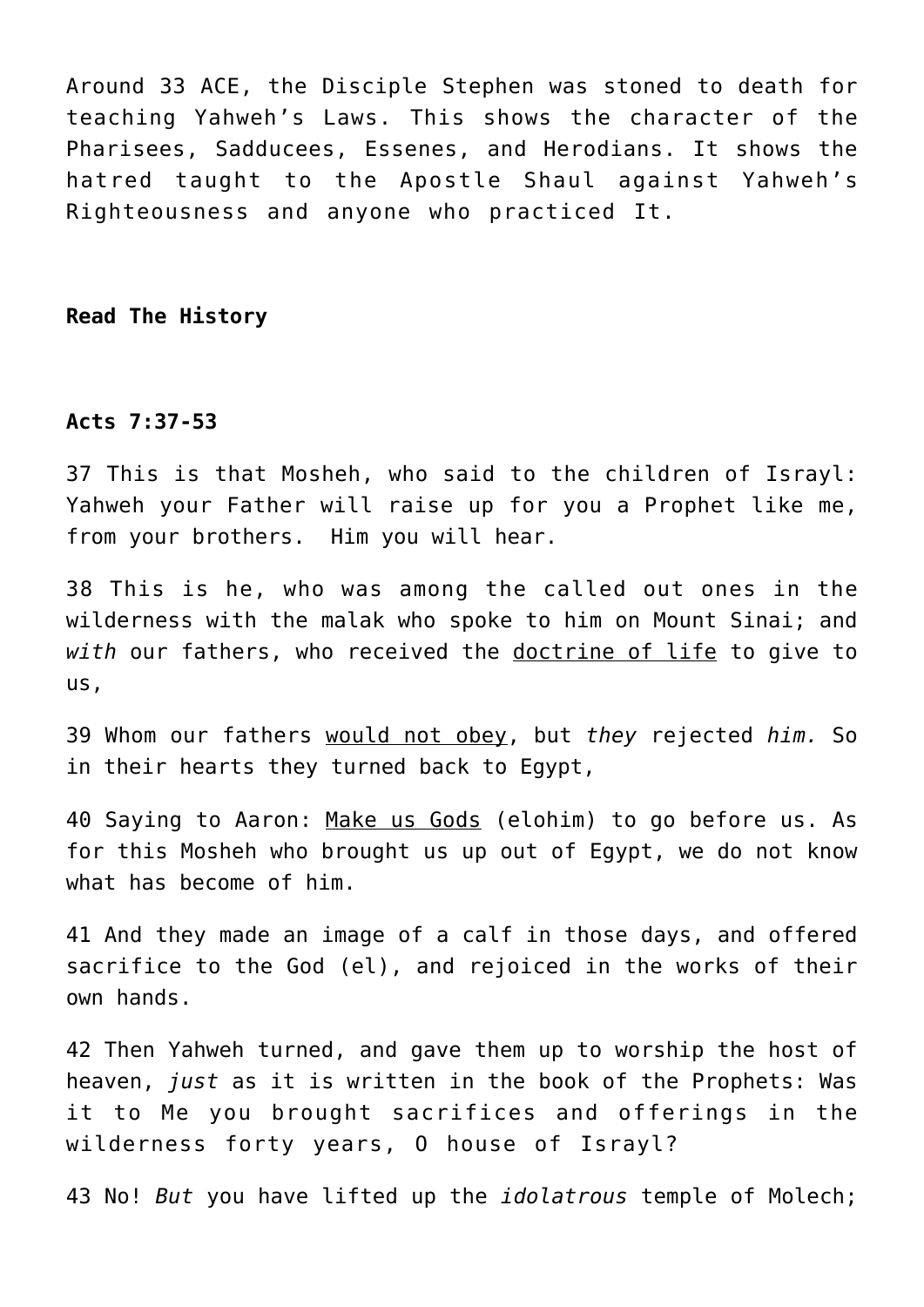Around 33 ACE, the Disciple Stephen was stoned to death for teaching Yahweh's Laws. This shows the character of the Pharisees, Sadducees, Essenes, and Herodians. It shows the hatred taught to the Apostle Shaul against Yahweh's Righteousness and anyone who practiced It.

**Read The History**

## **Acts 7:37-53**

37 This is that Mosheh, who said to the children of Israyl: Yahweh your Father will raise up for you a Prophet like me, from your brothers. Him you will hear.

38 This is he, who was among the called out ones in the wilderness with the malak who spoke to him on Mount Sinai; and *with* our fathers, who received the doctrine of life to give to us,

39 Whom our fathers would not obey, but *they* rejected *him.* So in their hearts they turned back to Egypt,

40 Saying to Aaron: Make us Gods (elohim) to go before us. As for this Mosheh who brought us up out of Egypt, we do not know what has become of him.

41 And they made an image of a calf in those days, and offered sacrifice to the God (el), and rejoiced in the works of their own hands.

42 Then Yahweh turned, and gave them up to worship the host of heaven, *just* as it is written in the book of the Prophets: Was it to Me you brought sacrifices and offerings in the wilderness forty years, O house of Israyl?

43 No! *But* you have lifted up the *idolatrous* temple of Molech;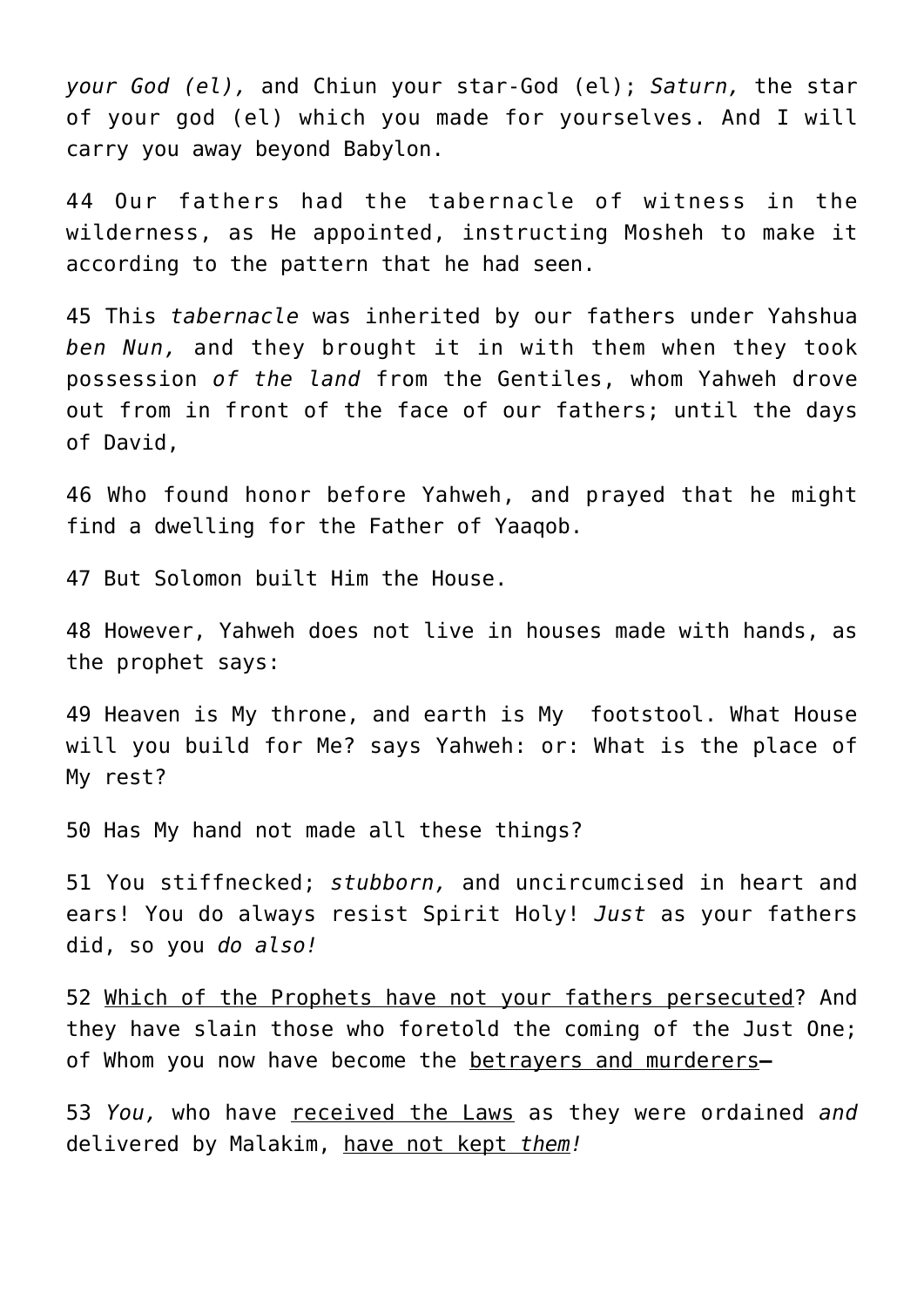*your God (el),* and Chiun your star-God (el); *Saturn,* the star of your god (el) which you made for yourselves. And I will carry you away beyond Babylon.

44 Our fathers had the tabernacle of witness in the wilderness, as He appointed, instructing Mosheh to make it according to the pattern that he had seen.

45 This *tabernacle* was inherited by our fathers under Yahshua *ben Nun,* and they brought it in with them when they took possession *of the land* from the Gentiles, whom Yahweh drove out from in front of the face of our fathers; until the days of David,

46 Who found honor before Yahweh, and prayed that he might find a dwelling for the Father of Yaaqob.

47 But Solomon built Him the House.

48 However, Yahweh does not live in houses made with hands, as the prophet says:

49 Heaven is My throne, and earth is My footstool. What House will you build for Me? says Yahweh: or: What is the place of My rest?

50 Has My hand not made all these things?

51 You stiffnecked; *stubborn,* and uncircumcised in heart and ears! You do always resist Spirit Holy! *Just* as your fathers did, so you *do also!*

52 Which of the Prophets have not your fathers persecuted? And they have slain those who foretold the coming of the Just One; of Whom you now have become the betrayers and murderers**—**

53 *You,* who have received the Laws as they were ordained *and* delivered by Malakim, have not kept *them!*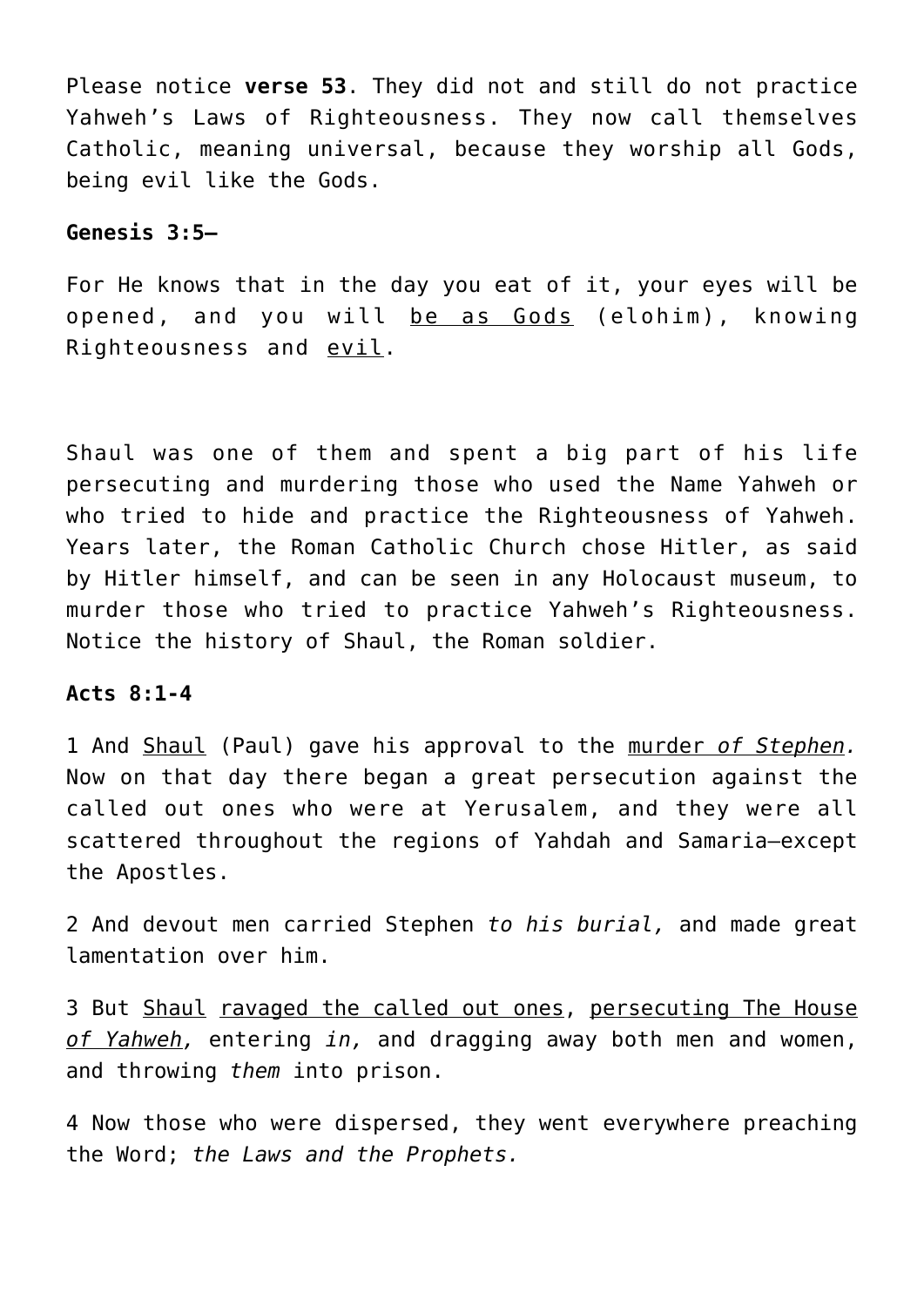Please notice **verse 53**. They did not and still do not practice Yahweh's Laws of Righteousness. They now call themselves Catholic, meaning universal, because they worship all Gods, being evil like the Gods.

# **Genesis 3:5—**

For He knows that in the day you eat of it, your eyes will be opened, and you will be as Gods (elohim), knowing Righteousness and evil.

Shaul was one of them and spent a big part of his life persecuting and murdering those who used the Name Yahweh or who tried to hide and practice the Righteousness of Yahweh. Years later, the Roman Catholic Church chose Hitler, as said by Hitler himself, and can be seen in any Holocaust museum, to murder those who tried to practice Yahweh's Righteousness. Notice the history of Shaul, the Roman soldier.

## **Acts 8:1-4**

1 And Shaul (Paul) gave his approval to the murder *of Stephen.* Now on that day there began a great persecution against the called out ones who were at Yerusalem, and they were all scattered throughout the regions of Yahdah and Samaria—except the Apostles.

2 And devout men carried Stephen *to his burial,* and made great lamentation over him.

3 But Shaul ravaged the called out ones, persecuting The House *of Yahweh,* entering *in,* and dragging away both men and women, and throwing *them* into prison.

4 Now those who were dispersed, they went everywhere preaching the Word; *the Laws and the Prophets.*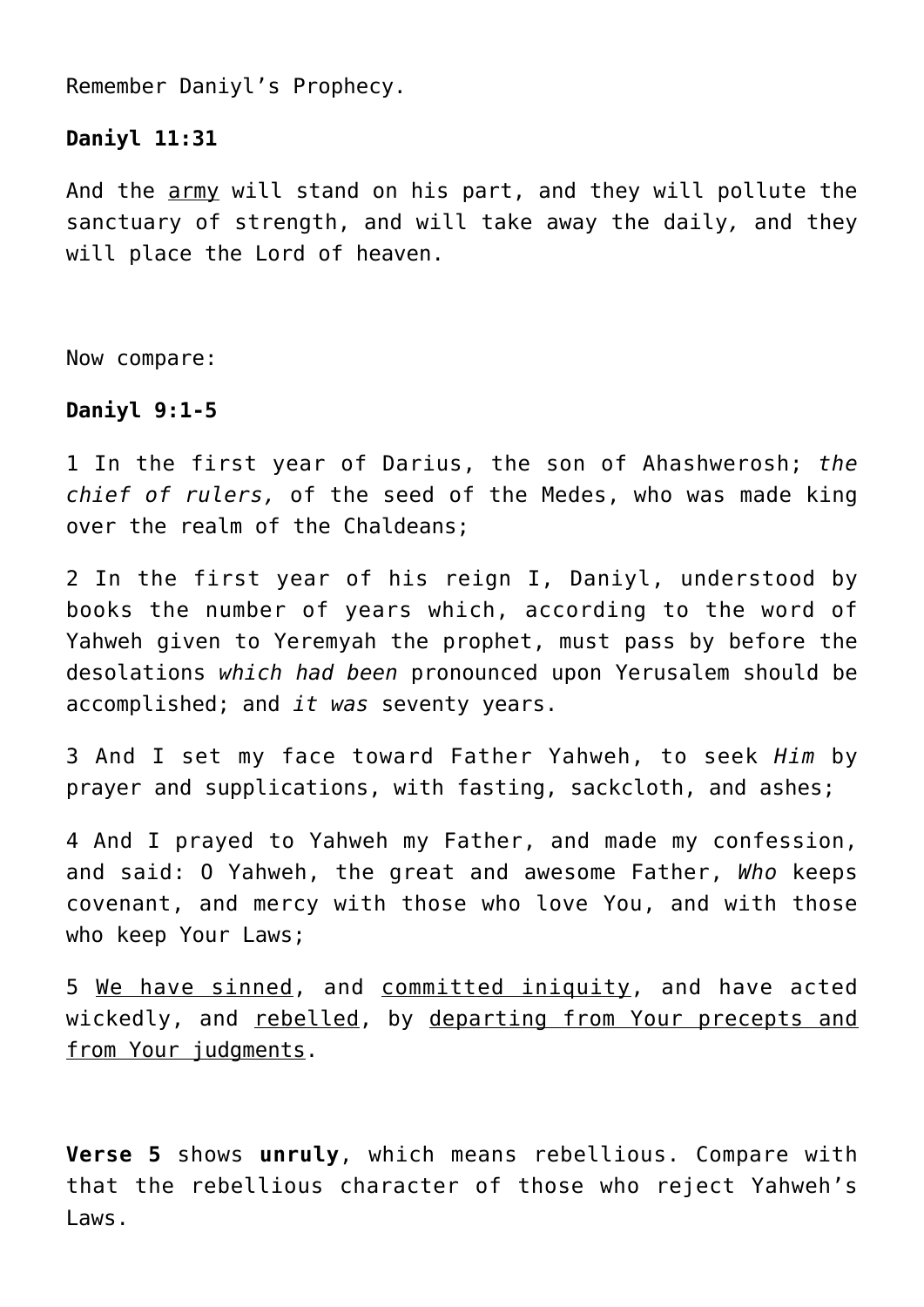Remember Daniyl's Prophecy.

# **Daniyl 11:31**

And the army will stand on his part, and they will pollute the sanctuary of strength, and will take away the daily*,* and they will place the Lord of heaven.

Now compare:

# **Daniyl 9:1-5**

1 In the first year of Darius, the son of Ahashwerosh; *the chief of rulers,* of the seed of the Medes, who was made king over the realm of the Chaldeans;

2 In the first year of his reign I, Daniyl, understood by books the number of years which, according to the word of Yahweh given to Yeremyah the prophet, must pass by before the desolations *which had been* pronounced upon Yerusalem should be accomplished; and *it was* seventy years.

3 And I set my face toward Father Yahweh, to seek *Him* by prayer and supplications, with fasting, sackcloth, and ashes;

4 And I prayed to Yahweh my Father, and made my confession, and said: O Yahweh, the great and awesome Father, *Who* keeps covenant, and mercy with those who love You, and with those who keep Your Laws;

5 We have sinned, and committed iniquity, and have acted wickedly, and rebelled, by departing from Your precepts and from Your judgments.

**Verse 5** shows **unruly**, which means rebellious. Compare with that the rebellious character of those who reject Yahweh's Laws.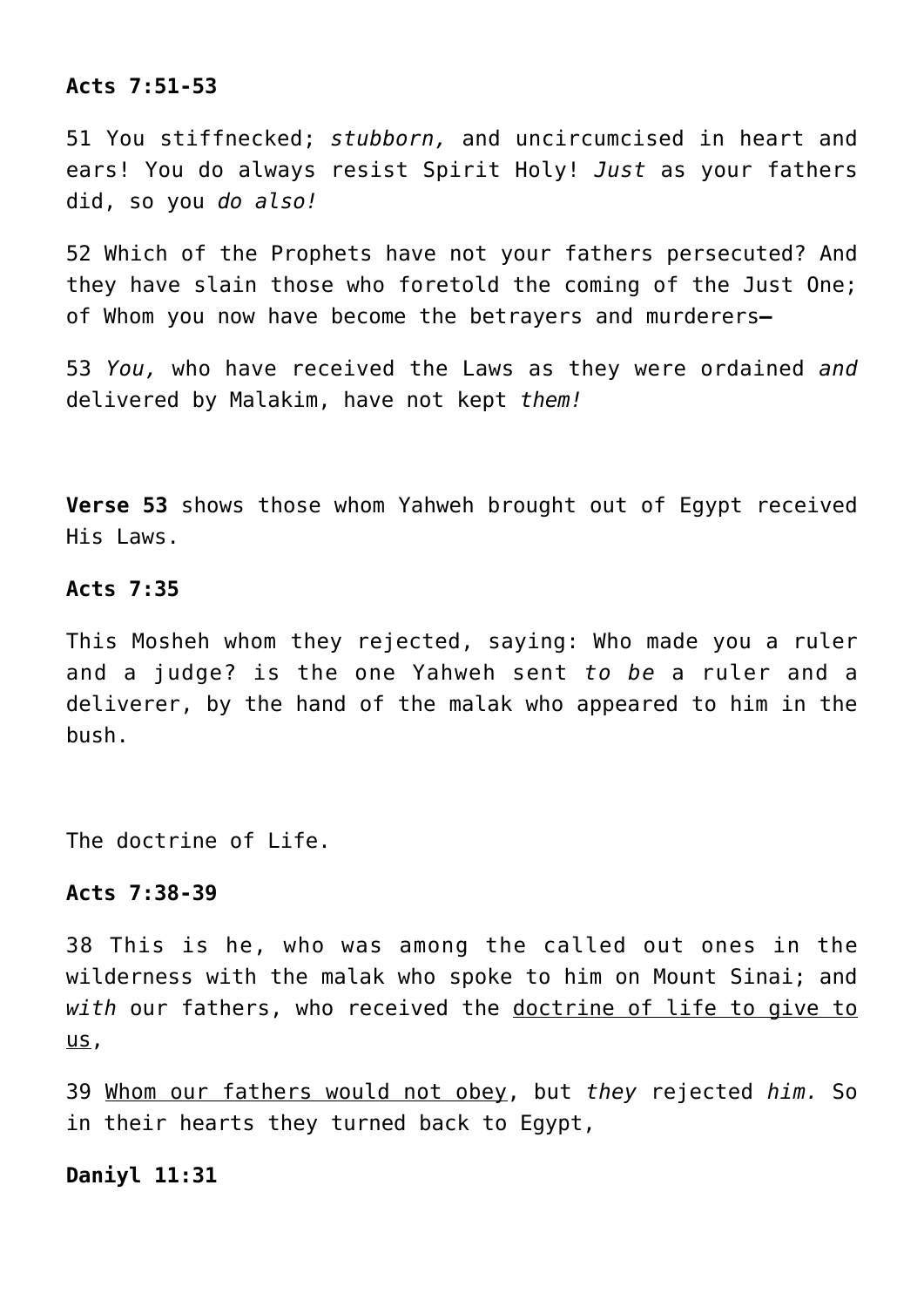# **Acts 7:51-53**

51 You stiffnecked; *stubborn,* and uncircumcised in heart and ears! You do always resist Spirit Holy! *Just* as your fathers did, so you *do also!*

52 Which of the Prophets have not your fathers persecuted? And they have slain those who foretold the coming of the Just One; of Whom you now have become the betrayers and murderers**—**

53 *You,* who have received the Laws as they were ordained *and* delivered by Malakim, have not kept *them!*

**Verse 53** shows those whom Yahweh brought out of Egypt received His Laws.

#### **Acts 7:35**

This Mosheh whom they rejected, saying: Who made you a ruler and a judge? is the one Yahweh sent *to be* a ruler and a deliverer, by the hand of the malak who appeared to him in the bush.

The doctrine of Life.

# **Acts 7:38-39**

38 This is he, who was among the called out ones in the wilderness with the malak who spoke to him on Mount Sinai; and *with* our fathers, who received the doctrine of life to give to us,

39 Whom our fathers would not obey, but *they* rejected *him.* So in their hearts they turned back to Egypt,

**Daniyl 11:31**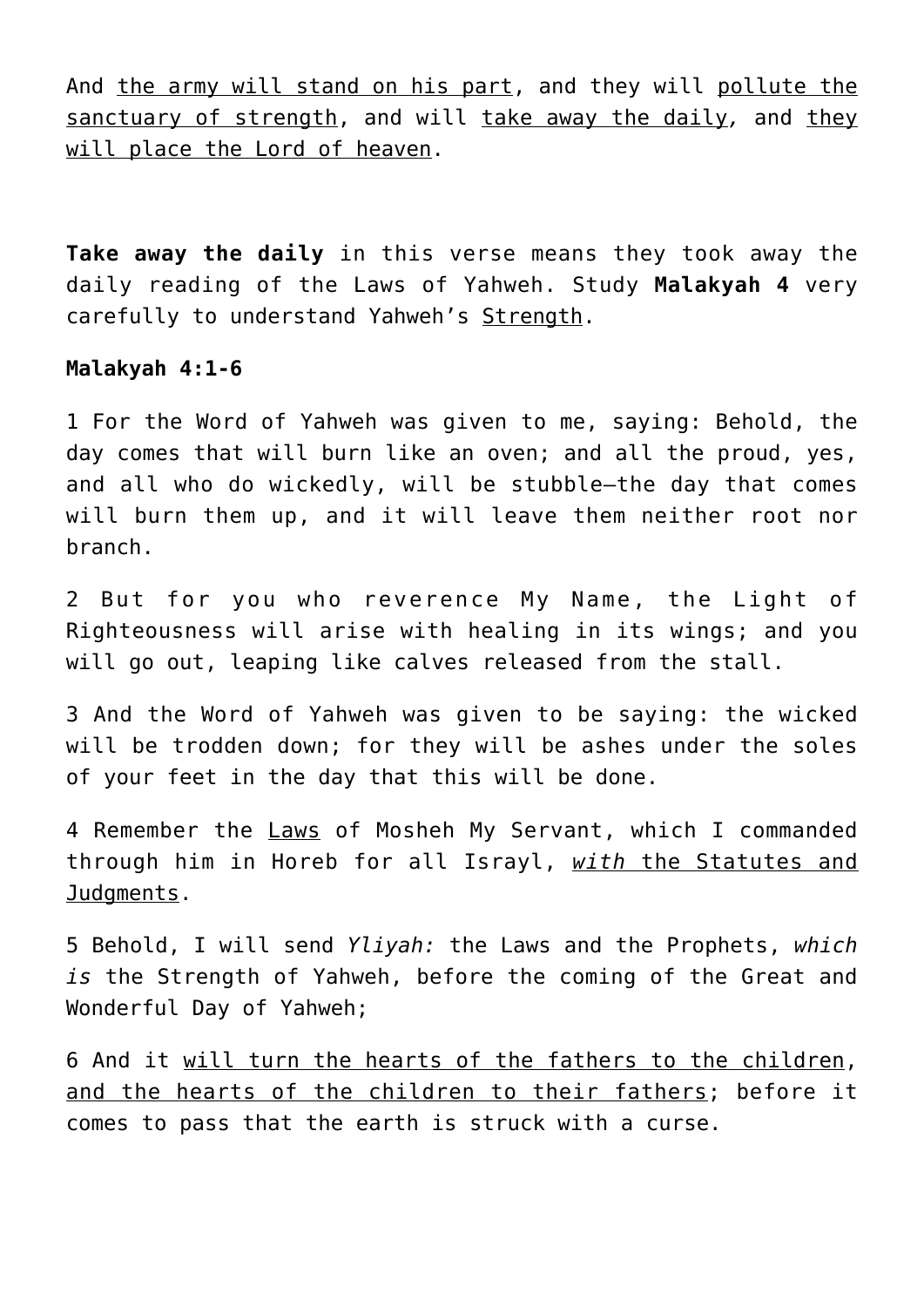And the army will stand on his part, and they will pollute the sanctuary of strength, and will take away the daily*,* and they will place the Lord of heaven.

**Take away the daily** in this verse means they took away the daily reading of the Laws of Yahweh. Study **Malakyah 4** very carefully to understand Yahweh's Strength.

#### **Malakyah 4:1-6**

1 For the Word of Yahweh was given to me, saying: Behold, the day comes that will burn like an oven; and all the proud, yes, and all who do wickedly, will be stubble—the day that comes will burn them up, and it will leave them neither root nor branch.

2 But for you who reverence My Name, the Light of Righteousness will arise with healing in its wings; and you will go out, leaping like calves released from the stall.

3 And the Word of Yahweh was given to be saying: the wicked will be trodden down; for they will be ashes under the soles of your feet in the day that this will be done.

4 Remember the Laws of Mosheh My Servant, which I commanded through him in Horeb for all Israyl, *with* the Statutes and Judgments.

5 Behold, I will send *Yliyah:* the Laws and the Prophets, *which is* the Strength of Yahweh, before the coming of the Great and Wonderful Day of Yahweh;

6 And it will turn the hearts of the fathers to the children, and the hearts of the children to their fathers; before it comes to pass that the earth is struck with a curse.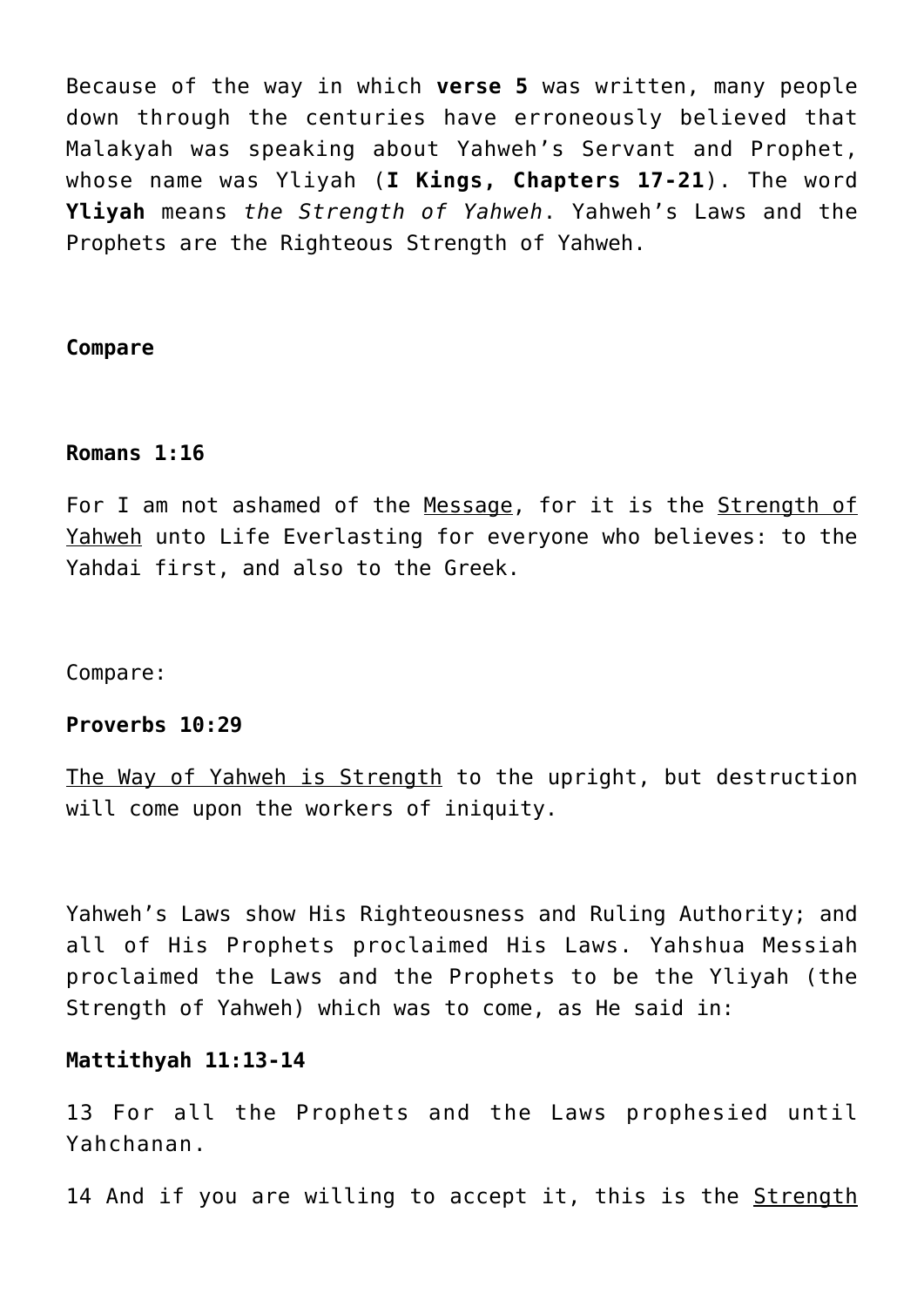Because of the way in which **verse 5** was written, many people down through the centuries have erroneously believed that Malakyah was speaking about Yahweh's Servant and Prophet, whose name was Yliyah (**I Kings, Chapters 17-21**). The word **Yliyah** means *the Strength of Yahweh*. Yahweh's Laws and the Prophets are the Righteous Strength of Yahweh.

#### **Compare**

## **Romans 1:16**

For I am not ashamed of the Message, for it is the Strength of Yahweh unto Life Everlasting for everyone who believes: to the Yahdai first, and also to the Greek.

Compare:

#### **Proverbs 10:29**

The Way of Yahweh is Strength to the upright, but destruction will come upon the workers of iniquity.

Yahweh's Laws show His Righteousness and Ruling Authority; and all of His Prophets proclaimed His Laws. Yahshua Messiah proclaimed the Laws and the Prophets to be the Yliyah (the Strength of Yahweh) which was to come, as He said in:

## **Mattithyah 11:13-14**

13 For all the Prophets and the Laws prophesied until Yahchanan.

14 And if you are willing to accept it, this is the Strength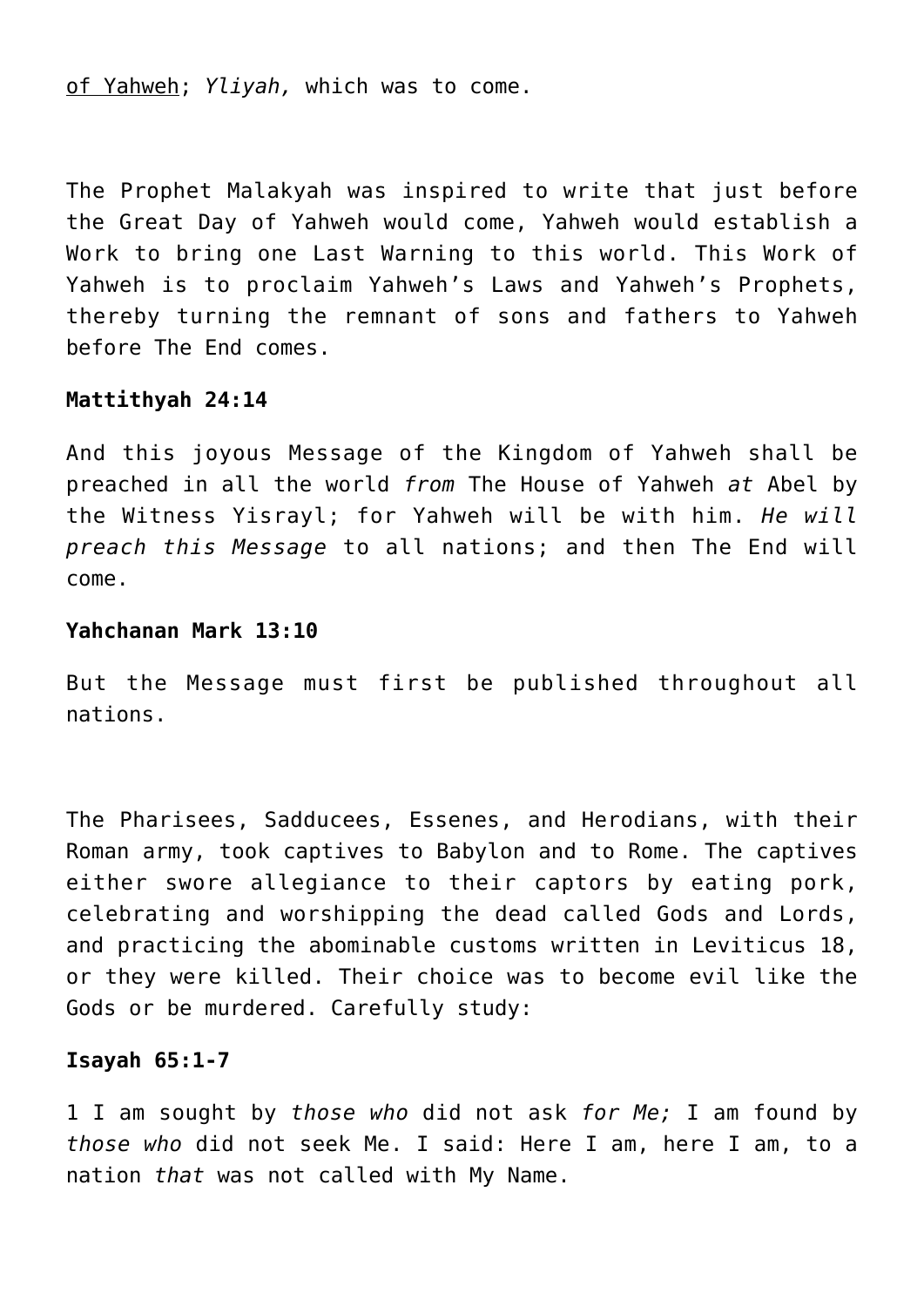of Yahweh; *Yliyah,* which was to come.

The Prophet Malakyah was inspired to write that just before the Great Day of Yahweh would come, Yahweh would establish a Work to bring one Last Warning to this world. This Work of Yahweh is to proclaim Yahweh's Laws and Yahweh's Prophets, thereby turning the remnant of sons and fathers to Yahweh before The End comes.

## **Mattithyah 24:14**

And this joyous Message of the Kingdom of Yahweh shall be preached in all the world *from* The House of Yahweh *at* Abel by the Witness Yisrayl; for Yahweh will be with him. *He will preach this Message* to all nations; and then The End will come.

## **Yahchanan Mark 13:10**

But the Message must first be published throughout all nations.

The Pharisees, Sadducees, Essenes, and Herodians, with their Roman army, took captives to Babylon and to Rome. The captives either swore allegiance to their captors by eating pork, celebrating and worshipping the dead called Gods and Lords, and practicing the abominable customs written in Leviticus 18, or they were killed. Their choice was to become evil like the Gods or be murdered. Carefully study:

#### **Isayah 65:1-7**

1 I am sought by *those who* did not ask *for Me;* I am found by *those who* did not seek Me. I said: Here I am, here I am, to a nation *that* was not called with My Name.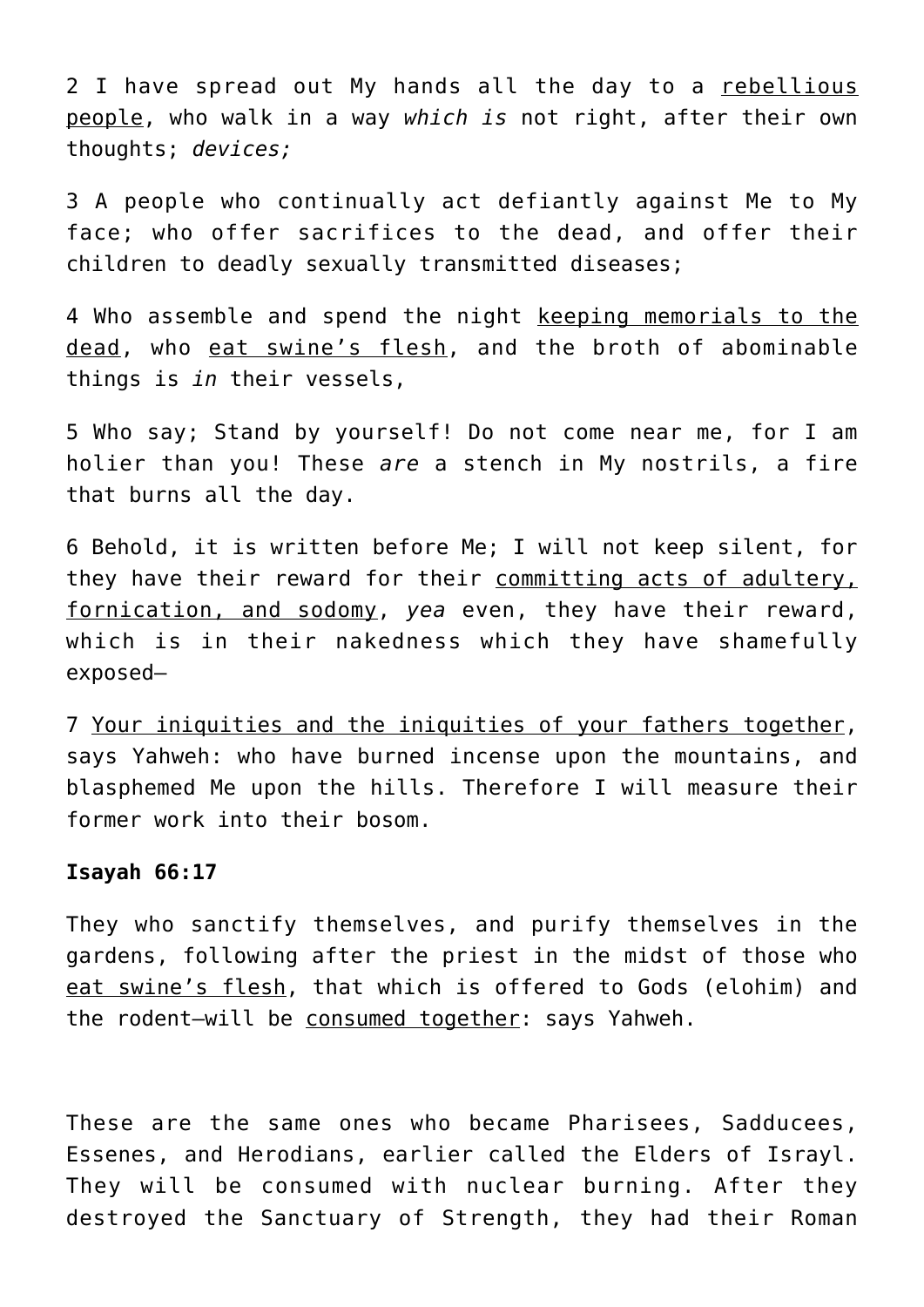2 I have spread out My hands all the day to a rebellious people, who walk in a way *which is* not right, after their own thoughts; *devices;*

3 A people who continually act defiantly against Me to My face; who offer sacrifices to the dead, and offer their children to deadly sexually transmitted diseases;

4 Who assemble and spend the night keeping memorials to the dead, who eat swine's flesh, and the broth of abominable things is *in* their vessels,

5 Who say; Stand by yourself! Do not come near me, for I am holier than you! These *are* a stench in My nostrils, a fire that burns all the day.

6 Behold, it is written before Me; I will not keep silent, for they have their reward for their committing acts of adultery, fornication, and sodomy, *yea* even, they have their reward, which is in their nakedness which they have shamefully exposed—

7 Your iniquities and the iniquities of your fathers together, says Yahweh: who have burned incense upon the mountains, and blasphemed Me upon the hills. Therefore I will measure their former work into their bosom.

#### **Isayah 66:17**

They who sanctify themselves, and purify themselves in the gardens, following after the priest in the midst of those who eat swine's flesh, that which is offered to Gods (elohim) and the rodent—will be consumed together: says Yahweh.

These are the same ones who became Pharisees, Sadducees, Essenes, and Herodians, earlier called the Elders of Israyl. They will be consumed with nuclear burning. After they destroyed the Sanctuary of Strength, they had their Roman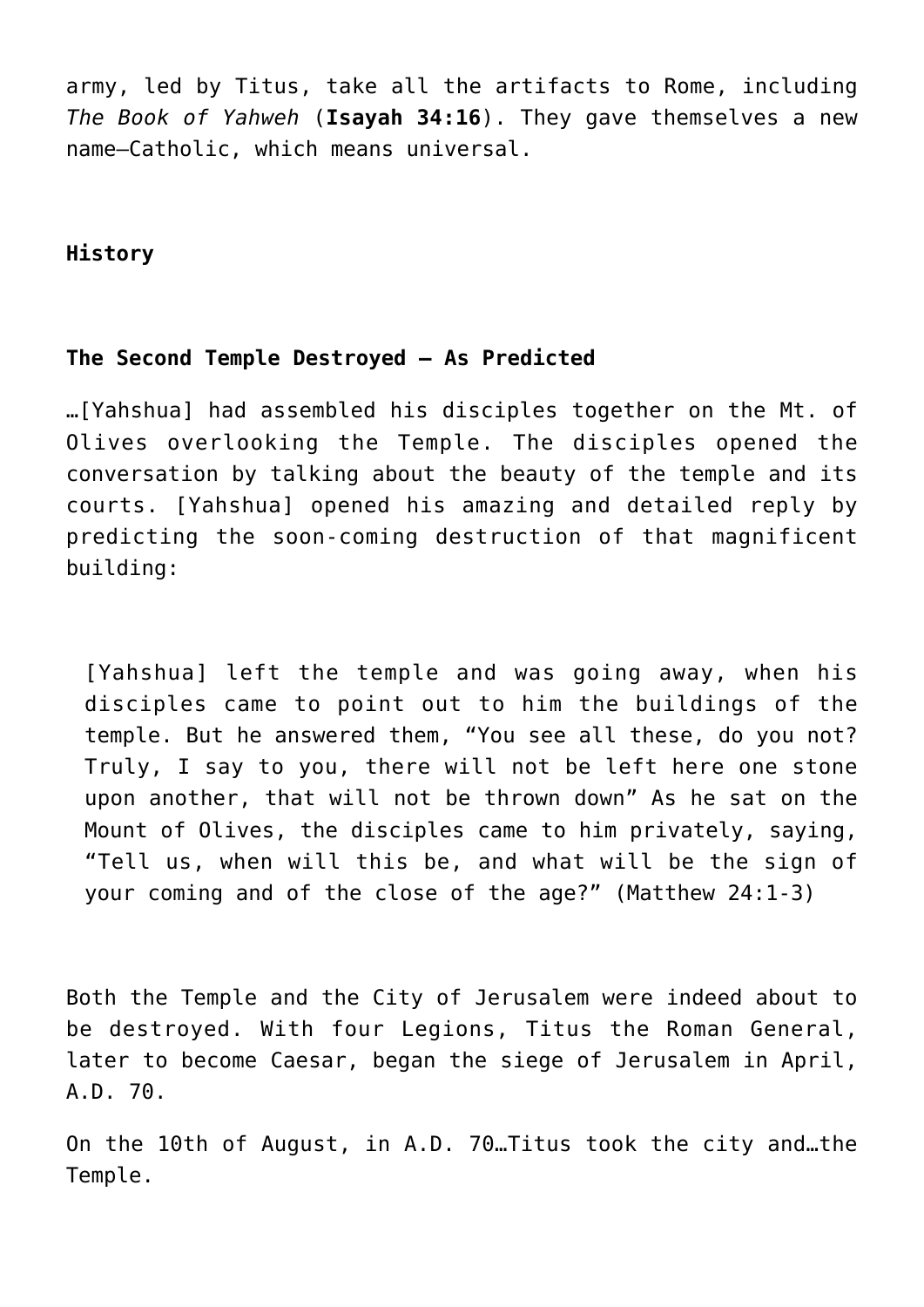army, led by Titus, take all the artifacts to Rome, including *The Book of Yahweh* (**Isayah 34:16**). They gave themselves a new name–Catholic, which means universal.

**History**

# **The Second Temple Destroyed – As Predicted**

…[Yahshua] had assembled his disciples together on the Mt. of Olives overlooking the Temple. The disciples opened the conversation by talking about the beauty of the temple and its courts. [Yahshua] opened his amazing and detailed reply by predicting the soon-coming destruction of that magnificent building:

[Yahshua] left the temple and was going away, when his disciples came to point out to him the buildings of the temple. But he answered them, "You see all these, do you not? Truly, I say to you, there will not be left here one stone upon another, that will not be thrown down" As he sat on the Mount of Olives, the disciples came to him privately, saying, "Tell us, when will this be, and what will be the sign of your coming and of the close of the age?" (Matthew 24:1-3)

Both the Temple and the City of Jerusalem were indeed about to be destroyed. With four Legions, Titus the Roman General, later to become Caesar, began the siege of Jerusalem in April, A.D. 70.

On the 10th of August, in A.D. 70…Titus took the city and…the Temple.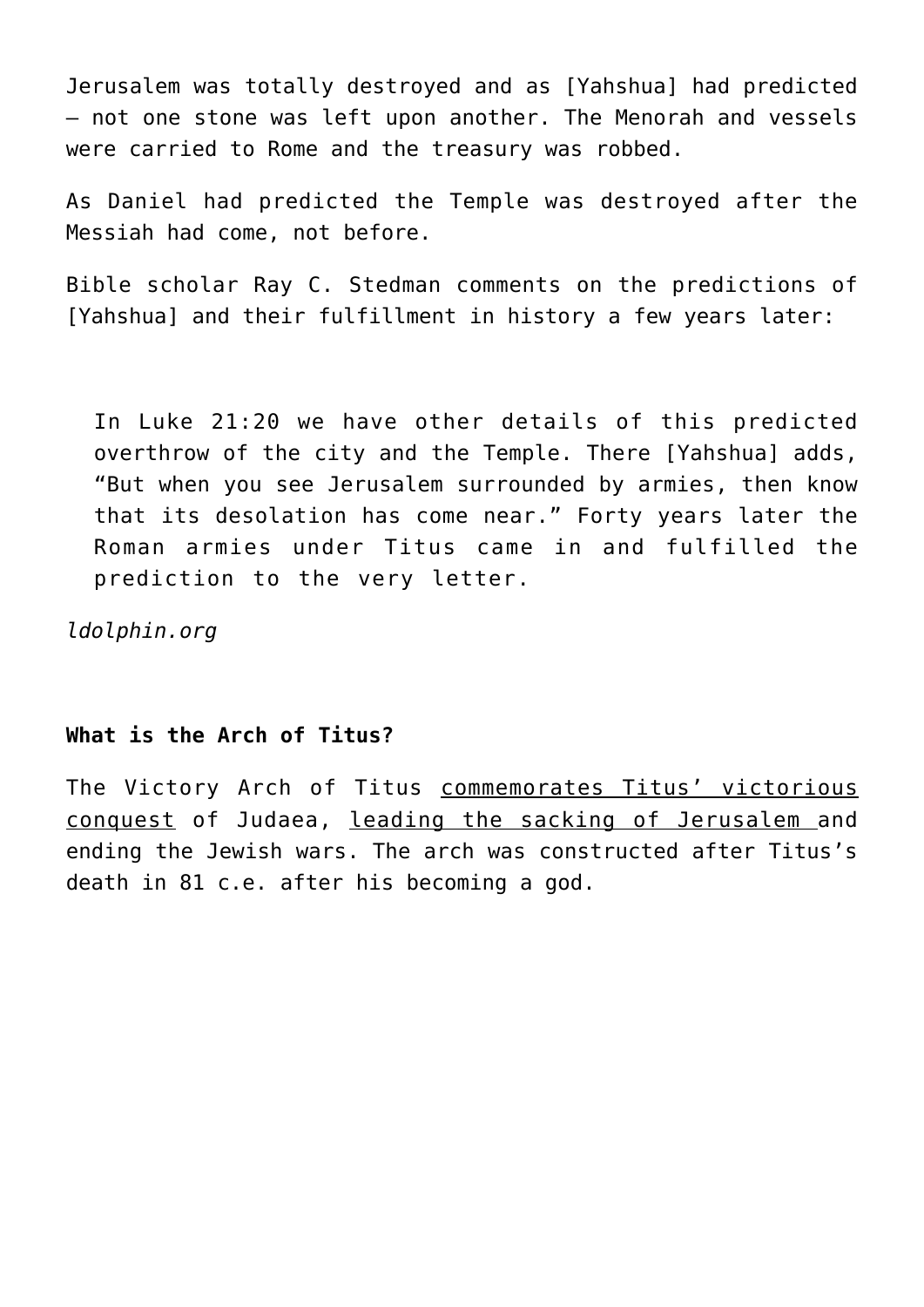Jerusalem was totally destroyed and as [Yahshua] had predicted – not one stone was left upon another. The Menorah and vessels were carried to Rome and the treasury was robbed.

As Daniel had predicted the Temple was destroyed after the Messiah had come, not before.

Bible scholar Ray C. Stedman comments on the predictions of [Yahshua] and their fulfillment in history a few years later:

In Luke 21:20 we have other details of this predicted overthrow of the city and the Temple. There [Yahshua] adds, "But when you see Jerusalem surrounded by armies, then know that its desolation has come near." Forty years later the Roman armies under Titus came in and fulfilled the prediction to the very letter.

*ldolphin.org*

## **What is the Arch of Titus?**

The Victory Arch of Titus commemorates Titus' victorious conquest of Judaea, leading the sacking of Jerusalem and ending the Jewish wars. The arch was constructed after Titus's death in 81 c.e. after his becoming a god.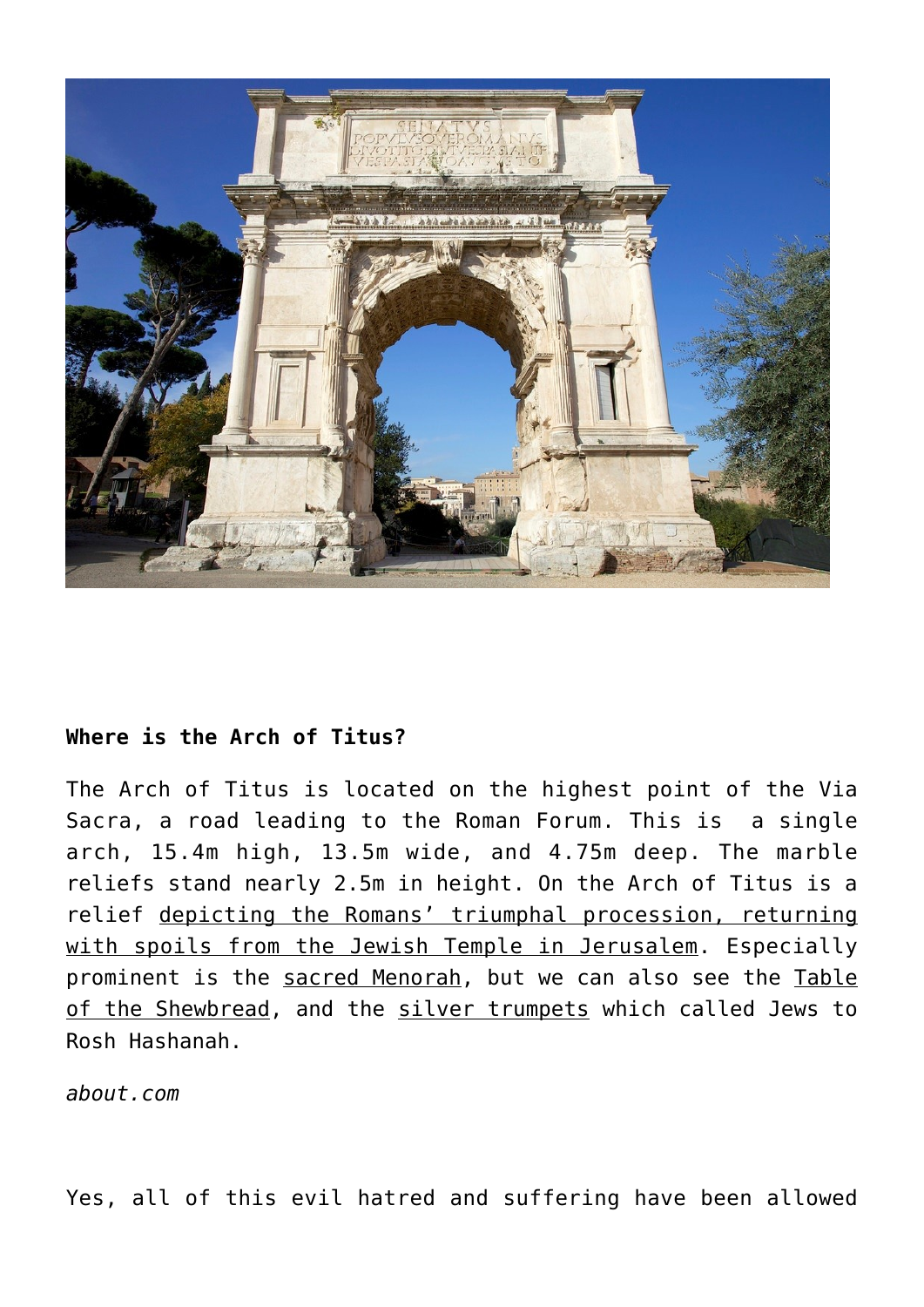

# **Where is the Arch of Titus?**

The Arch of Titus is located on the highest point of the Via Sacra, a road leading to the Roman Forum. This is a single arch, 15.4m high, 13.5m wide, and 4.75m deep. The marble reliefs stand nearly 2.5m in height. On the Arch of Titus is a relief depicting the Romans' triumphal procession, returning with spoils from the Jewish Temple in Jerusalem. Especially prominent is the sacred Menorah, but we can also see the Table of the Shewbread, and the silver trumpets which called Jews to Rosh Hashanah.

*about.com*

Yes, all of this evil hatred and suffering have been allowed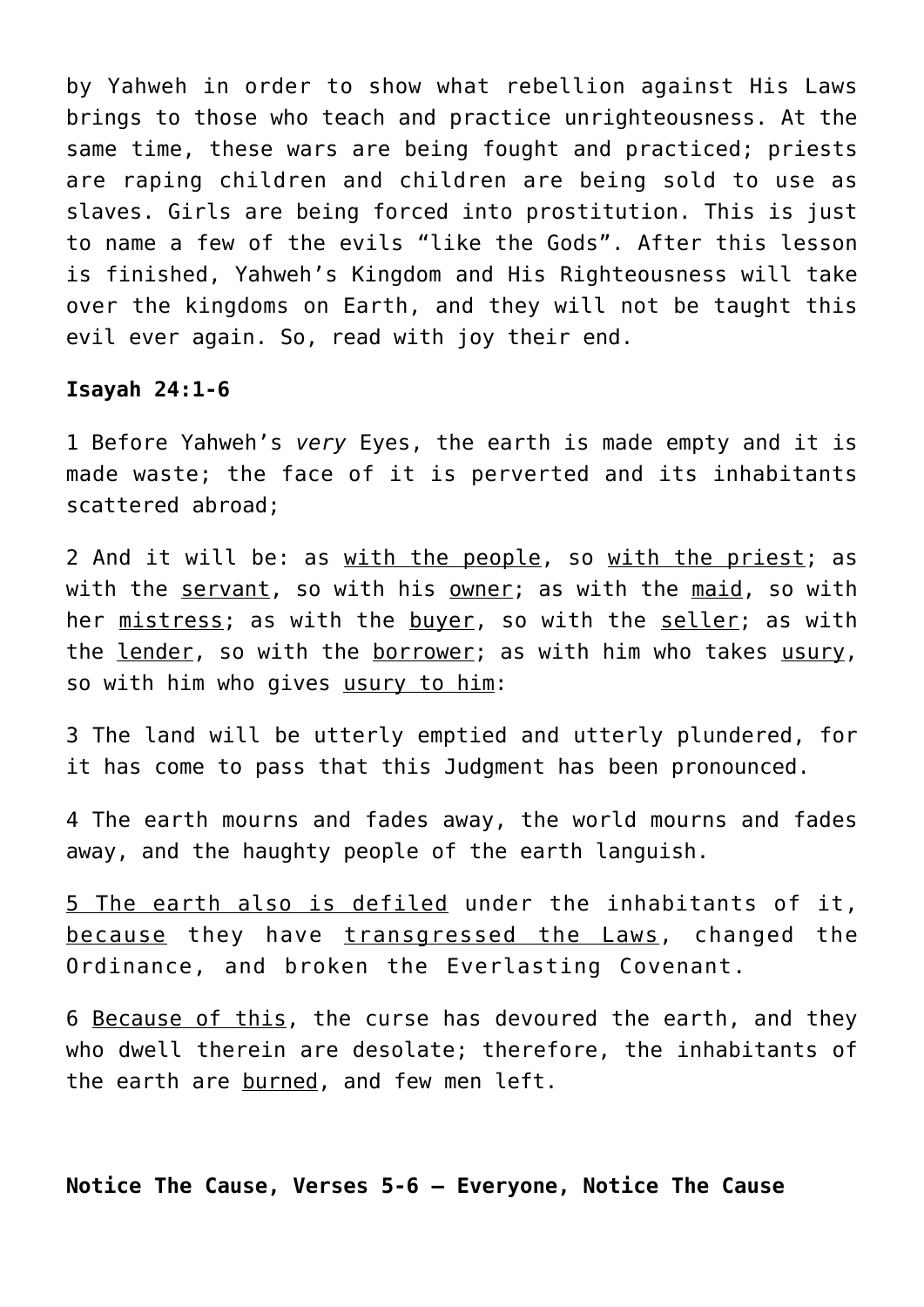by Yahweh in order to show what rebellion against His Laws brings to those who teach and practice unrighteousness. At the same time, these wars are being fought and practiced; priests are raping children and children are being sold to use as slaves. Girls are being forced into prostitution. This is just to name a few of the evils "like the Gods". After this lesson is finished, Yahweh's Kingdom and His Righteousness will take over the kingdoms on Earth, and they will not be taught this evil ever again. So, read with joy their end.

#### **Isayah 24:1-6**

1 Before Yahweh's *very* Eyes, the earth is made empty and it is made waste; the face of it is perverted and its inhabitants scattered abroad;

2 And it will be: as with the people, so with the priest; as with the servant, so with his owner; as with the maid, so with her mistress; as with the buyer, so with the seller; as with the lender, so with the borrower; as with him who takes usury, so with him who gives usury to him:

3 The land will be utterly emptied and utterly plundered, for it has come to pass that this Judgment has been pronounced.

4 The earth mourns and fades away, the world mourns and fades away, and the haughty people of the earth languish.

5 The earth also is defiled under the inhabitants of it, because they have transgressed the Laws, changed the Ordinance, and broken the Everlasting Covenant.

6 Because of this, the curse has devoured the earth, and they who dwell therein are desolate; therefore, the inhabitants of the earth are burned, and few men left.

**Notice The Cause, Verses 5-6 — Everyone, Notice The Cause**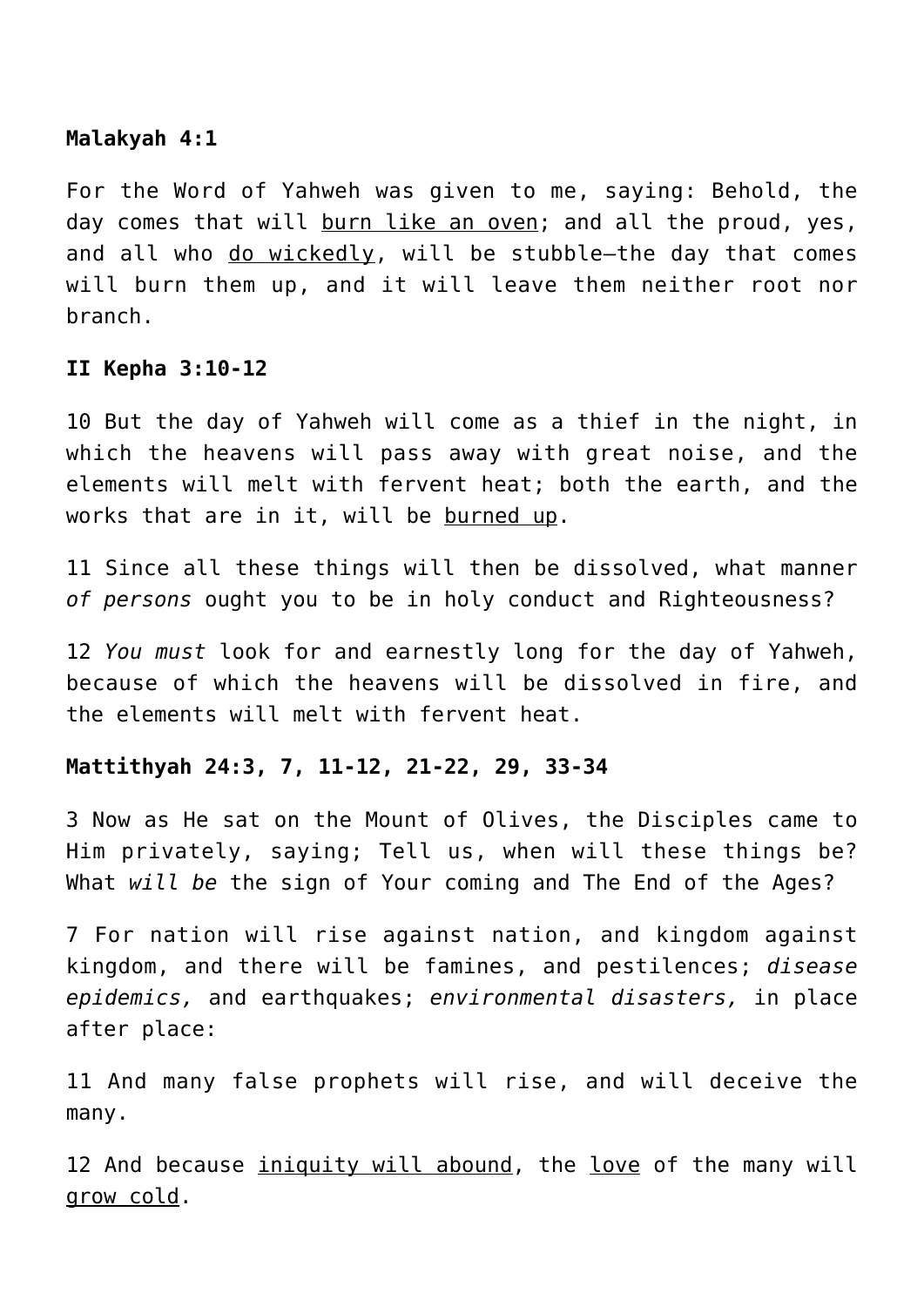# **Malakyah 4:1**

For the Word of Yahweh was given to me, saying: Behold, the day comes that will burn like an oven; and all the proud, yes, and all who do wickedly, will be stubble—the day that comes will burn them up, and it will leave them neither root nor branch.

# **II Kepha 3:10-12**

10 But the day of Yahweh will come as a thief in the night, in which the heavens will pass away with great noise, and the elements will melt with fervent heat; both the earth, and the works that are in it, will be burned up.

11 Since all these things will then be dissolved, what manner *of persons* ought you to be in holy conduct and Righteousness?

12 *You must* look for and earnestly long for the day of Yahweh, because of which the heavens will be dissolved in fire, and the elements will melt with fervent heat.

## **Mattithyah 24:3, 7, 11-12, 21-22, 29, 33-34**

3 Now as He sat on the Mount of Olives, the Disciples came to Him privately, saying; Tell us, when will these things be? What *will be* the sign of Your coming and The End of the Ages?

7 For nation will rise against nation, and kingdom against kingdom, and there will be famines, and pestilences; *disease epidemics,* and earthquakes; *environmental disasters,* in place after place:

11 And many false prophets will rise, and will deceive the many.

12 And because *iniquity will abound*, the love of the many will grow cold.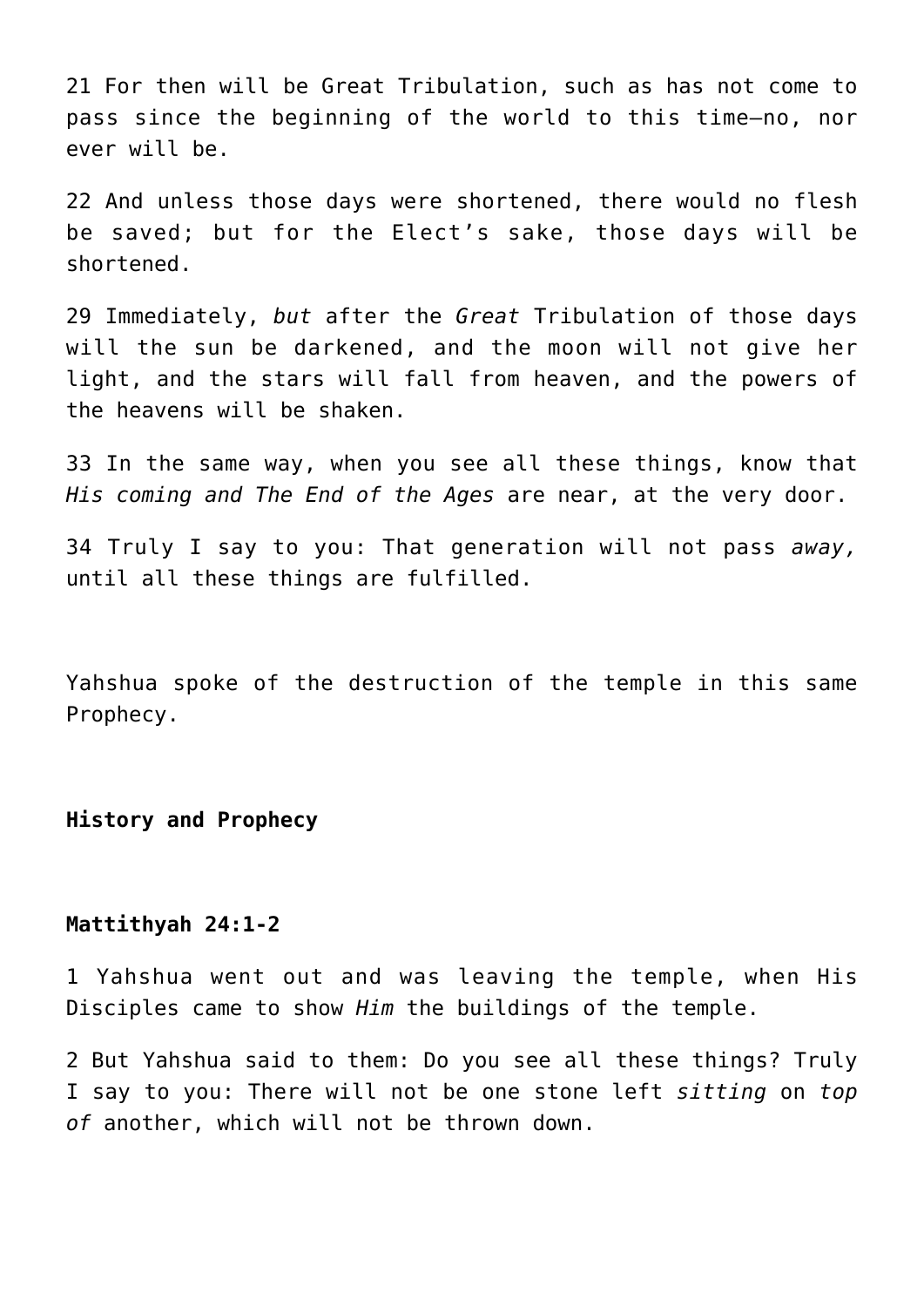21 For then will be Great Tribulation, such as has not come to pass since the beginning of the world to this time—no, nor ever will be.

22 And unless those days were shortened, there would no flesh be saved; but for the Elect's sake, those days will be shortened.

29 Immediately, *but* after the *Great* Tribulation of those days will the sun be darkened, and the moon will not give her light, and the stars will fall from heaven, and the powers of the heavens will be shaken.

33 In the same way, when you see all these things, know that *His coming and The End of the Ages* are near, at the very door.

34 Truly I say to you: That generation will not pass *away,* until all these things are fulfilled.

Yahshua spoke of the destruction of the temple in this same Prophecy.

**History and Prophecy**

#### **Mattithyah 24:1-2**

1 Yahshua went out and was leaving the temple, when His Disciples came to show *Him* the buildings of the temple.

2 But Yahshua said to them: Do you see all these things? Truly I say to you: There will not be one stone left *sitting* on *top of* another, which will not be thrown down.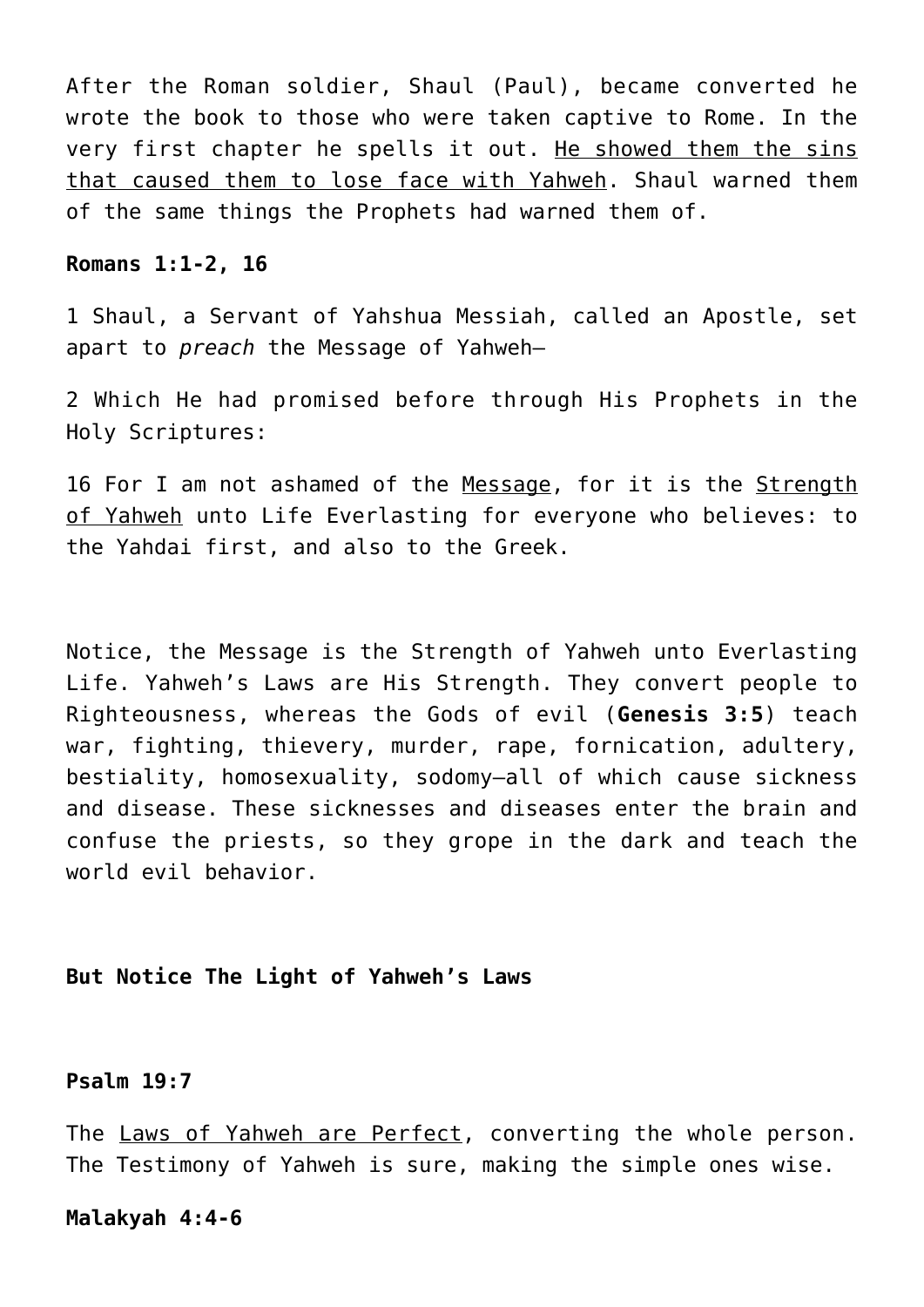After the Roman soldier, Shaul (Paul), became converted he wrote the book to those who were taken captive to Rome. In the very first chapter he spells it out. He showed them the sins that caused them to lose face with Yahweh. Shaul warned them of the same things the Prophets had warned them of.

#### **Romans 1:1-2, 16**

1 Shaul, a Servant of Yahshua Messiah, called an Apostle, set apart to *preach* the Message of Yahweh—

2 Which He had promised before through His Prophets in the Holy Scriptures:

16 For I am not ashamed of the Message, for it is the Strength of Yahweh unto Life Everlasting for everyone who believes: to the Yahdai first, and also to the Greek.

Notice, the Message is the Strength of Yahweh unto Everlasting Life. Yahweh's Laws are His Strength. They convert people to Righteousness, whereas the Gods of evil (**Genesis 3:5**) teach war, fighting, thievery, murder, rape, fornication, adultery, bestiality, homosexuality, sodomy–all of which cause sickness and disease. These sicknesses and diseases enter the brain and confuse the priests, so they grope in the dark and teach the world evil behavior.

**But Notice The Light of Yahweh's Laws**

# **Psalm 19:7**

The Laws of Yahweh are Perfect, converting the whole person. The Testimony of Yahweh is sure, making the simple ones wise.

#### **Malakyah 4:4-6**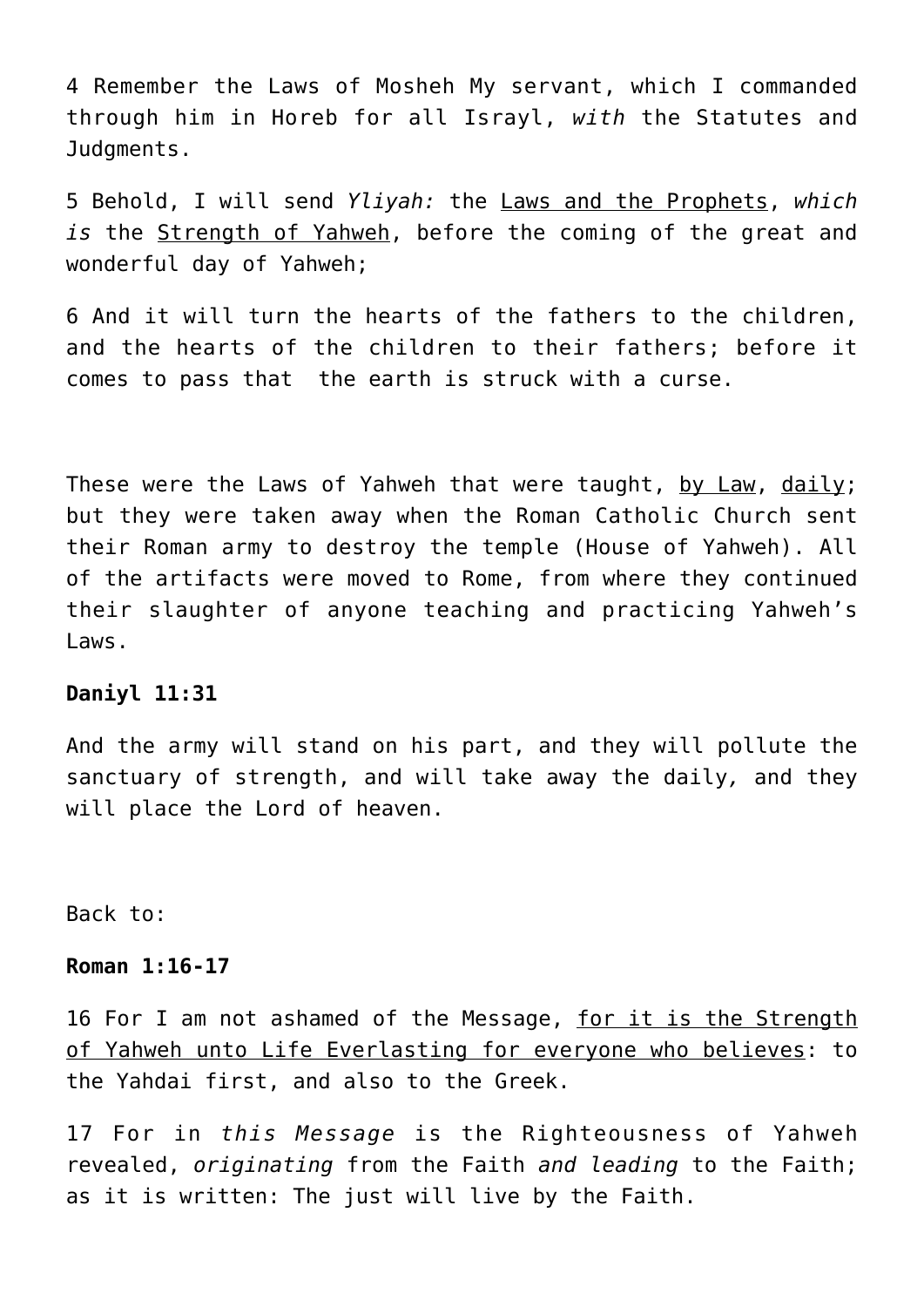4 Remember the Laws of Mosheh My servant, which I commanded through him in Horeb for all Israyl, *with* the Statutes and Judgments.

5 Behold, I will send *Yliyah:* the Laws and the Prophets, *which is* the Strength of Yahweh, before the coming of the great and wonderful day of Yahweh;

6 And it will turn the hearts of the fathers to the children, and the hearts of the children to their fathers; before it comes to pass that the earth is struck with a curse.

These were the Laws of Yahweh that were taught, by Law, daily; but they were taken away when the Roman Catholic Church sent their Roman army to destroy the temple (House of Yahweh). All of the artifacts were moved to Rome, from where they continued their slaughter of anyone teaching and practicing Yahweh's Laws.

# **Daniyl 11:31**

And the army will stand on his part, and they will pollute the sanctuary of strength, and will take away the daily*,* and they will place the Lord of heaven.

Back to:

## **Roman 1:16-17**

16 For I am not ashamed of the Message, for it is the Strength of Yahweh unto Life Everlasting for everyone who believes: to the Yahdai first, and also to the Greek.

17 For in *this Message* is the Righteousness of Yahweh revealed, *originating* from the Faith *and leading* to the Faith; as it is written: The just will live by the Faith.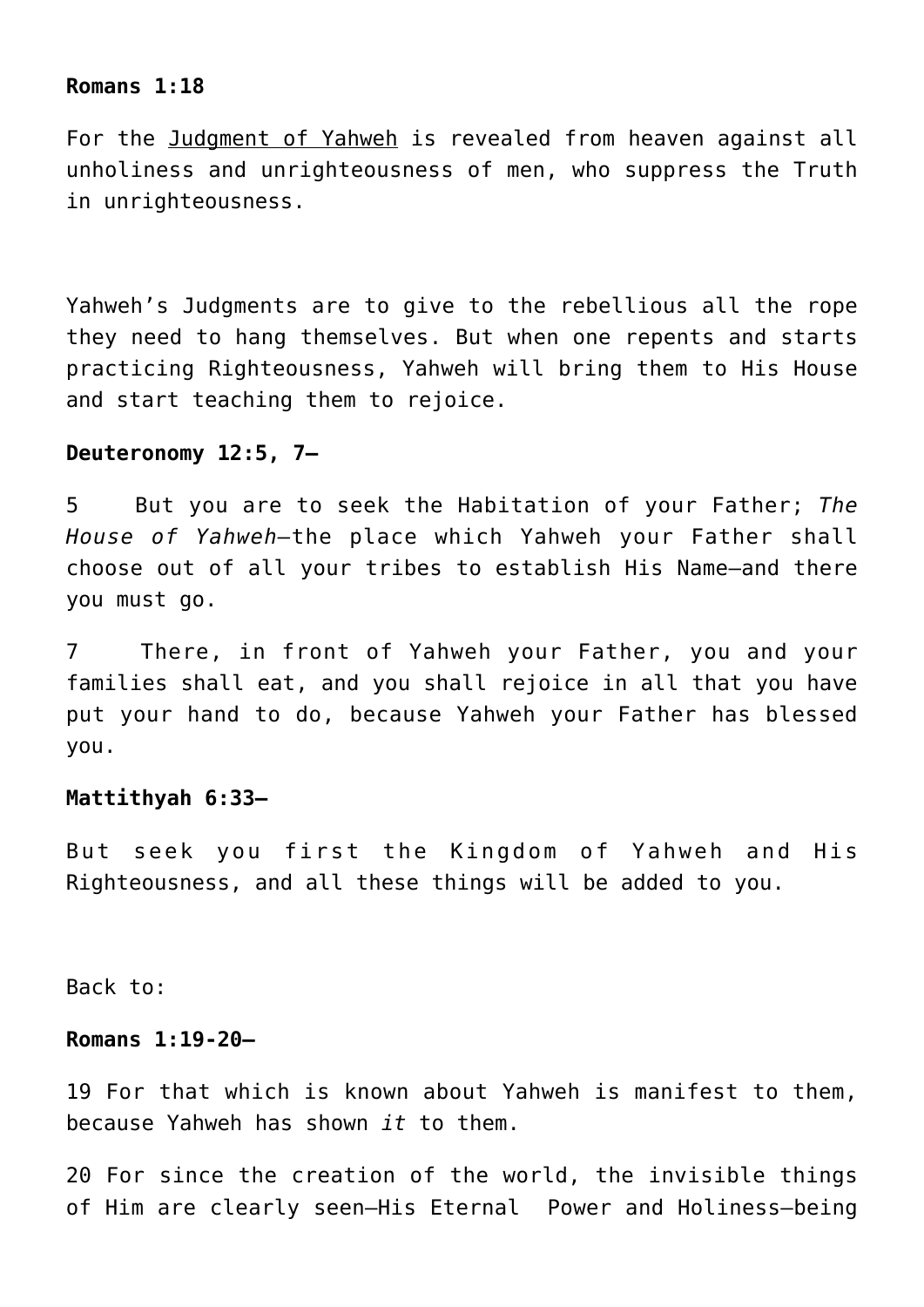#### **Romans 1:18**

For the Judgment of Yahweh is revealed from heaven against all unholiness and unrighteousness of men, who suppress the Truth in unrighteousness.

Yahweh's Judgments are to give to the rebellious all the rope they need to hang themselves. But when one repents and starts practicing Righteousness, Yahweh will bring them to His House and start teaching them to rejoice.

#### **Deuteronomy 12:5, 7—**

5 But you are to seek the Habitation of your Father; *The House of Yahweh—*the place which Yahweh your Father shall choose out of all your tribes to establish His Name—and there you must go.

7 There, in front of Yahweh your Father, you and your families shall eat, and you shall rejoice in all that you have put your hand to do, because Yahweh your Father has blessed you.

#### **Mattithyah 6:33—**

But seek you first the Kingdom of Yahweh and His Righteousness, and all these things will be added to you.

Back to:

## **Romans 1:19-20—**

19 For that which is known about Yahweh is manifest to them, because Yahweh has shown *it* to them.

20 For since the creation of the world, the invisible things of Him are clearly seen—His Eternal Power and Holiness—being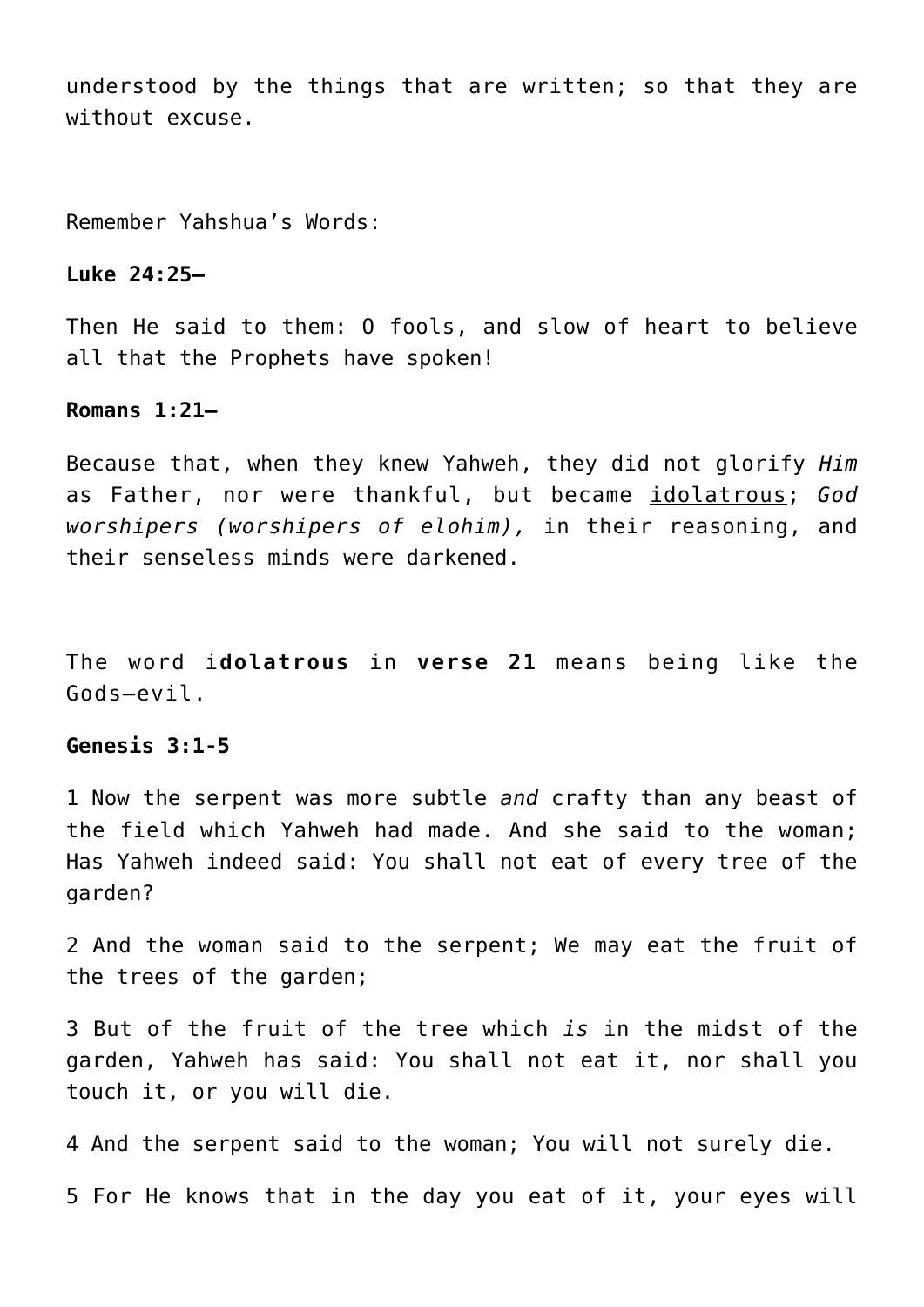understood by the things that are written; so that they are without excuse.

Remember Yahshua's Words:

## **Luke 24:25—**

Then He said to them: O fools, and slow of heart to believe all that the Prophets have spoken!

#### **Romans 1:21—**

Because that, when they knew Yahweh, they did not glorify *Him* as Father, nor were thankful, but became idolatrous; *God worshipers (worshipers of elohim),* in their reasoning, and their senseless minds were darkened.

The word i**dolatrous** in **verse 21** means being like the Gods–evil.

# **Genesis 3:1-5**

1 Now the serpent was more subtle *and* crafty than any beast of the field which Yahweh had made. And she said to the woman; Has Yahweh indeed said: You shall not eat of every tree of the garden?

2 And the woman said to the serpent; We may eat the fruit of the trees of the garden;

3 But of the fruit of the tree which *is* in the midst of the garden, Yahweh has said: You shall not eat it, nor shall you touch it, or you will die.

4 And the serpent said to the woman; You will not surely die.

5 For He knows that in the day you eat of it, your eyes will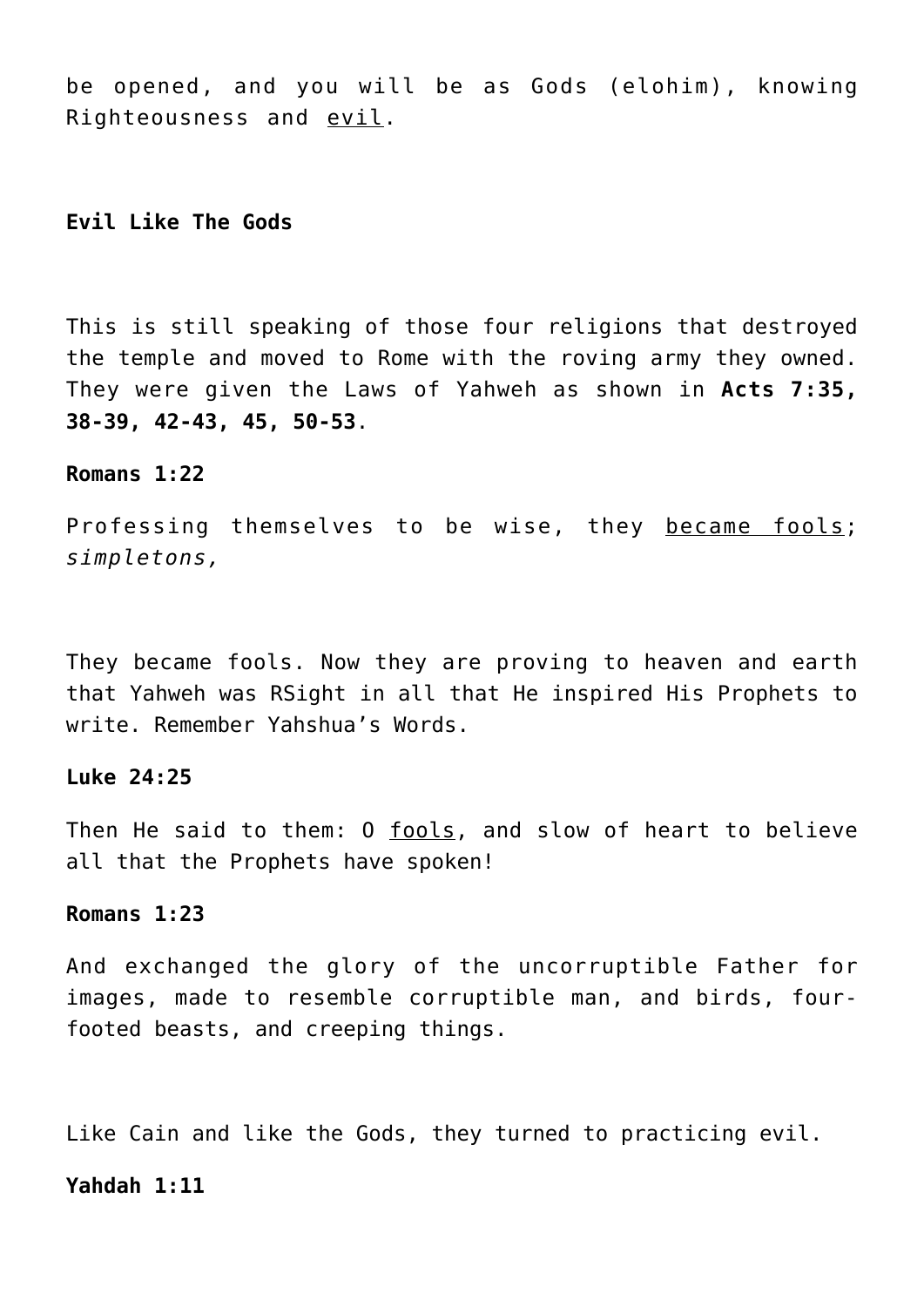be opened, and you will be as Gods (elohim), knowing Righteousness and evil.

# **Evil Like The Gods**

This is still speaking of those four religions that destroyed the temple and moved to Rome with the roving army they owned. They were given the Laws of Yahweh as shown in **Acts 7:35, 38-39, 42-43, 45, 50-53**.

## **Romans 1:22**

Professing themselves to be wise, they became fools; *simpletons,*

They became fools. Now they are proving to heaven and earth that Yahweh was RSight in all that He inspired His Prophets to write. Remember Yahshua's Words.

# **Luke 24:25**

Then He said to them: 0 fools, and slow of heart to believe all that the Prophets have spoken!

#### **Romans 1:23**

And exchanged the glory of the uncorruptible Father for images, made to resemble corruptible man, and birds, fourfooted beasts, and creeping things.

Like Cain and like the Gods, they turned to practicing evil.

## **Yahdah 1:11**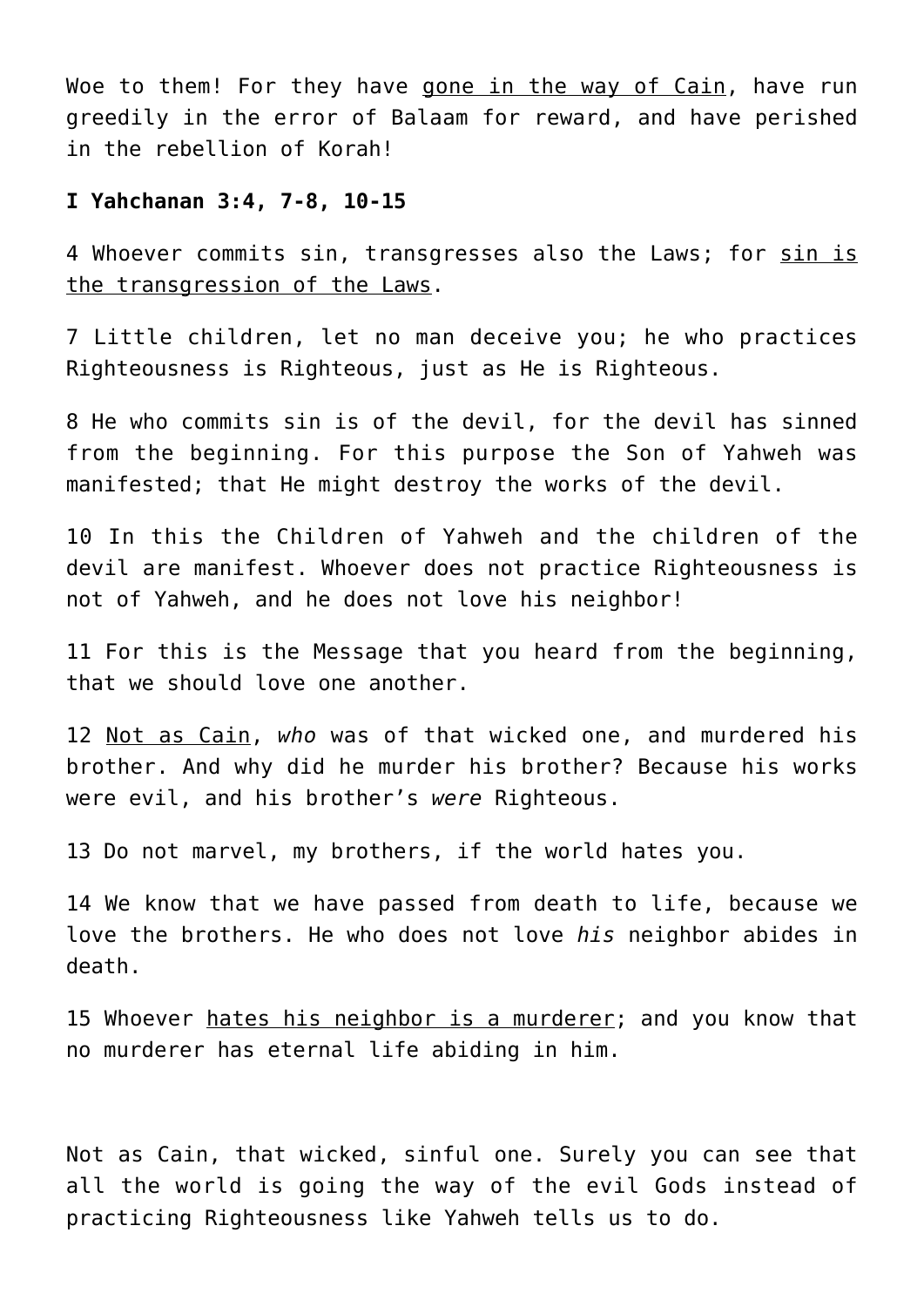Woe to them! For they have gone in the way of Cain, have run greedily in the error of Balaam for reward, and have perished in the rebellion of Korah!

#### **I Yahchanan 3:4, 7-8, 10-15**

4 Whoever commits sin, transgresses also the Laws; for sin is the transgression of the Laws.

7 Little children, let no man deceive you; he who practices Righteousness is Righteous, just as He is Righteous.

8 He who commits sin is of the devil, for the devil has sinned from the beginning. For this purpose the Son of Yahweh was manifested; that He might destroy the works of the devil.

10 In this the Children of Yahweh and the children of the devil are manifest. Whoever does not practice Righteousness is not of Yahweh, and he does not love his neighbor!

11 For this is the Message that you heard from the beginning, that we should love one another.

12 Not as Cain, *who* was of that wicked one, and murdered his brother. And why did he murder his brother? Because his works were evil, and his brother's *were* Righteous.

13 Do not marvel, my brothers, if the world hates you.

14 We know that we have passed from death to life, because we love the brothers. He who does not love *his* neighbor abides in death.

15 Whoever hates his neighbor is a murderer; and you know that no murderer has eternal life abiding in him.

Not as Cain, that wicked, sinful one. Surely you can see that all the world is going the way of the evil Gods instead of practicing Righteousness like Yahweh tells us to do.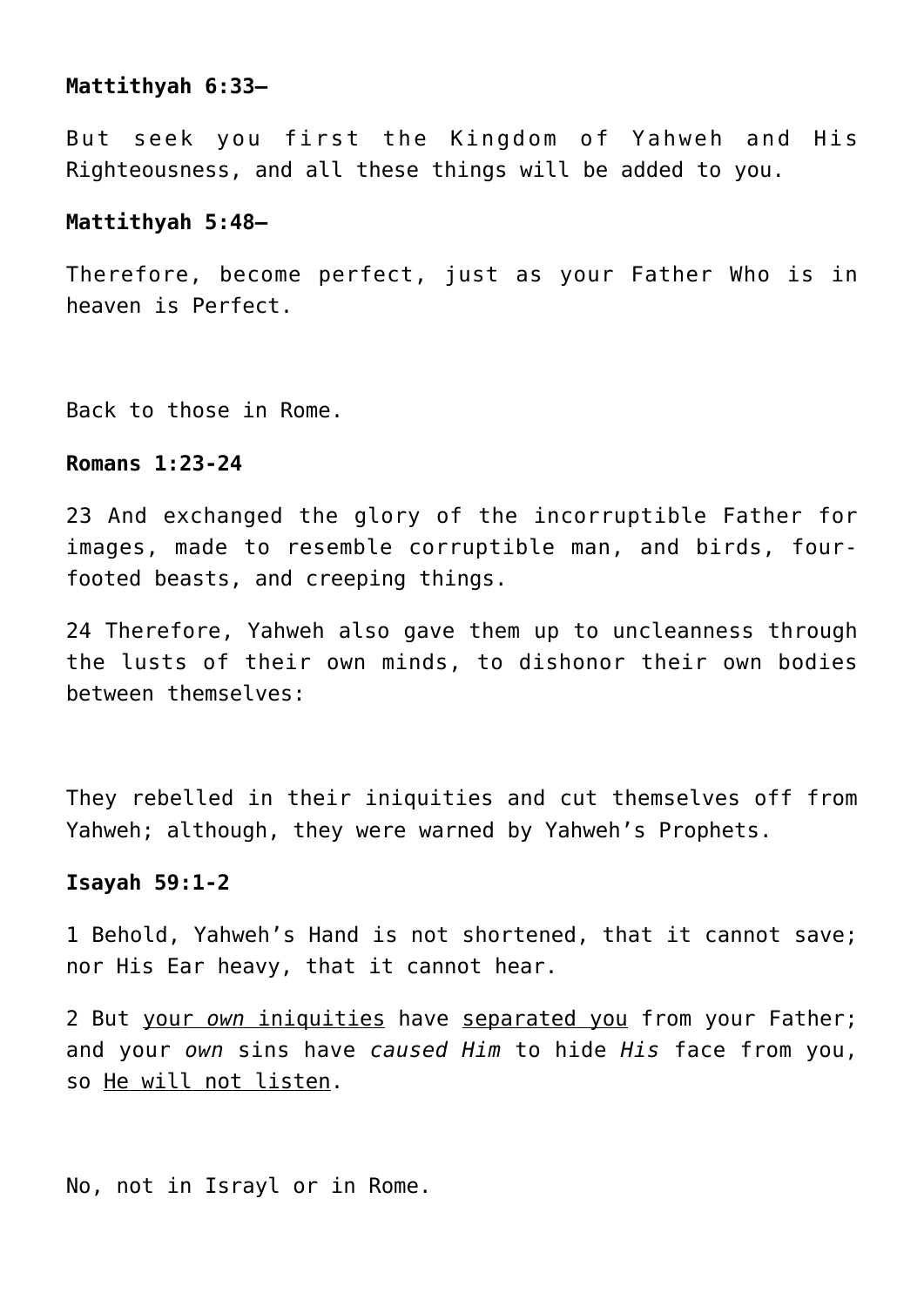# **Mattithyah 6:33—**

But seek you first the Kingdom of Yahweh and His Righteousness, and all these things will be added to you.

## **Mattithyah 5:48—**

Therefore, become perfect, just as your Father Who is in heaven is Perfect.

Back to those in Rome.

# **Romans 1:23-24**

23 And exchanged the glory of the incorruptible Father for images, made to resemble corruptible man, and birds, fourfooted beasts, and creeping things.

24 Therefore, Yahweh also gave them up to uncleanness through the lusts of their own minds, to dishonor their own bodies between themselves:

They rebelled in their iniquities and cut themselves off from Yahweh; although, they were warned by Yahweh's Prophets.

# **Isayah 59:1-2**

1 Behold, Yahweh's Hand is not shortened, that it cannot save; nor His Ear heavy, that it cannot hear.

2 But your *own* iniquities have separated you from your Father; and your *own* sins have *caused Him* to hide *His* face from you, so He will not listen.

No, not in Israyl or in Rome.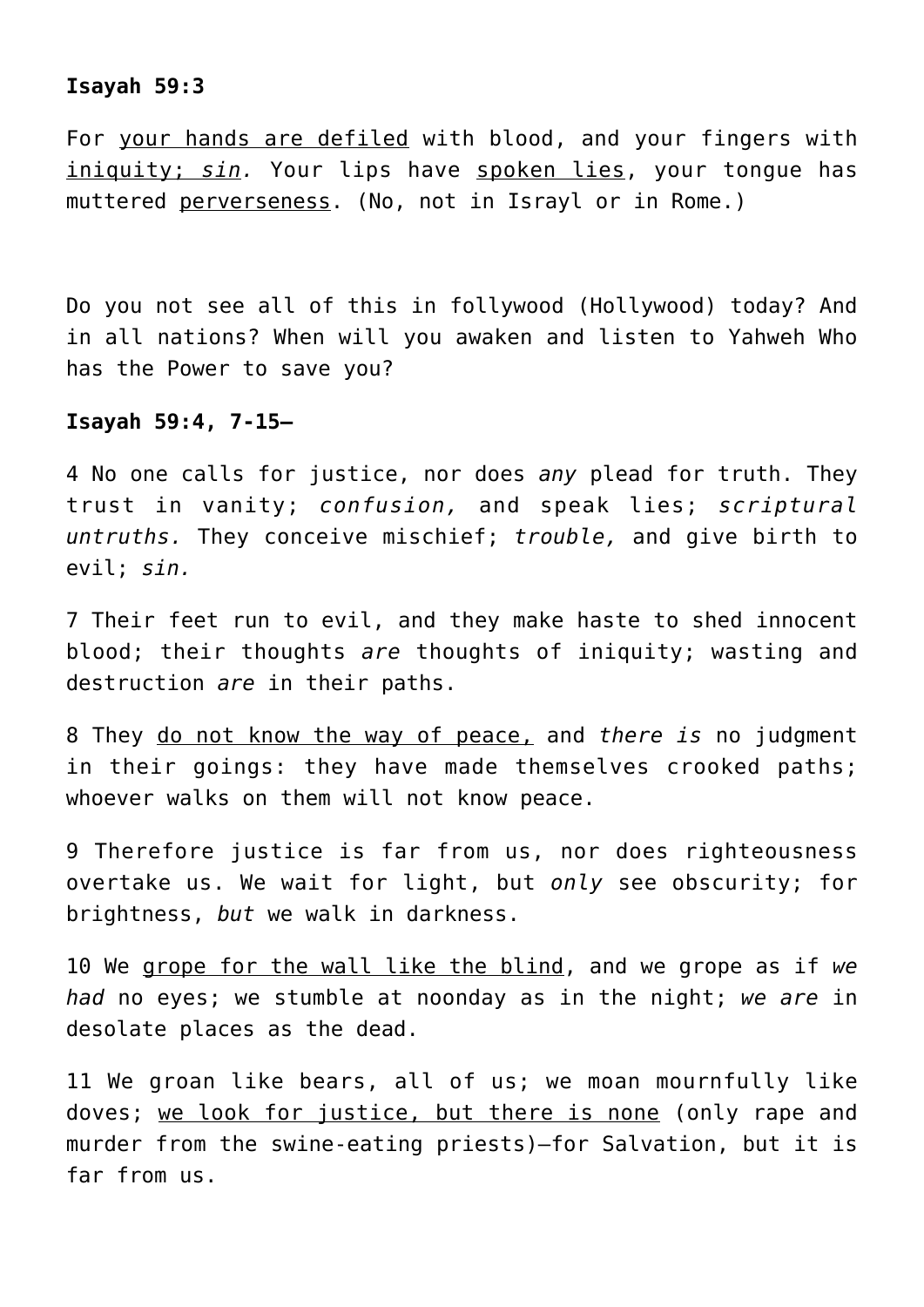# **Isayah 59:3**

For your hands are defiled with blood, and your fingers with iniquity; *sin.* Your lips have spoken lies, your tongue has muttered perverseness. (No, not in Israyl or in Rome.)

Do you not see all of this in follywood (Hollywood) today? And in all nations? When will you awaken and listen to Yahweh Who has the Power to save you?

#### **Isayah 59:4, 7-15—**

4 No one calls for justice, nor does *any* plead for truth. They trust in vanity; *confusion,* and speak lies; *scriptural untruths.* They conceive mischief; *trouble,* and give birth to evil; *sin.*

7 Their feet run to evil, and they make haste to shed innocent blood; their thoughts *are* thoughts of iniquity; wasting and destruction *are* in their paths.

8 They do not know the way of peace, and *there is* no judgment in their goings: they have made themselves crooked paths; whoever walks on them will not know peace.

9 Therefore justice is far from us, nor does righteousness overtake us. We wait for light, but *only* see obscurity; for brightness, *but* we walk in darkness.

10 We grope for the wall like the blind, and we grope as if *we had* no eyes; we stumble at noonday as in the night; *we are* in desolate places as the dead.

11 We groan like bears, all of us; we moan mournfully like doves; we look for justice, but there is none (only rape and murder from the swine-eating priests)—for Salvation, but it is far from us.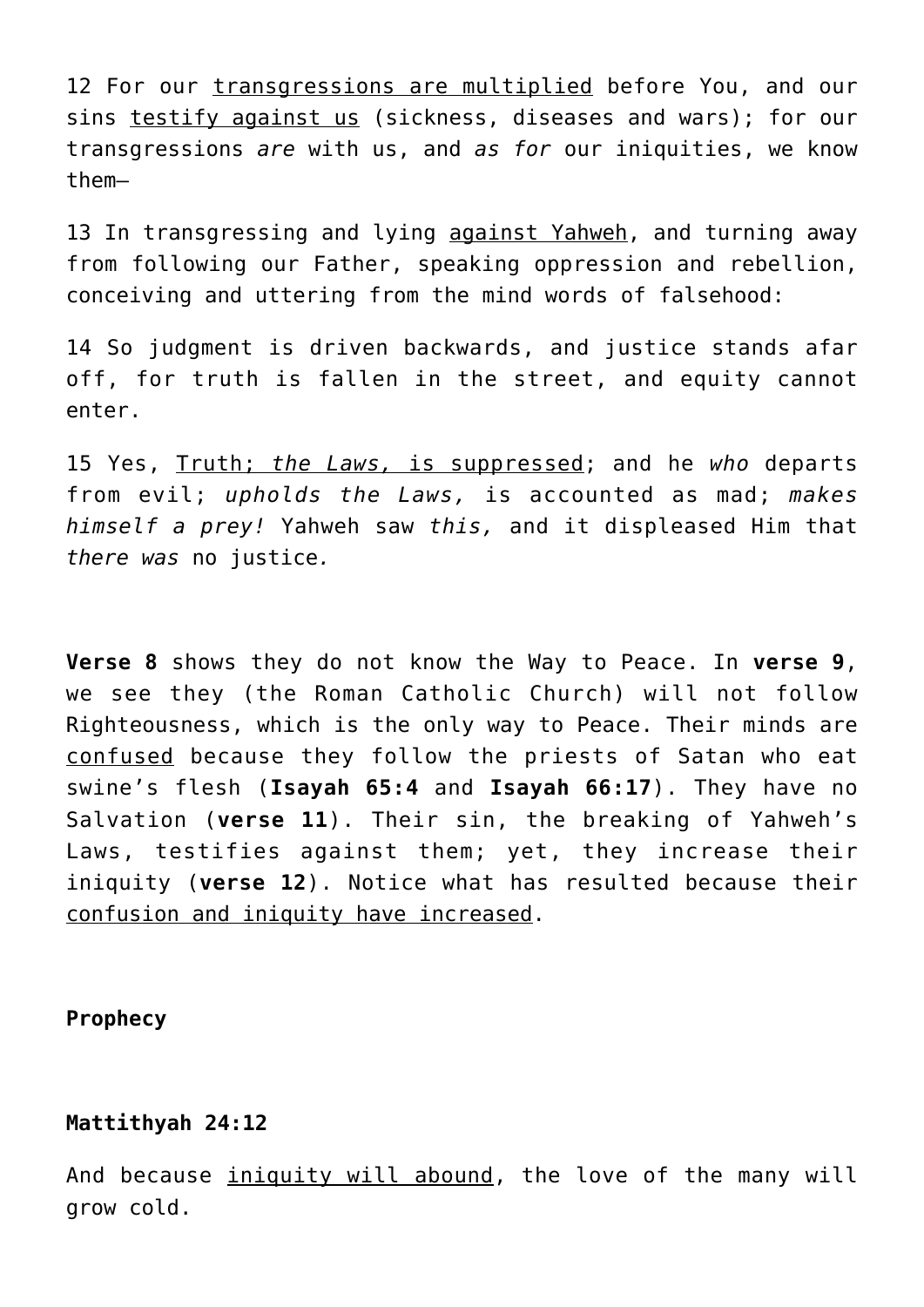12 For our transgressions are multiplied before You, and our sins testify against us (sickness, diseases and wars); for our transgressions *are* with us, and *as for* our iniquities, we know them—

13 In transgressing and lying against Yahweh, and turning away from following our Father, speaking oppression and rebellion, conceiving and uttering from the mind words of falsehood:

14 So judgment is driven backwards, and justice stands afar off, for truth is fallen in the street, and equity cannot enter.

15 Yes, Truth; *the Laws,* is suppressed; and he *who* departs from evil; *upholds the Laws,* is accounted as mad; *makes himself a prey!* Yahweh saw *this,* and it displeased Him that *there was* no justice*.*

**Verse 8** shows they do not know the Way to Peace. In **verse 9**, we see they (the Roman Catholic Church) will not follow Righteousness, which is the only way to Peace. Their minds are confused because they follow the priests of Satan who eat swine's flesh (**Isayah 65:4** and **Isayah 66:17**). They have no Salvation (**verse 11**). Their sin, the breaking of Yahweh's Laws, testifies against them; yet, they increase their iniquity (**verse 12**). Notice what has resulted because their confusion and iniquity have increased.

# **Prophecy**

## **Mattithyah 24:12**

And because *iniquity will abound*, the love of the many will grow cold.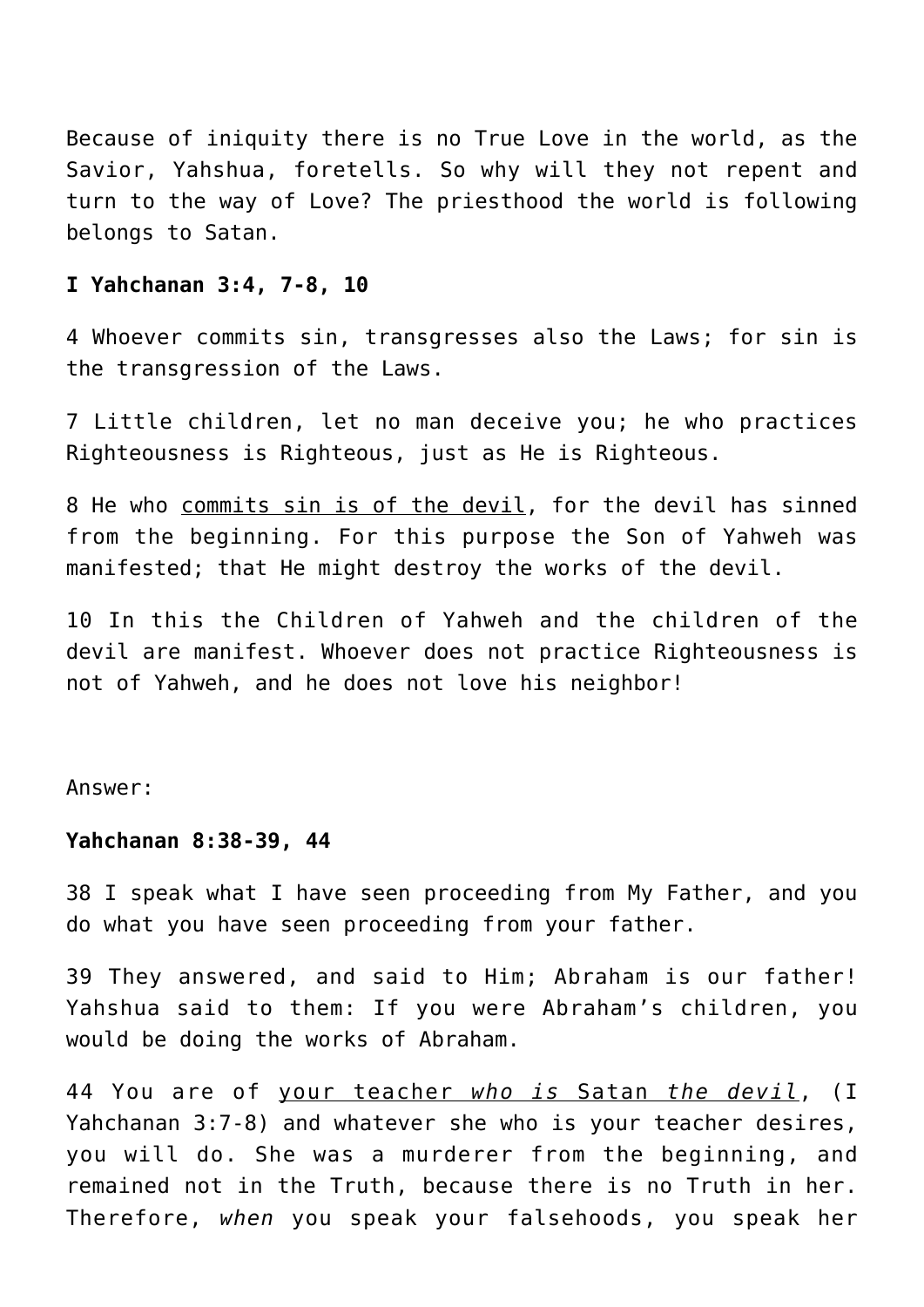Because of iniquity there is no True Love in the world, as the Savior, Yahshua, foretells. So why will they not repent and turn to the way of Love? The priesthood the world is following belongs to Satan.

#### **I Yahchanan 3:4, 7-8, 10**

4 Whoever commits sin, transgresses also the Laws; for sin is the transgression of the Laws.

7 Little children, let no man deceive you; he who practices Righteousness is Righteous, just as He is Righteous.

8 He who commits sin is of the devil, for the devil has sinned from the beginning. For this purpose the Son of Yahweh was manifested; that He might destroy the works of the devil.

10 In this the Children of Yahweh and the children of the devil are manifest. Whoever does not practice Righteousness is not of Yahweh, and he does not love his neighbor!

Answer:

## **Yahchanan 8:38-39, 44**

38 I speak what I have seen proceeding from My Father, and you do what you have seen proceeding from your father.

39 They answered, and said to Him; Abraham is our father! Yahshua said to them: If you were Abraham's children, you would be doing the works of Abraham.

44 You are of your teacher *who is* Satan *the devil*, (I Yahchanan 3:7-8) and whatever she who is your teacher desires, you will do. She was a murderer from the beginning, and remained not in the Truth, because there is no Truth in her. Therefore, *when* you speak your falsehoods, you speak her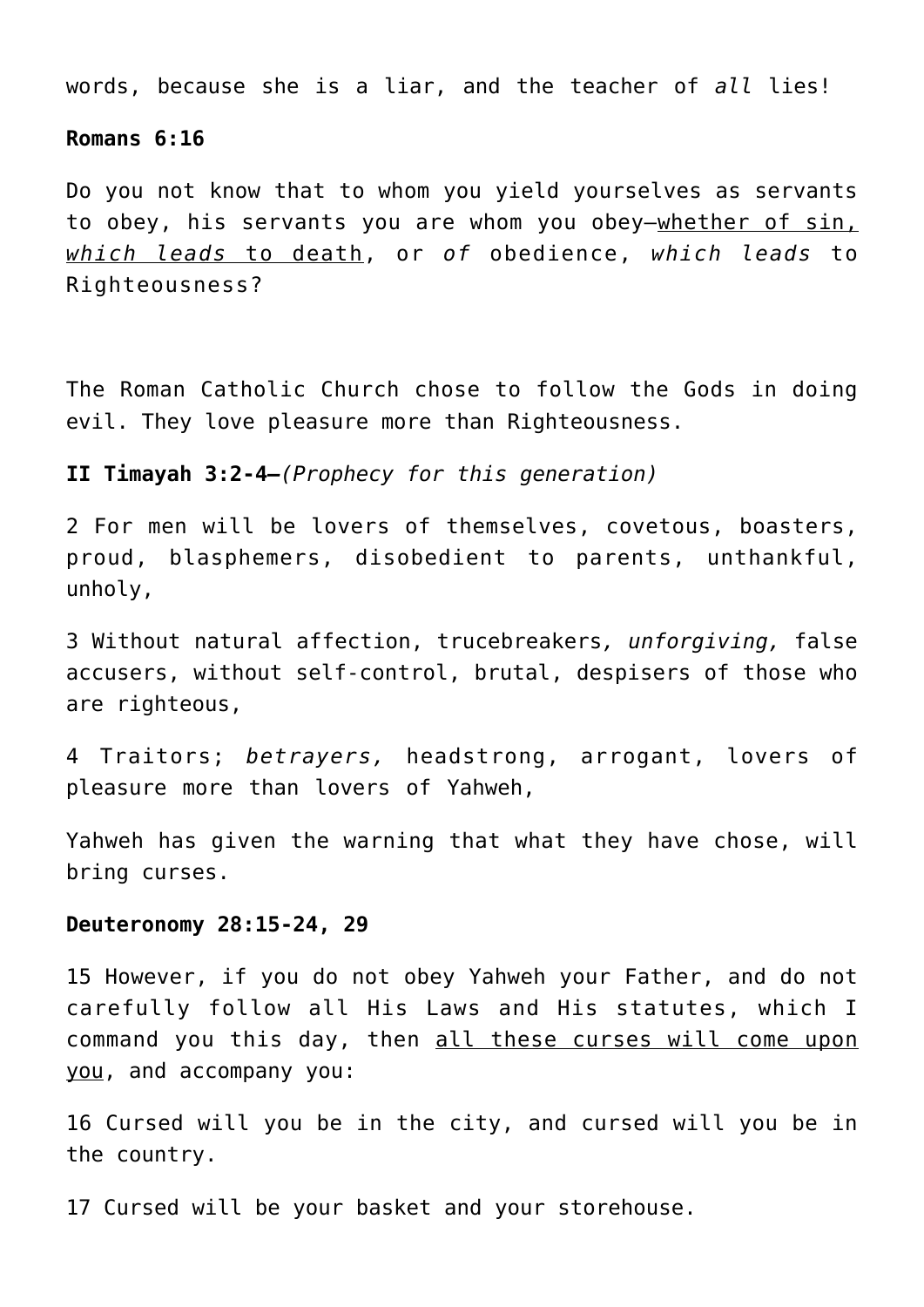words, because she is a liar, and the teacher of *all* lies!

#### **Romans 6:16**

Do you not know that to whom you yield yourselves as servants to obey, his servants you are whom you obey—whether of sin, *which leads* to death, or *of* obedience, *which leads* to Righteousness?

The Roman Catholic Church chose to follow the Gods in doing evil. They love pleasure more than Righteousness.

#### **II Timayah 3:2-4***—(Prophecy for this generation)*

2 For men will be lovers of themselves, covetous, boasters, proud, blasphemers, disobedient to parents, unthankful, unholy,

3 Without natural affection, trucebreakers*, unforgiving,* false accusers, without self-control, brutal, despisers of those who are righteous,

4 Traitors; *betrayers,* headstrong, arrogant, lovers of pleasure more than lovers of Yahweh,

Yahweh has given the warning that what they have chose, will bring curses.

#### **Deuteronomy 28:15-24, 29**

15 However, if you do not obey Yahweh your Father, and do not carefully follow all His Laws and His statutes, which I command you this day, then all these curses will come upon you, and accompany you:

16 Cursed will you be in the city, and cursed will you be in the country.

17 Cursed will be your basket and your storehouse.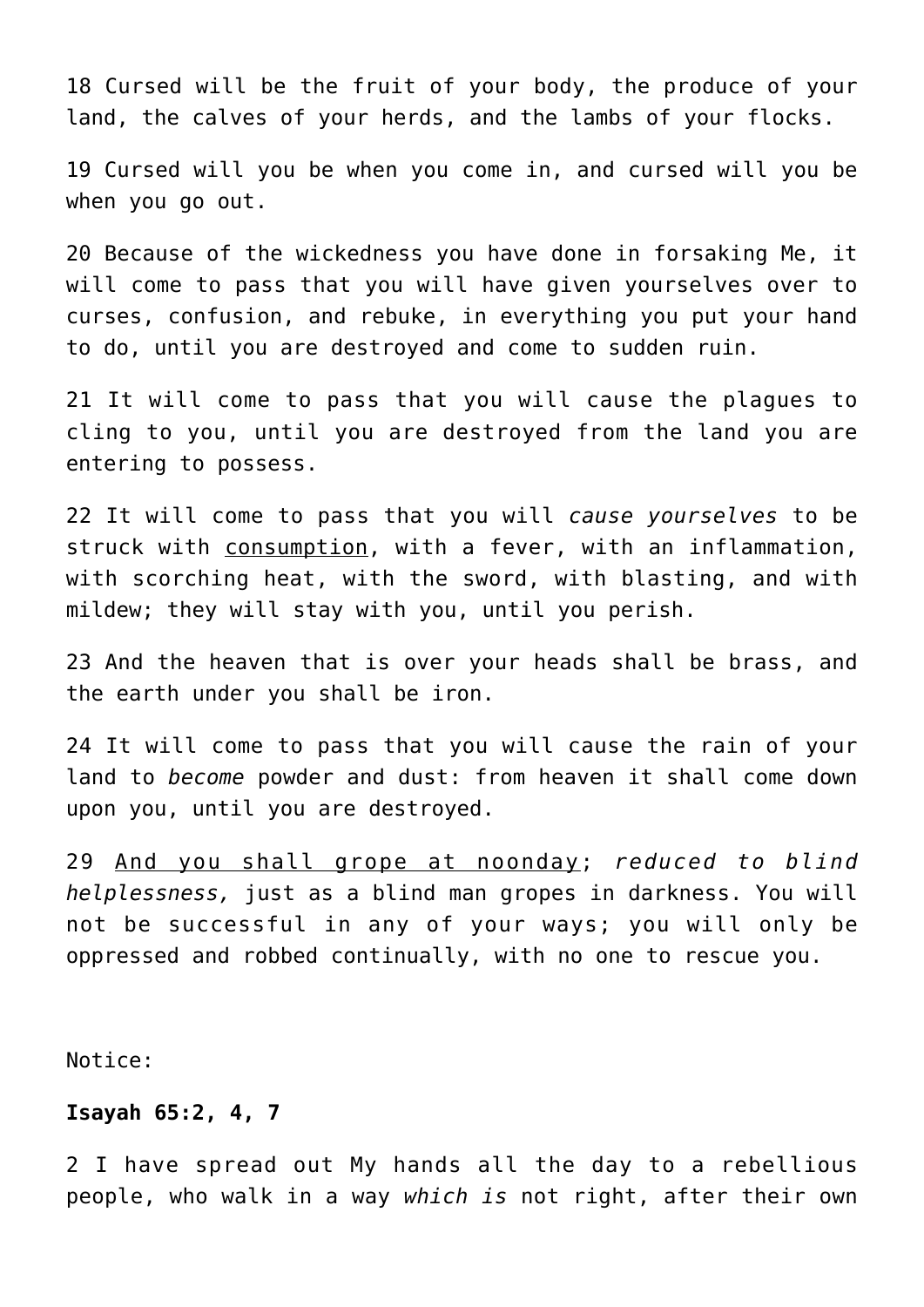18 Cursed will be the fruit of your body, the produce of your land, the calves of your herds, and the lambs of your flocks.

19 Cursed will you be when you come in, and cursed will you be when you go out.

20 Because of the wickedness you have done in forsaking Me, it will come to pass that you will have given yourselves over to curses, confusion, and rebuke, in everything you put your hand to do, until you are destroyed and come to sudden ruin.

21 It will come to pass that you will cause the plagues to cling to you, until you are destroyed from the land you are entering to possess.

22 It will come to pass that you will *cause yourselves* to be struck with consumption, with a fever, with an inflammation, with scorching heat, with the sword, with blasting, and with mildew; they will stay with you, until you perish.

23 And the heaven that is over your heads shall be brass, and the earth under you shall be iron.

24 It will come to pass that you will cause the rain of your land to *become* powder and dust: from heaven it shall come down upon you, until you are destroyed.

29 And you shall grope at noonday; *reduced to blind helplessness,* just as a blind man gropes in darkness. You will not be successful in any of your ways; you will only be oppressed and robbed continually, with no one to rescue you.

Notice:

# **Isayah 65:2, 4, 7**

2 I have spread out My hands all the day to a rebellious people, who walk in a way *which is* not right, after their own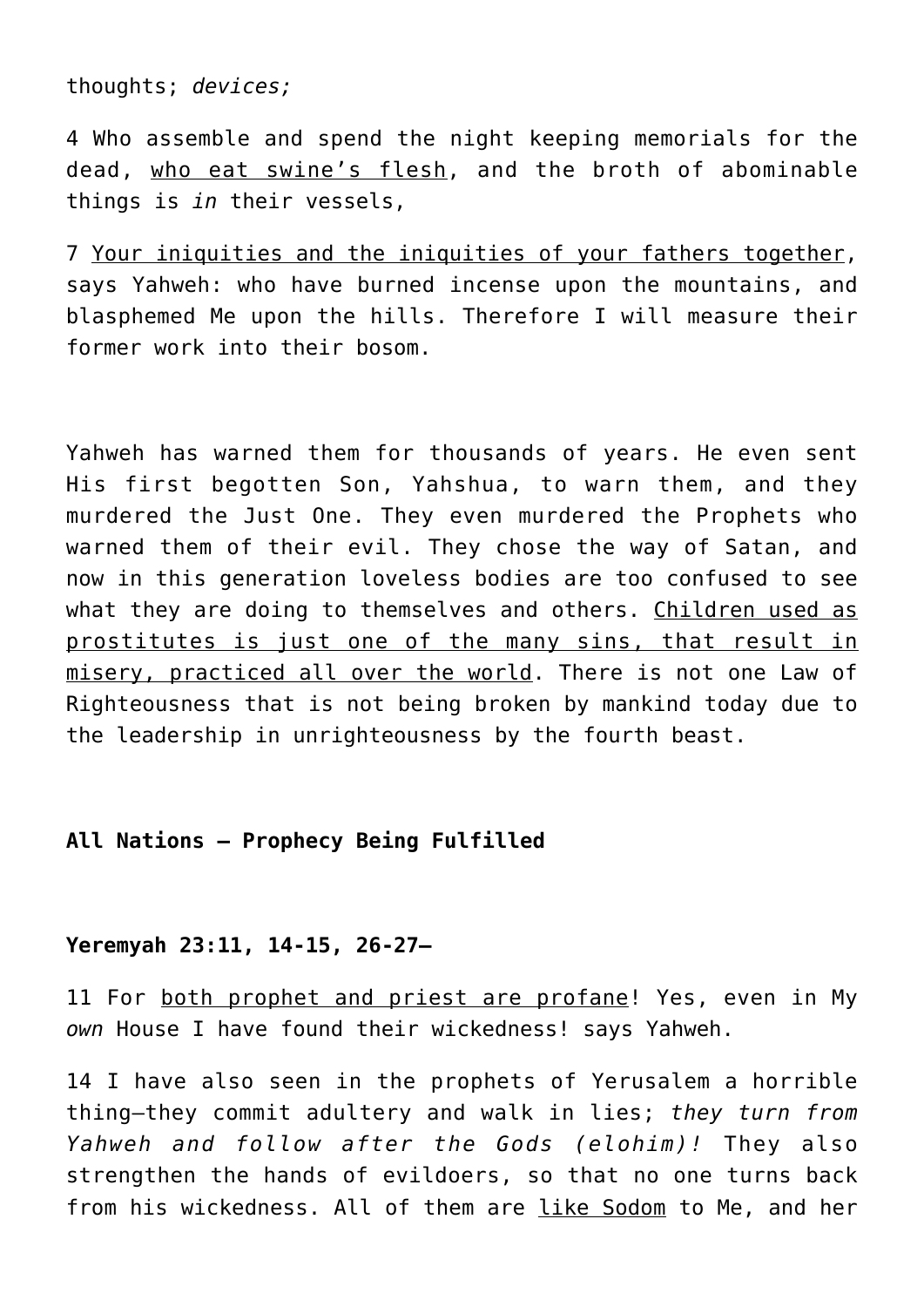thoughts; *devices;*

4 Who assemble and spend the night keeping memorials for the dead, who eat swine's flesh, and the broth of abominable things is *in* their vessels,

7 Your iniquities and the iniquities of your fathers together, says Yahweh: who have burned incense upon the mountains, and blasphemed Me upon the hills. Therefore I will measure their former work into their bosom.

Yahweh has warned them for thousands of years. He even sent His first begotten Son, Yahshua, to warn them, and they murdered the Just One. They even murdered the Prophets who warned them of their evil. They chose the way of Satan, and now in this generation loveless bodies are too confused to see what they are doing to themselves and others. Children used as prostitutes is just one of the many sins, that result in misery, practiced all over the world. There is not one Law of Righteousness that is not being broken by mankind today due to the leadership in unrighteousness by the fourth beast.

# **All Nations — Prophecy Being Fulfilled**

# **Yeremyah 23:11, 14-15, 26-27—**

11 For both prophet and priest are profane! Yes, even in My *own* House I have found their wickedness! says Yahweh.

14 I have also seen in the prophets of Yerusalem a horrible thing—they commit adultery and walk in lies; *they turn from Yahweh and follow after the Gods (elohim)!* They also strengthen the hands of evildoers, so that no one turns back from his wickedness. All of them are like Sodom to Me, and her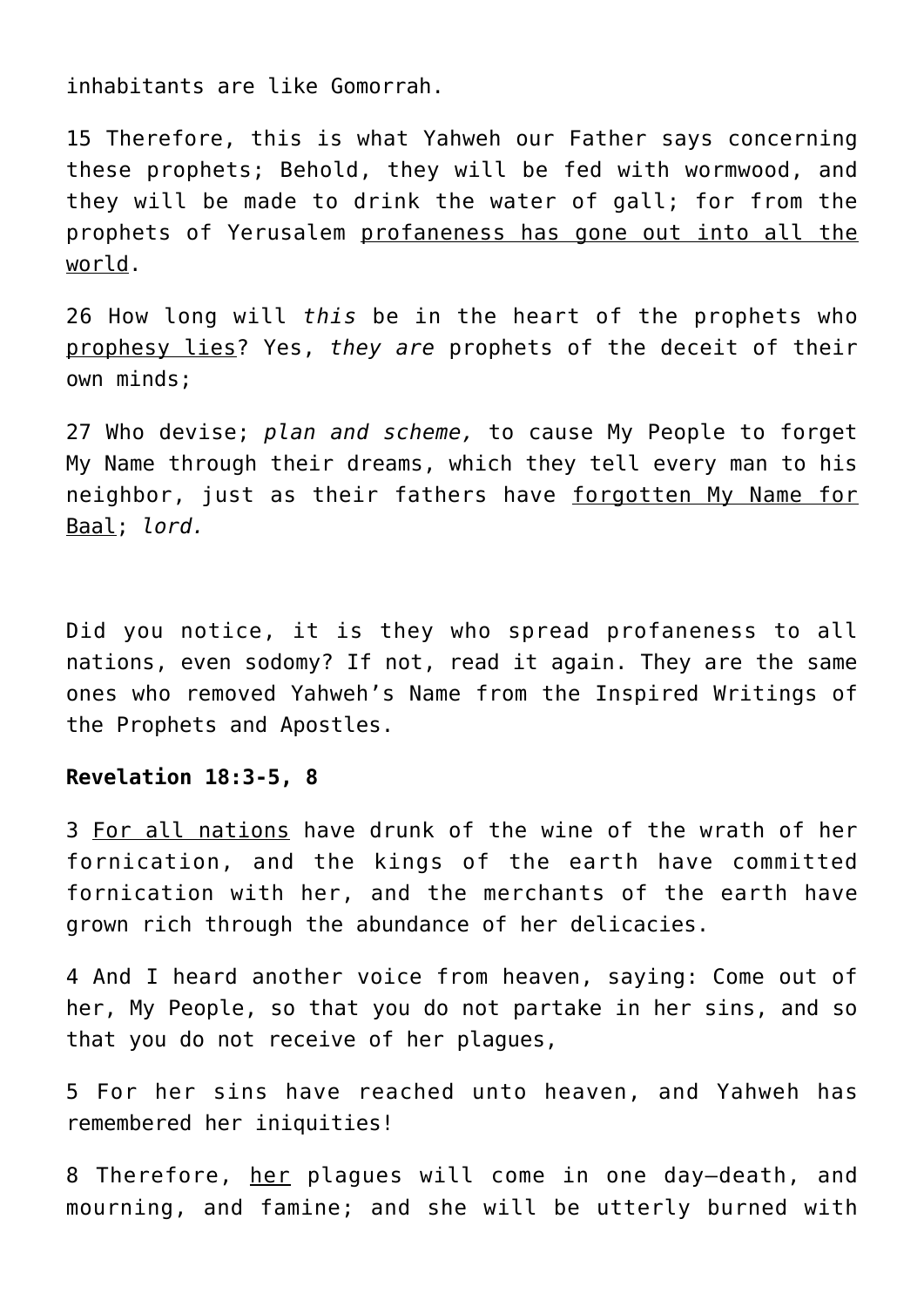inhabitants are like Gomorrah.

15 Therefore, this is what Yahweh our Father says concerning these prophets; Behold, they will be fed with wormwood, and they will be made to drink the water of gall; for from the prophets of Yerusalem profaneness has gone out into all the world.

26 How long will *this* be in the heart of the prophets who prophesy lies? Yes, *they are* prophets of the deceit of their own minds;

27 Who devise; *plan and scheme,* to cause My People to forget My Name through their dreams, which they tell every man to his neighbor, just as their fathers have forgotten My Name for Baal; *lord.*

Did you notice, it is they who spread profaneness to all nations, even sodomy? If not, read it again. They are the same ones who removed Yahweh's Name from the Inspired Writings of the Prophets and Apostles.

## **Revelation 18:3-5, 8**

3 For all nations have drunk of the wine of the wrath of her fornication, and the kings of the earth have committed fornication with her, and the merchants of the earth have grown rich through the abundance of her delicacies.

4 And I heard another voice from heaven, saying: Come out of her, My People, so that you do not partake in her sins, and so that you do not receive of her plagues,

5 For her sins have reached unto heaven, and Yahweh has remembered her iniquities!

8 Therefore, her plagues will come in one day-death, and mourning, and famine; and she will be utterly burned with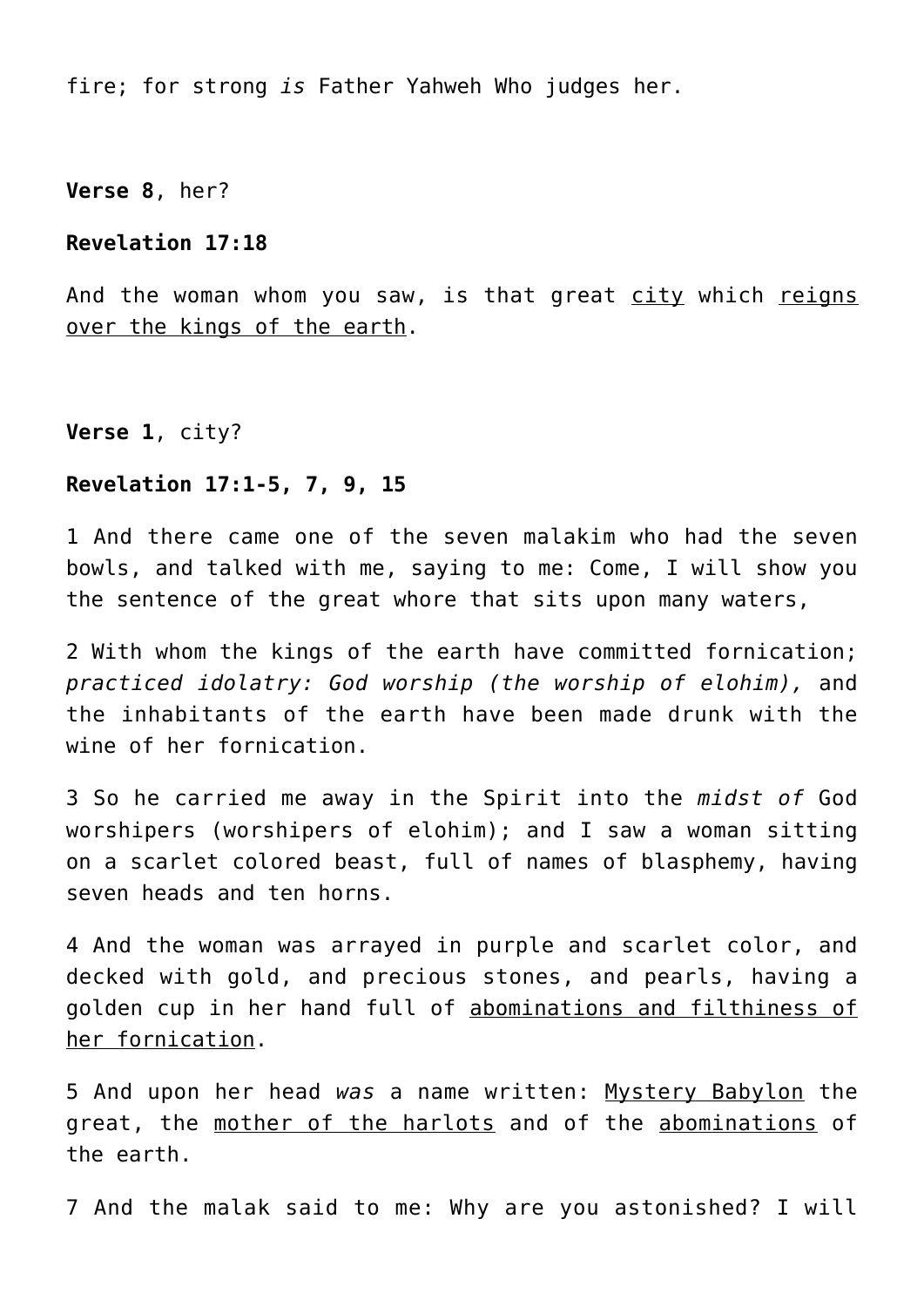fire; for strong *is* Father Yahweh Who judges her.

**Verse 8**, her?

## **Revelation 17:18**

And the woman whom you saw, is that great city which reigns over the kings of the earth.

**Verse 1**, city?

# **Revelation 17:1-5, 7, 9, 15**

1 And there came one of the seven malakim who had the seven bowls, and talked with me, saying to me: Come, I will show you the sentence of the great whore that sits upon many waters,

2 With whom the kings of the earth have committed fornication; *practiced idolatry: God worship (the worship of elohim),* and the inhabitants of the earth have been made drunk with the wine of her fornication.

3 So he carried me away in the Spirit into the *midst of* God worshipers (worshipers of elohim); and I saw a woman sitting on a scarlet colored beast, full of names of blasphemy, having seven heads and ten horns.

4 And the woman was arrayed in purple and scarlet color, and decked with gold, and precious stones, and pearls, having a golden cup in her hand full of abominations and filthiness of her fornication.

5 And upon her head *was* a name written: Mystery Babylon the great, the mother of the harlots and of the abominations of the earth.

7 And the malak said to me: Why are you astonished? I will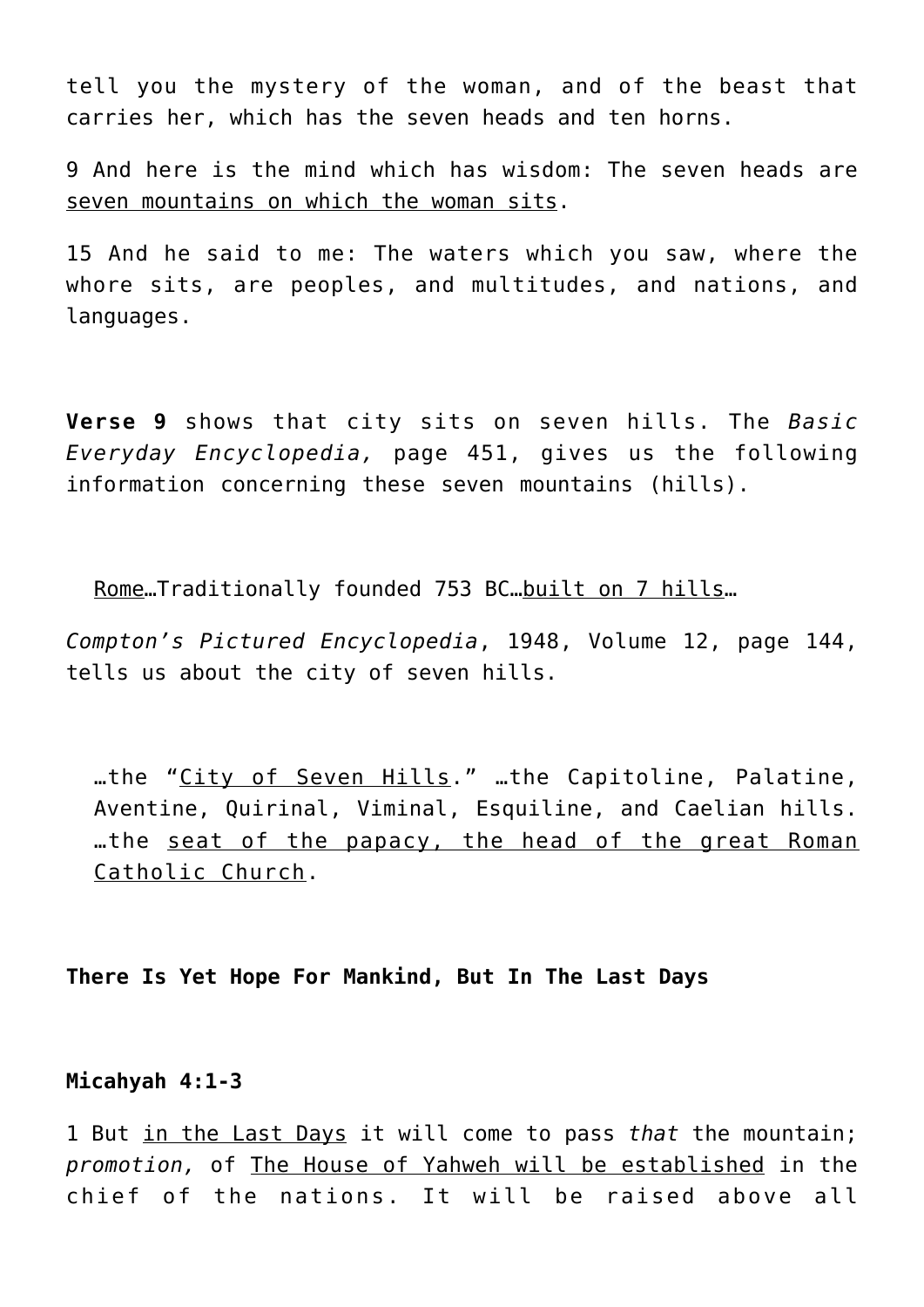tell you the mystery of the woman, and of the beast that carries her, which has the seven heads and ten horns.

9 And here is the mind which has wisdom: The seven heads are seven mountains on which the woman sits.

15 And he said to me: The waters which you saw, where the whore sits, are peoples, and multitudes, and nations, and languages.

**Verse 9** shows that city sits on seven hills. The *Basic Everyday Encyclopedia,* page 451, gives us the following information concerning these seven mountains (hills).

Rome…Traditionally founded 753 BC…built on 7 hills…

*Compton's Pictured Encyclopedia*, 1948, Volume 12, page 144, tells us about the city of seven hills.

…the "City of Seven Hills." …the Capitoline, Palatine, Aventine, Quirinal, Viminal, Esquiline, and Caelian hills. …the seat of the papacy, the head of the great Roman Catholic Church.

**There Is Yet Hope For Mankind, But In The Last Days**

**Micahyah 4:1-3**

1 But in the Last Days it will come to pass *that* the mountain; *promotion,* of The House of Yahweh will be established in the chief of the nations. It will be raised above all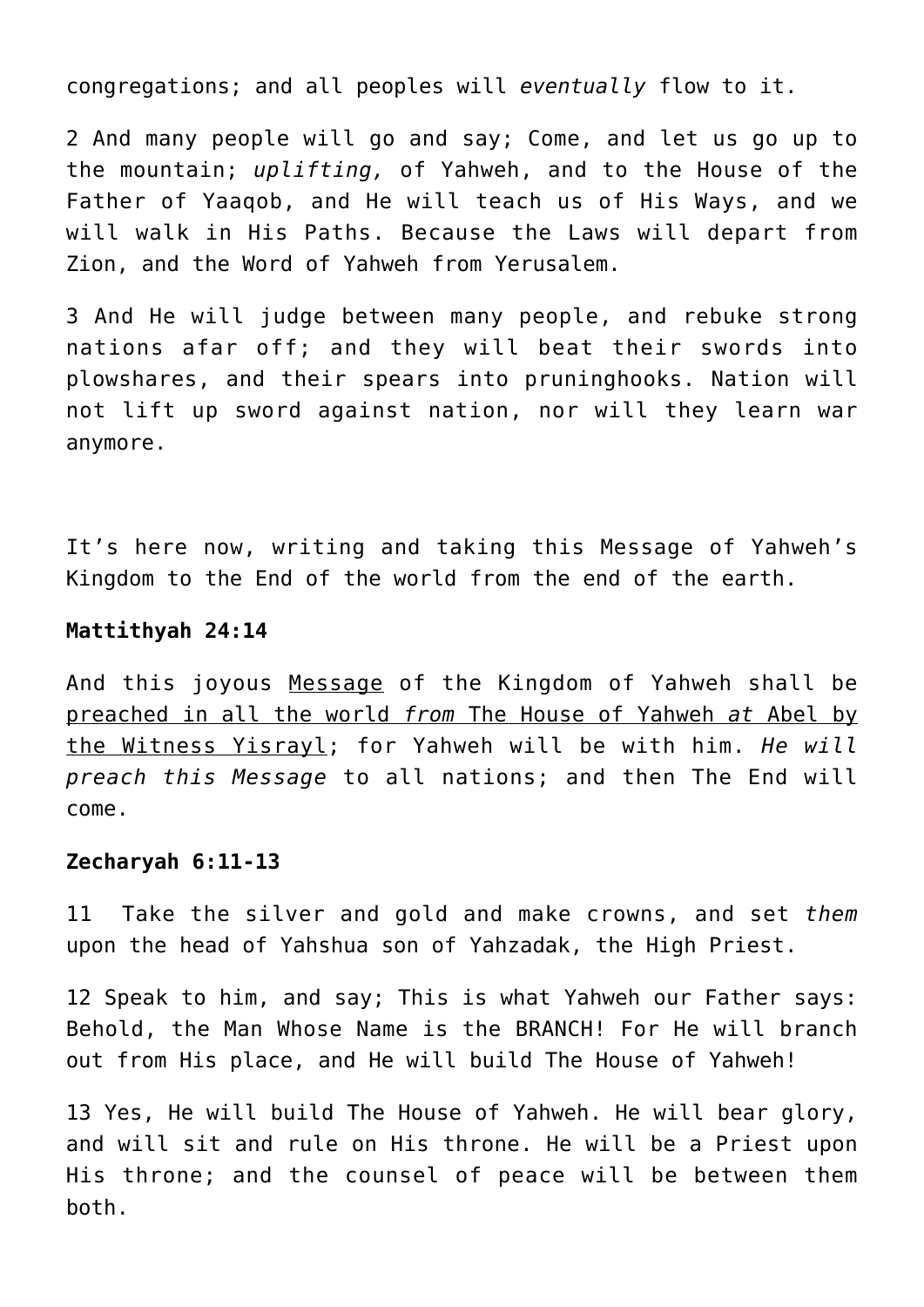congregations; and all peoples will *eventually* flow to it.

2 And many people will go and say; Come, and let us go up to the mountain; *uplifting,* of Yahweh, and to the House of the Father of Yaaqob, and He will teach us of His Ways, and we will walk in His Paths. Because the Laws will depart from Zion, and the Word of Yahweh from Yerusalem.

3 And He will judge between many people, and rebuke strong nations afar off; and they will beat their swords into plowshares, and their spears into pruninghooks. Nation will not lift up sword against nation, nor will they learn war anymore.

It's here now, writing and taking this Message of Yahweh's Kingdom to the End of the world from the end of the earth.

#### **Mattithyah 24:14**

And this joyous Message of the Kingdom of Yahweh shall be preached in all the world *from* The House of Yahweh *at* Abel by the Witness Yisrayl; for Yahweh will be with him. *He will preach this Message* to all nations; and then The End will come.

#### **Zecharyah 6:11-13**

11 Take the silver and gold and make crowns, and set *them* upon the head of Yahshua son of Yahzadak, the High Priest.

12 Speak to him, and say; This is what Yahweh our Father says: Behold, the Man Whose Name is the BRANCH! For He will branch out from His place, and He will build The House of Yahweh!

13 Yes, He will build The House of Yahweh. He will bear glory, and will sit and rule on His throne. He will be a Priest upon His throne; and the counsel of peace will be between them both.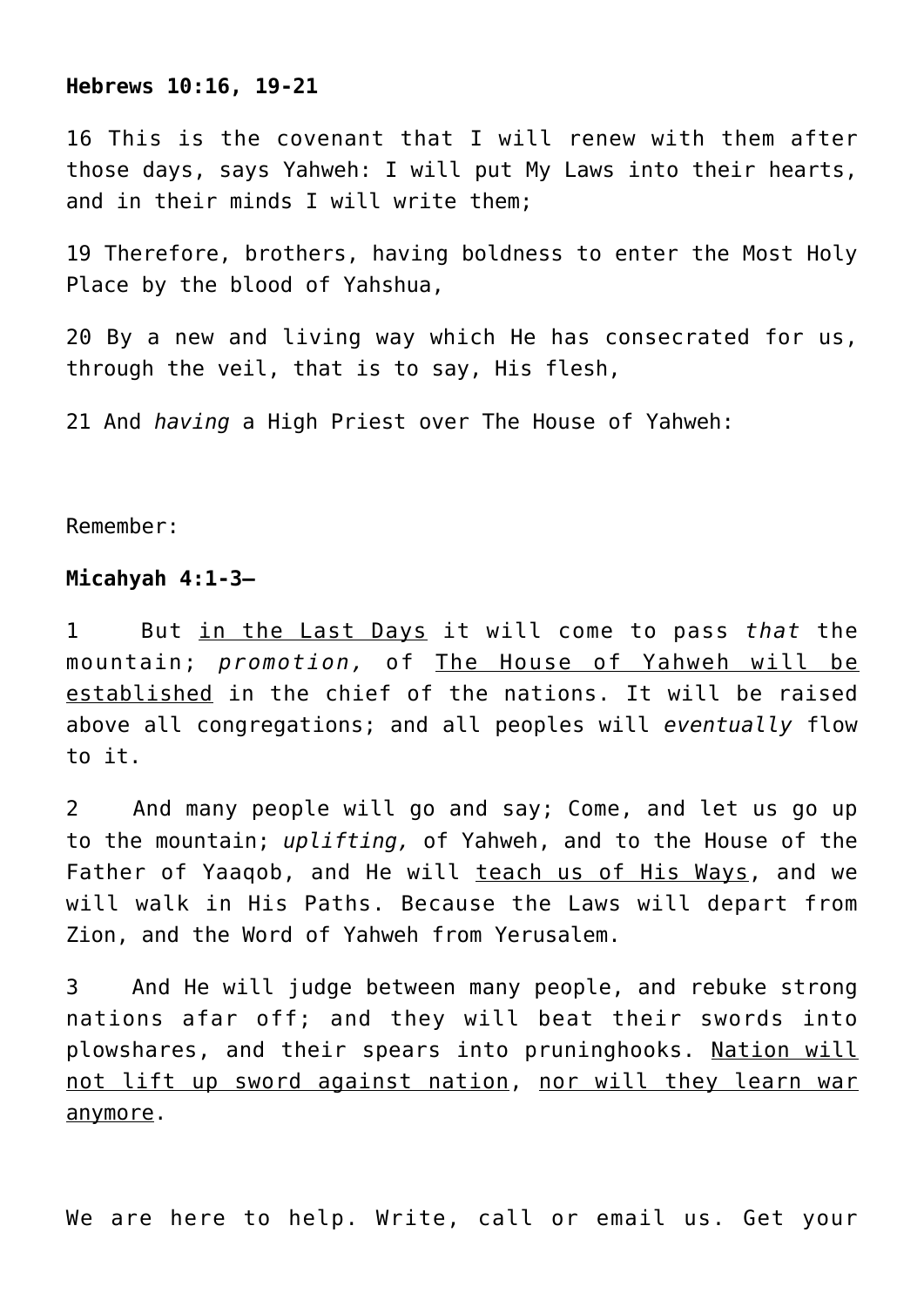#### **Hebrews 10:16, 19-21**

16 This is the covenant that I will renew with them after those days, says Yahweh: I will put My Laws into their hearts, and in their minds I will write them;

19 Therefore, brothers, having boldness to enter the Most Holy Place by the blood of Yahshua,

20 By a new and living way which He has consecrated for us, through the veil, that is to say, His flesh,

21 And *having* a High Priest over The House of Yahweh:

Remember:

#### **Micahyah 4:1-3—**

1 But in the Last Days it will come to pass *that* the mountain; *promotion,* of The House of Yahweh will be established in the chief of the nations. It will be raised above all congregations; and all peoples will *eventually* flow to it.

2 And many people will go and say; Come, and let us go up to the mountain; *uplifting,* of Yahweh, and to the House of the Father of Yaaqob, and He will teach us of His Ways, and we will walk in His Paths. Because the Laws will depart from Zion, and the Word of Yahweh from Yerusalem.

3 And He will judge between many people, and rebuke strong nations afar off; and they will beat their swords into plowshares, and their spears into pruninghooks. Nation will not lift up sword against nation, nor will they learn war anymore.

We are here to help. Write, call or email us. Get your